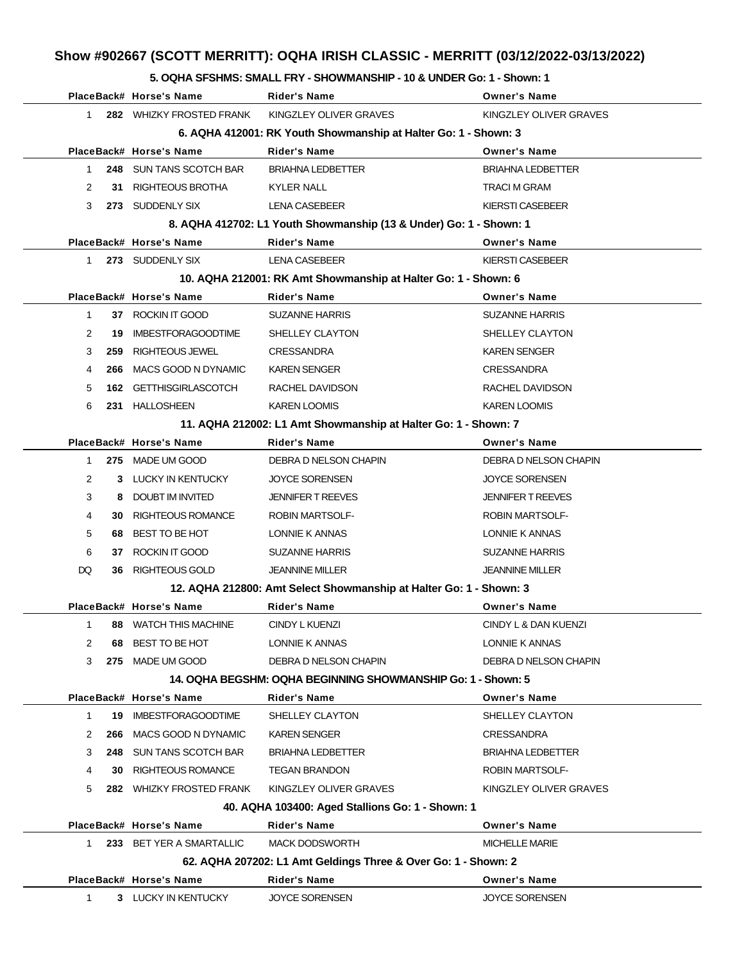#### **5. OQHA SFSHMS: SMALL FRY - SHOWMANSHIP - 10 & UNDER Go: 1 - Shown: 1**

|              |     | PlaceBack# Horse's Name     | <b>Rider's Name</b>                                                | <b>Owner's Name</b>      |
|--------------|-----|-----------------------------|--------------------------------------------------------------------|--------------------------|
| 1.           |     | 282 WHIZKY FROSTED FRANK    | KINGZLEY OLIVER GRAVES                                             | KINGZLEY OLIVER GRAVES   |
|              |     |                             | 6. AQHA 412001: RK Youth Showmanship at Halter Go: 1 - Shown: 3    |                          |
|              |     | PlaceBack# Horse's Name     | <b>Rider's Name</b>                                                | <b>Owner's Name</b>      |
| 1            |     | 248 SUN TANS SCOTCH BAR     | <b>BRIAHNA LEDBETTER</b>                                           | <b>BRIAHNA LEDBETTER</b> |
| 2            |     | 31 RIGHTEOUS BROTHA         | <b>KYLER NALL</b>                                                  | TRACI M GRAM             |
| 3            |     | 273 SUDDENLY SIX            | LENA CASEBEER                                                      | KIERSTI CASEBEER         |
|              |     |                             | 8. AQHA 412702: L1 Youth Showmanship (13 & Under) Go: 1 - Shown: 1 |                          |
|              |     | PlaceBack# Horse's Name     | Rider's Name                                                       | <b>Owner's Name</b>      |
| $\mathbf{1}$ |     | 273 SUDDENLY SIX            | <b>LENA CASEBEER</b>                                               | <b>KIERSTI CASEBEER</b>  |
|              |     |                             | 10. AQHA 212001: RK Amt Showmanship at Halter Go: 1 - Shown: 6     |                          |
|              |     | PlaceBack# Horse's Name     | <b>Rider's Name</b>                                                | <b>Owner's Name</b>      |
| $\mathbf{1}$ |     | 37 ROCKIN IT GOOD           | <b>SUZANNE HARRIS</b>                                              | <b>SUZANNE HARRIS</b>    |
| 2            | 19  | <b>IMBESTFORAGOODTIME</b>   | SHELLEY CLAYTON                                                    | SHELLEY CLAYTON          |
| 3            |     | 259 RIGHTEOUS JEWEL         | <b>CRESSANDRA</b>                                                  | <b>KAREN SENGER</b>      |
| 4            | 266 | MACS GOOD N DYNAMIC         | <b>KAREN SENGER</b>                                                | <b>CRESSANDRA</b>        |
| 5            |     | 162 GETTHISGIRLASCOTCH      | RACHEL DAVIDSON                                                    | RACHEL DAVIDSON          |
| 6            |     | 231 HALLOSHEEN              | <b>KAREN LOOMIS</b>                                                | <b>KAREN LOOMIS</b>      |
|              |     |                             | 11. AQHA 212002: L1 Amt Showmanship at Halter Go: 1 - Shown: 7     |                          |
|              |     | PlaceBack# Horse's Name     | <b>Rider's Name</b>                                                | <b>Owner's Name</b>      |
| 1            |     | 275 MADE UM GOOD            | DEBRA D NELSON CHAPIN                                              | DEBRA D NELSON CHAPIN    |
| 2            |     | 3 LUCKY IN KENTUCKY         | <b>JOYCE SORENSEN</b>                                              | <b>JOYCE SORENSEN</b>    |
| 3            |     | 8 DOUBT IM INVITED          | <b>JENNIFER T REEVES</b>                                           | <b>JENNIFER T REEVES</b> |
| 4            | 30  | RIGHTEOUS ROMANCE           | <b>ROBIN MARTSOLF-</b>                                             | ROBIN MARTSOLF-          |
| 5            | 68  | BEST TO BE HOT              | LONNIE K ANNAS                                                     | LONNIE K ANNAS           |
| 6            |     | 37 ROCKIN IT GOOD           | <b>SUZANNE HARRIS</b>                                              | <b>SUZANNE HARRIS</b>    |
| DQ           | 36  | RIGHTEOUS GOLD              | <b>JEANNINE MILLER</b>                                             | <b>JEANNINE MILLER</b>   |
|              |     |                             | 12. AQHA 212800: Amt Select Showmanship at Halter Go: 1 - Shown: 3 |                          |
|              |     | PlaceBack# Horse's Name     | <b>Rider's Name</b>                                                | <b>Owner's Name</b>      |
| 1.           |     | 88 WATCH THIS MACHINE       | CINDY L KUENZI                                                     | CINDY L & DAN KUENZI     |
| 2            | 68  | BEST TO BE HOT              | LONNIE K ANNAS                                                     | LONNIE K ANNAS           |
| 3            |     | 275 MADE UM GOOD            | DEBRA D NELSON CHAPIN                                              | DEBRA D NELSON CHAPIN    |
|              |     |                             | 14. OQHA BEGSHM: OQHA BEGINNING SHOWMANSHIP Go: 1 - Shown: 5       |                          |
|              |     | PlaceBack# Horse's Name     | Rider's Name                                                       | <b>Owner's Name</b>      |
| 1            |     | 19 IMBESTFORAGOODTIME       | SHELLEY CLAYTON                                                    | SHELLEY CLAYTON          |
| 2            |     | 266 MACS GOOD N DYNAMIC     | <b>KAREN SENGER</b>                                                | CRESSANDRA               |
| 3            |     | 248 SUN TANS SCOTCH BAR     | <b>BRIAHNA LEDBETTER</b>                                           | <b>BRIAHNA LEDBETTER</b> |
| 4            |     | <b>30 RIGHTEOUS ROMANCE</b> | <b>TEGAN BRANDON</b>                                               | ROBIN MARTSOLF-          |
| 5            |     | 282 WHIZKY FROSTED FRANK    | KINGZLEY OLIVER GRAVES                                             | KINGZLEY OLIVER GRAVES   |
|              |     |                             | 40. AQHA 103400: Aged Stallions Go: 1 - Shown: 1                   |                          |
|              |     | PlaceBack# Horse's Name     | <b>Rider's Name</b>                                                | <b>Owner's Name</b>      |
| $1 \quad$    |     | 233 BET YER A SMARTALLIC    | <b>MACK DODSWORTH</b>                                              | <b>MICHELLE MARIE</b>    |
|              |     |                             | 62. AQHA 207202: L1 Amt Geldings Three & Over Go: 1 - Shown: 2     |                          |
|              |     | PlaceBack# Horse's Name     | <b>Rider's Name</b>                                                | <b>Owner's Name</b>      |
| 1            |     | 3 LUCKY IN KENTUCKY         | <b>JOYCE SORENSEN</b>                                              | <b>JOYCE SORENSEN</b>    |
|              |     |                             |                                                                    |                          |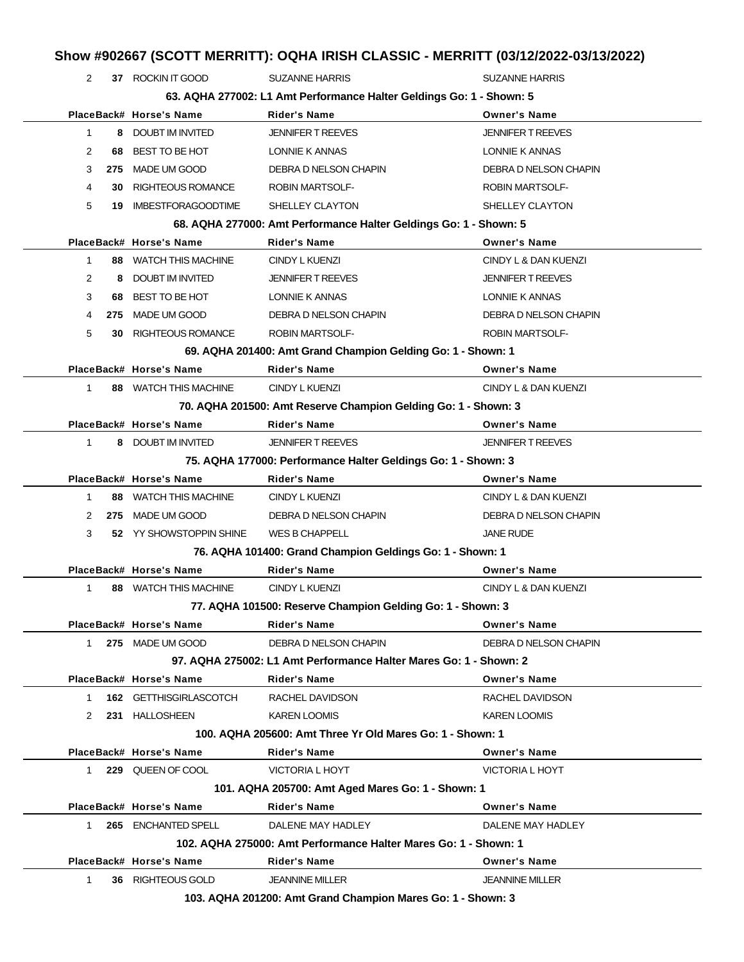| Show #902667 (SCOTT MERRITT): OQHA IRISH CLASSIC - MERRITT (03/12/2022-03/13/2022) |     |                                                                |                                                                      |                          |  |  |
|------------------------------------------------------------------------------------|-----|----------------------------------------------------------------|----------------------------------------------------------------------|--------------------------|--|--|
| 2                                                                                  |     | 37 ROCKIN IT GOOD                                              | <b>SUZANNE HARRIS</b>                                                | <b>SUZANNE HARRIS</b>    |  |  |
|                                                                                    |     |                                                                | 63. AQHA 277002: L1 Amt Performance Halter Geldings Go: 1 - Shown: 5 |                          |  |  |
|                                                                                    |     | PlaceBack# Horse's Name                                        | <b>Rider's Name</b>                                                  | <b>Owner's Name</b>      |  |  |
| 1                                                                                  |     | 8 DOUBT IM INVITED                                             | <b>JENNIFER T REEVES</b>                                             | <b>JENNIFER T REEVES</b> |  |  |
| 2                                                                                  | 68  | BEST TO BE HOT                                                 | LONNIE K ANNAS                                                       | LONNIE K ANNAS           |  |  |
| 3                                                                                  | 275 | MADE UM GOOD                                                   | DEBRA D NELSON CHAPIN                                                | DEBRA D NELSON CHAPIN    |  |  |
| 4                                                                                  | 30  | <b>RIGHTEOUS ROMANCE</b>                                       | <b>ROBIN MARTSOLF-</b>                                               | <b>ROBIN MARTSOLF-</b>   |  |  |
| 5                                                                                  | 19  | <b>IMBESTFORAGOODTIME</b>                                      | SHELLEY CLAYTON                                                      | SHELLEY CLAYTON          |  |  |
|                                                                                    |     |                                                                | 68. AQHA 277000: Amt Performance Halter Geldings Go: 1 - Shown: 5    |                          |  |  |
|                                                                                    |     | PlaceBack# Horse's Name                                        | <b>Rider's Name</b>                                                  | <b>Owner's Name</b>      |  |  |
| 1                                                                                  |     | 88 WATCH THIS MACHINE                                          | CINDY L KUENZI                                                       | CINDY L & DAN KUENZI     |  |  |
| 2                                                                                  | 8   | DOUBT IM INVITED                                               | <b>JENNIFER T REEVES</b>                                             | <b>JENNIFER T REEVES</b> |  |  |
| 3                                                                                  | 68  | BEST TO BE HOT                                                 | <b>LONNIE K ANNAS</b>                                                | LONNIE K ANNAS           |  |  |
| 4                                                                                  | 275 | MADE UM GOOD                                                   | DEBRA D NELSON CHAPIN                                                | DEBRA D NELSON CHAPIN    |  |  |
| 5                                                                                  | 30  | RIGHTEOUS ROMANCE                                              | <b>ROBIN MARTSOLF-</b>                                               | <b>ROBIN MARTSOLF-</b>   |  |  |
|                                                                                    |     |                                                                | 69. AQHA 201400: Amt Grand Champion Gelding Go: 1 - Shown: 1         |                          |  |  |
|                                                                                    |     | PlaceBack# Horse's Name                                        | <b>Rider's Name</b>                                                  | <b>Owner's Name</b>      |  |  |
| 1                                                                                  |     | 88 WATCH THIS MACHINE                                          | <b>CINDY L KUENZI</b>                                                | CINDY L & DAN KUENZI     |  |  |
|                                                                                    |     | 70. AQHA 201500: Amt Reserve Champion Gelding Go: 1 - Shown: 3 |                                                                      |                          |  |  |
|                                                                                    |     | PlaceBack# Horse's Name                                        | Rider's Name                                                         | <b>Owner's Name</b>      |  |  |
| 1                                                                                  |     | 8 DOUBT IM INVITED                                             | <b>JENNIFER T REEVES</b>                                             | <b>JENNIFER T REEVES</b> |  |  |
|                                                                                    |     |                                                                | 75. AQHA 177000: Performance Halter Geldings Go: 1 - Shown: 3        |                          |  |  |
|                                                                                    |     | PlaceBack# Horse's Name                                        | Rider's Name                                                         | <b>Owner's Name</b>      |  |  |
| 1                                                                                  |     | 88 WATCH THIS MACHINE                                          | CINDY L KUENZI                                                       | CINDY L & DAN KUENZI     |  |  |
| 2                                                                                  | 275 | MADE UM GOOD                                                   | DEBRA D NELSON CHAPIN                                                | DEBRA D NELSON CHAPIN    |  |  |
| 3                                                                                  |     | 52 YY SHOWSTOPPIN SHINE                                        | <b>WES B CHAPPELL</b>                                                | <b>JANE RUDE</b>         |  |  |
|                                                                                    |     |                                                                | 76. AQHA 101400: Grand Champion Geldings Go: 1 - Shown: 1            |                          |  |  |
|                                                                                    |     | PlaceBack# Horse's Name                                        | <b>Rider's Name</b>                                                  | <b>Owner's Name</b>      |  |  |
| $1 \quad$                                                                          |     | 88 WATCH THIS MACHINE                                          | CINDY L KUENZI                                                       | CINDY L & DAN KUENZI     |  |  |
|                                                                                    |     |                                                                | 77. AQHA 101500: Reserve Champion Gelding Go: 1 - Shown: 3           |                          |  |  |
|                                                                                    |     | PlaceBack# Horse's Name                                        | <b>Rider's Name</b>                                                  | <b>Owner's Name</b>      |  |  |
| 1.                                                                                 |     | 275 MADE UM GOOD                                               | DEBRA D NELSON CHAPIN                                                | DEBRA D NELSON CHAPIN    |  |  |
|                                                                                    |     |                                                                | 97. AQHA 275002: L1 Amt Performance Halter Mares Go: 1 - Shown: 2    |                          |  |  |
|                                                                                    |     | PlaceBack# Horse's Name                                        | <b>Rider's Name</b>                                                  | <b>Owner's Name</b>      |  |  |
| 1                                                                                  |     | 162 GETTHISGIRLASCOTCH                                         | RACHEL DAVIDSON                                                      | RACHEL DAVIDSON          |  |  |
| 2                                                                                  |     | 231 HALLOSHEEN                                                 | <b>KAREN LOOMIS</b>                                                  | <b>KAREN LOOMIS</b>      |  |  |
|                                                                                    |     |                                                                | 100, AQHA 205600: Amt Three Yr Old Mares Go: 1 - Shown: 1            |                          |  |  |
|                                                                                    |     | PlaceBack# Horse's Name                                        | <b>Rider's Name</b>                                                  | <b>Owner's Name</b>      |  |  |
| $\mathbf{1}$                                                                       |     | 229 QUEEN OF COOL                                              | VICTORIA L HOYT                                                      | <b>VICTORIA L HOYT</b>   |  |  |
|                                                                                    |     |                                                                | 101. AQHA 205700: Amt Aged Mares Go: 1 - Shown: 1                    |                          |  |  |
|                                                                                    |     | PlaceBack# Horse's Name                                        | <b>Rider's Name</b>                                                  | <b>Owner's Name</b>      |  |  |
| $\mathbf{1}$                                                                       |     | 265 ENCHANTED SPELL                                            | DALENE MAY HADLEY                                                    | DALENE MAY HADLEY        |  |  |
|                                                                                    |     |                                                                | 102. AQHA 275000: Amt Performance Halter Mares Go: 1 - Shown: 1      |                          |  |  |
|                                                                                    |     | PlaceBack# Horse's Name                                        | <b>Rider's Name</b>                                                  | <b>Owner's Name</b>      |  |  |
| 1                                                                                  |     | 36 RIGHTEOUS GOLD                                              | <b>JEANNINE MILLER</b>                                               | <b>JEANNINE MILLER</b>   |  |  |
| 103. AQHA 201200: Amt Grand Champion Mares Go: 1 - Shown: 3                        |     |                                                                |                                                                      |                          |  |  |

l,

 $\overline{a}$ 

L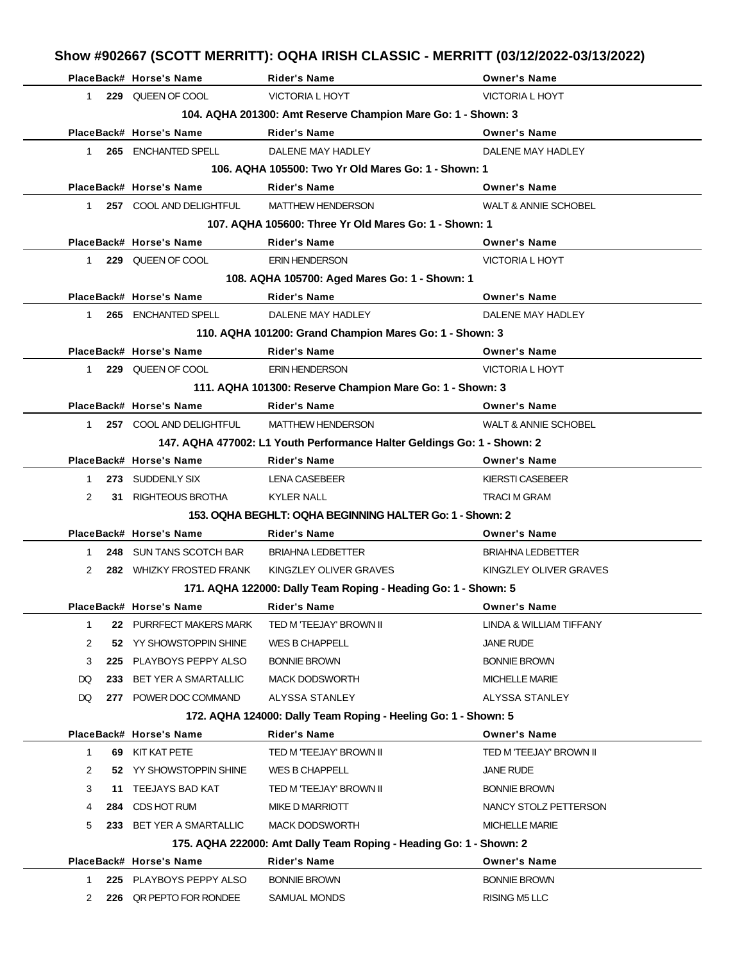|               |           | PlaceBack# Horse's Name  | <b>Rider's Name</b>                                                     | <b>Owner's Name</b>             |
|---------------|-----------|--------------------------|-------------------------------------------------------------------------|---------------------------------|
| $1 \quad$     |           | 229 QUEEN OF COOL        | <b>VICTORIA L HOYT</b>                                                  | <b>VICTORIA L HOYT</b>          |
|               |           |                          | 104. AQHA 201300: Amt Reserve Champion Mare Go: 1 - Shown: 3            |                                 |
|               |           | PlaceBack# Horse's Name  | <b>Rider's Name</b>                                                     | <b>Owner's Name</b>             |
| 1             |           | 265 ENCHANTED SPELL      | DALENE MAY HADLEY                                                       | DALENE MAY HADLEY               |
|               |           |                          | 106. AQHA 105500: Two Yr Old Mares Go: 1 - Shown: 1                     |                                 |
|               |           | PlaceBack# Horse's Name  | <b>Rider's Name</b>                                                     | <b>Owner's Name</b>             |
| $1 \quad$     |           | 257 COOL AND DELIGHTFUL  | <b>MATTHEW HENDERSON</b>                                                | <b>WALT &amp; ANNIE SCHOBEL</b> |
|               |           |                          | 107. AQHA 105600: Three Yr Old Mares Go: 1 - Shown: 1                   |                                 |
|               |           | PlaceBack# Horse's Name  | <b>Rider's Name</b>                                                     | <b>Owner's Name</b>             |
|               | $1 \quad$ | 229 QUEEN OF COOL        | <b>ERIN HENDERSON</b>                                                   | <b>VICTORIA L HOYT</b>          |
|               |           |                          | 108. AQHA 105700: Aged Mares Go: 1 - Shown: 1                           |                                 |
|               |           | PlaceBack# Horse's Name  | <b>Rider's Name</b>                                                     | <b>Owner's Name</b>             |
| 1             |           | 265 ENCHANTED SPELL      | DALENE MAY HADLEY                                                       | DALENE MAY HADLEY               |
|               |           |                          | 110. AQHA 101200: Grand Champion Mares Go: 1 - Shown: 3                 |                                 |
|               |           | PlaceBack# Horse's Name  | <b>Rider's Name</b>                                                     | <b>Owner's Name</b>             |
| $1 \quad$     |           | 229 QUEEN OF COOL        | <b>ERIN HENDERSON</b>                                                   | <b>VICTORIA L HOYT</b>          |
|               |           |                          | 111. AQHA 101300: Reserve Champion Mare Go: 1 - Shown: 3                |                                 |
|               |           | PlaceBack# Horse's Name  | <b>Rider's Name</b>                                                     | <b>Owner's Name</b>             |
| $1 \quad$     |           | 257 COOL AND DELIGHTFUL  | <b>MATTHEW HENDERSON</b>                                                | <b>WALT &amp; ANNIE SCHOBEL</b> |
|               |           |                          | 147. AQHA 477002: L1 Youth Performance Halter Geldings Go: 1 - Shown: 2 |                                 |
|               |           | PlaceBack# Horse's Name  | <b>Rider's Name</b>                                                     | <b>Owner's Name</b>             |
| 1             |           | 273 SUDDENLY SIX         | LENA CASEBEER                                                           | KIERSTI CASEBEER                |
| 2             |           | 31 RIGHTEOUS BROTHA      | <b>KYLER NALL</b>                                                       | <b>TRACI M GRAM</b>             |
|               |           |                          | 153. OQHA BEGHLT: OQHA BEGINNING HALTER Go: 1 - Shown: 2                |                                 |
|               |           | PlaceBack# Horse's Name  | <b>Rider's Name</b>                                                     | <b>Owner's Name</b>             |
| $1 \quad$     |           | 248 SUN TANS SCOTCH BAR  | <b>BRIAHNA LEDBETTER</b>                                                | <b>BRIAHNA LEDBETTER</b>        |
| $\mathcal{P}$ |           | 282 WHIZKY FROSTED FRANK | KINGZLEY OLIVER GRAVES                                                  | KINGZLEY OLIVER GRAVES          |
|               |           |                          | 171. AQHA 122000: Dally Team Roping - Heading Go: 1 - Shown: 5          |                                 |
|               |           | PlaceBack# Horse's Name  | <b>Rider's Name</b>                                                     | <b>Owner's Name</b>             |
| $\mathbf{1}$  |           | 22 PURRFECT MAKERS MARK  | TED M 'TEEJAY' BROWN II                                                 | LINDA & WILLIAM TIFFANY         |
| 2             |           | 52 YY SHOWSTOPPIN SHINE  | WES B CHAPPELL                                                          | JANE RUDE                       |
| 3             |           | 225 PLAYBOYS PEPPY ALSO  | <b>BONNIE BROWN</b>                                                     | <b>BONNIE BROWN</b>             |
| DQ            |           | 233 BET YER A SMARTALLIC | <b>MACK DODSWORTH</b>                                                   | <b>MICHELLE MARIE</b>           |
| DQ            |           | 277 POWER DOC COMMAND    | ALYSSA STANLEY                                                          | ALYSSA STANLEY                  |
|               |           |                          | 172. AQHA 124000: Dally Team Roping - Heeling Go: 1 - Shown: 5          |                                 |
|               |           | PlaceBack# Horse's Name  | <b>Rider's Name</b>                                                     | <b>Owner's Name</b>             |
| 1             |           | 69 KIT KAT PETE          | TED M 'TEEJAY' BROWN II                                                 | TED M 'TEEJAY' BROWN II         |
| 2             |           | 52 YY SHOWSTOPPIN SHINE  | WES B CHAPPELL                                                          | JANE RUDE                       |
| 3             |           | 11 TEEJAYS BAD KAT       | TED M 'TEEJAY' BROWN II                                                 | <b>BONNIE BROWN</b>             |
| 4             |           | 284 CDS HOT RUM          | <b>MIKE D MARRIOTT</b>                                                  | NANCY STOLZ PETTERSON           |
| 5             |           | 233 BET YER A SMARTALLIC | <b>MACK DODSWORTH</b>                                                   | <b>MICHELLE MARIE</b>           |
|               |           |                          | 175. AQHA 222000: Amt Dally Team Roping - Heading Go: 1 - Shown: 2      |                                 |
|               |           | PlaceBack# Horse's Name  | <b>Rider's Name</b>                                                     | <b>Owner's Name</b>             |
| 1             |           | 225 PLAYBOYS PEPPY ALSO  | <b>BONNIE BROWN</b>                                                     | <b>BONNIE BROWN</b>             |
| 2             |           | 226 QR PEPTO FOR RONDEE  | SAMUAL MONDS                                                            | RISING M5 LLC                   |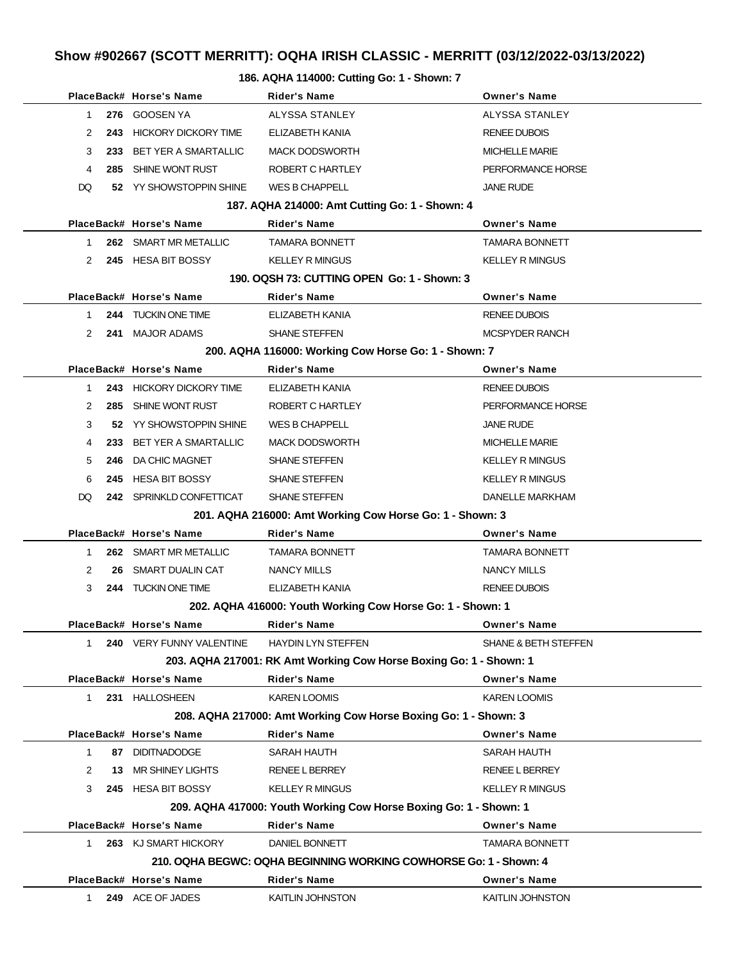#### **186. AQHA 114000: Cutting Go: 1 - Shown: 7**

|                                                                 |              |     | PlaceBack# Horse's Name      | Rider's Name                                                       | <b>Owner's Name</b>    |  |  |  |
|-----------------------------------------------------------------|--------------|-----|------------------------------|--------------------------------------------------------------------|------------------------|--|--|--|
|                                                                 | 1.           |     | 276 GOOSEN YA                | ALYSSA STANLEY                                                     | ALYSSA STANLEY         |  |  |  |
|                                                                 | 2            |     | 243 HICKORY DICKORY TIME     | ELIZABETH KANIA                                                    | <b>RENEE DUBOIS</b>    |  |  |  |
|                                                                 | 3            | 233 | <b>BET YER A SMARTALLIC</b>  | <b>MACK DODSWORTH</b>                                              | <b>MICHELLE MARIE</b>  |  |  |  |
|                                                                 | 4            | 285 | SHINE WONT RUST              | ROBERT C HARTLEY                                                   | PERFORMANCE HORSE      |  |  |  |
|                                                                 | DQ           |     | 52 YY SHOWSTOPPIN SHINE      | WES B CHAPPELL                                                     | JANE RUDE              |  |  |  |
|                                                                 |              |     |                              | 187. AQHA 214000: Amt Cutting Go: 1 - Shown: 4                     |                        |  |  |  |
|                                                                 |              |     | PlaceBack# Horse's Name      | <b>Rider's Name</b>                                                | <b>Owner's Name</b>    |  |  |  |
|                                                                 | $\mathbf{1}$ |     | 262 SMART MR METALLIC        | <b>TAMARA BONNETT</b>                                              | <b>TAMARA BONNETT</b>  |  |  |  |
|                                                                 | 2            |     | 245 HESA BIT BOSSY           | <b>KELLEY R MINGUS</b>                                             | <b>KELLEY R MINGUS</b> |  |  |  |
|                                                                 |              |     |                              | 190, OQSH 73: CUTTING OPEN Go: 1 - Shown: 3                        |                        |  |  |  |
|                                                                 |              |     | PlaceBack# Horse's Name      | Rider's Name                                                       | <b>Owner's Name</b>    |  |  |  |
|                                                                 | $\mathbf{1}$ |     | 244 TUCKIN ONE TIME          | ELIZABETH KANIA                                                    | <b>RENEE DUBOIS</b>    |  |  |  |
|                                                                 | 2            |     | 241 MAJOR ADAMS              | SHANE STEFFEN                                                      | <b>MCSPYDER RANCH</b>  |  |  |  |
|                                                                 |              |     |                              | 200. AQHA 116000: Working Cow Horse Go: 1 - Shown: 7               |                        |  |  |  |
|                                                                 |              |     | PlaceBack# Horse's Name      | <b>Rider's Name</b>                                                | <b>Owner's Name</b>    |  |  |  |
|                                                                 | $\mathbf{1}$ |     | 243 HICKORY DICKORY TIME     | ELIZABETH KANIA                                                    | <b>RENEE DUBOIS</b>    |  |  |  |
|                                                                 | 2            |     | 285 SHINE WONT RUST          | ROBERT C HARTLEY                                                   | PERFORMANCE HORSE      |  |  |  |
|                                                                 | 3            |     | 52 YY SHOWSTOPPIN SHINE      | WES B CHAPPELL                                                     | JANE RUDE              |  |  |  |
|                                                                 | 4            | 233 | BET YER A SMARTALLIC         | <b>MACK DODSWORTH</b>                                              | <b>MICHELLE MARIE</b>  |  |  |  |
|                                                                 | 5            | 246 | DA CHIC MAGNET               | <b>SHANE STEFFEN</b>                                               | <b>KELLEY R MINGUS</b> |  |  |  |
|                                                                 | 6            |     | 245 HESA BIT BOSSY           | SHANE STEFFEN                                                      | <b>KELLEY R MINGUS</b> |  |  |  |
|                                                                 | DQ           |     | 242 SPRINKLD CONFETTICAT     | <b>SHANE STEFFEN</b>                                               | DANELLE MARKHAM        |  |  |  |
|                                                                 |              |     |                              | 201. AQHA 216000: Amt Working Cow Horse Go: 1 - Shown: 3           |                        |  |  |  |
|                                                                 |              |     | PlaceBack# Horse's Name      | <b>Rider's Name</b>                                                | <b>Owner's Name</b>    |  |  |  |
|                                                                 | 1.           |     | <b>262 SMART MR METALLIC</b> | <b>TAMARA BONNETT</b>                                              | <b>TAMARA BONNETT</b>  |  |  |  |
|                                                                 | 2            | 26  | SMART DUALIN CAT             | NANCY MILLS                                                        | <b>NANCY MILLS</b>     |  |  |  |
|                                                                 | 3            |     | 244 TUCKIN ONE TIME          | ELIZABETH KANIA                                                    | <b>RENEE DUBOIS</b>    |  |  |  |
|                                                                 |              |     |                              | 202. AQHA 416000: Youth Working Cow Horse Go: 1 - Shown: 1         |                        |  |  |  |
|                                                                 |              |     | PlaceBack# Horse's Name      | Rider's Name                                                       | <b>Owner's Name</b>    |  |  |  |
|                                                                 | 1.           |     | 240 VERY FUNNY VALENTINE     | <b>HAYDIN LYN STEFFEN</b>                                          | SHANE & BETH STEFFEN   |  |  |  |
|                                                                 |              |     |                              | 203. AQHA 217001: RK Amt Working Cow Horse Boxing Go: 1 - Shown: 1 |                        |  |  |  |
|                                                                 |              |     | PlaceBack# Horse's Name      | <b>Rider's Name</b>                                                | <b>Owner's Name</b>    |  |  |  |
|                                                                 | 1.           |     | 231 HALLOSHEEN               | KAREN LOOMIS                                                       | <b>KAREN LOOMIS</b>    |  |  |  |
| 208. AQHA 217000: Amt Working Cow Horse Boxing Go: 1 - Shown: 3 |              |     |                              |                                                                    |                        |  |  |  |
|                                                                 |              |     | PlaceBack# Horse's Name      | <b>Rider's Name</b>                                                | <b>Owner's Name</b>    |  |  |  |
|                                                                 | 1            | 87  | <b>DIDITNADODGE</b>          | SARAH HAUTH                                                        | SARAH HAUTH            |  |  |  |
|                                                                 | 2            | 13  | MR SHINEY LIGHTS             | <b>RENEE L BERREY</b>                                              | <b>RENEE L BERREY</b>  |  |  |  |
|                                                                 | 3            |     | 245 HESA BIT BOSSY           | <b>KELLEY R MINGUS</b>                                             | <b>KELLEY R MINGUS</b> |  |  |  |
|                                                                 |              |     |                              | 209. AQHA 417000: Youth Working Cow Horse Boxing Go: 1 - Shown: 1  |                        |  |  |  |
|                                                                 |              |     | PlaceBack# Horse's Name      | <b>Rider's Name</b>                                                | <b>Owner's Name</b>    |  |  |  |
|                                                                 | 1            |     | 263 KJ SMART HICKORY         | DANIEL BONNETT                                                     | <b>TAMARA BONNETT</b>  |  |  |  |
|                                                                 |              |     |                              | 210. OQHA BEGWC: OQHA BEGINNING WORKING COWHORSE Go: 1 - Shown: 4  |                        |  |  |  |
|                                                                 |              |     | PlaceBack# Horse's Name      | <b>Rider's Name</b>                                                | <b>Owner's Name</b>    |  |  |  |
|                                                                 | 1.           |     | 249 ACE OF JADES             | KAITLIN JOHNSTON                                                   | KAITLIN JOHNSTON       |  |  |  |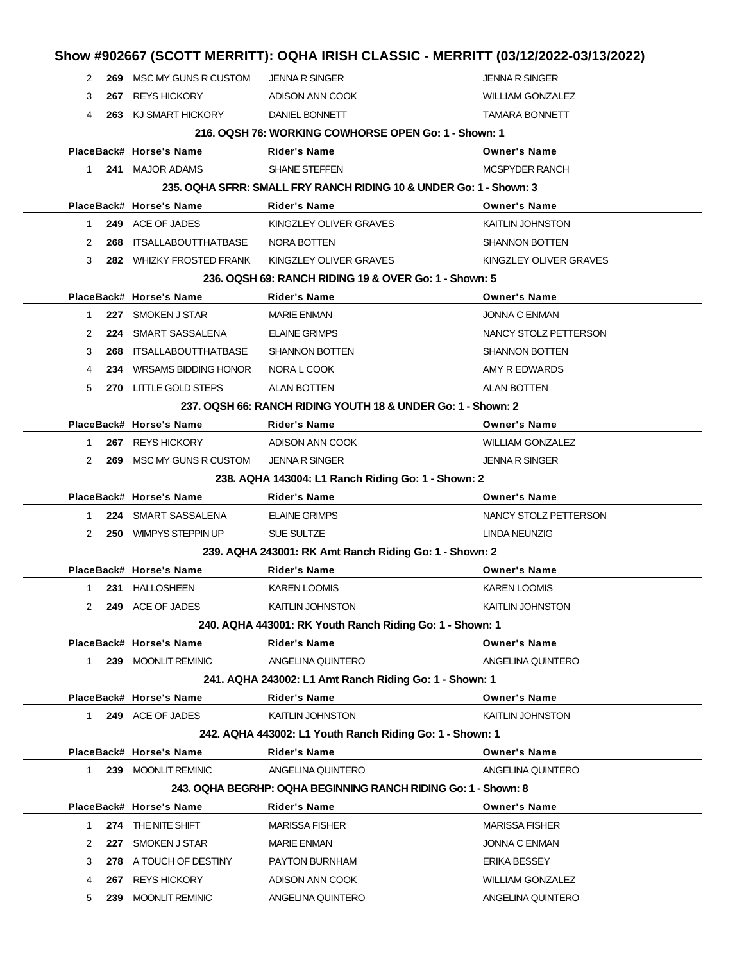|                                                        |     |                                                              | Show #902667 (SCOTT MERRITT): OQHA IRISH CLASSIC - MERRITT (03/12/2022-03/13/2022) |                         |  |  |  |
|--------------------------------------------------------|-----|--------------------------------------------------------------|------------------------------------------------------------------------------------|-------------------------|--|--|--|
| 2                                                      |     | 269 MSC MY GUNS R CUSTOM                                     | <b>JENNA R SINGER</b>                                                              | <b>JENNA R SINGER</b>   |  |  |  |
| 3                                                      | 267 | <b>REYS HICKORY</b>                                          | ADISON ANN COOK                                                                    | <b>WILLIAM GONZALEZ</b> |  |  |  |
| 4                                                      |     | 263 KJ SMART HICKORY                                         | DANIEL BONNETT                                                                     | <b>TAMARA BONNETT</b>   |  |  |  |
|                                                        |     |                                                              | 216. OQSH 76: WORKING COWHORSE OPEN Go: 1 - Shown: 1                               |                         |  |  |  |
|                                                        |     | PlaceBack# Horse's Name                                      | <b>Rider's Name</b>                                                                | <b>Owner's Name</b>     |  |  |  |
| 1                                                      |     | 241 MAJOR ADAMS                                              | <b>SHANE STEFFEN</b>                                                               | <b>MCSPYDER RANCH</b>   |  |  |  |
|                                                        |     |                                                              | 235, OQHA SFRR: SMALL FRY RANCH RIDING 10 & UNDER Go: 1 - Shown: 3                 |                         |  |  |  |
|                                                        |     | PlaceBack# Horse's Name                                      | <b>Rider's Name</b>                                                                | <b>Owner's Name</b>     |  |  |  |
| $\mathbf{1}$                                           |     | 249 ACE OF JADES                                             | KINGZLEY OLIVER GRAVES                                                             | <b>KAITLIN JOHNSTON</b> |  |  |  |
| 2                                                      | 268 | ITSALLABOUTTHATBASE                                          | NORA BOTTEN                                                                        | <b>SHANNON BOTTEN</b>   |  |  |  |
| 3                                                      |     | 282 WHIZKY FROSTED FRANK                                     | KINGZLEY OLIVER GRAVES                                                             | KINGZLEY OLIVER GRAVES  |  |  |  |
|                                                        |     |                                                              | 236, OQSH 69: RANCH RIDING 19 & OVER Go: 1 - Shown: 5                              |                         |  |  |  |
|                                                        |     | PlaceBack# Horse's Name                                      | Rider's Name                                                                       | <b>Owner's Name</b>     |  |  |  |
| 1                                                      |     | 227 SMOKEN J STAR                                            | <b>MARIE ENMAN</b>                                                                 | <b>JONNA C ENMAN</b>    |  |  |  |
| 2                                                      |     | 224 SMART SASSALENA                                          | <b>ELAINE GRIMPS</b>                                                               | NANCY STOLZ PETTERSON   |  |  |  |
| 3                                                      | 268 | ITSALLABOUTTHATBASE                                          | <b>SHANNON BOTTEN</b>                                                              | <b>SHANNON BOTTEN</b>   |  |  |  |
| 4                                                      | 234 | <b>WRSAMS BIDDING HONOR</b>                                  | NORA L COOK                                                                        | AMY R EDWARDS           |  |  |  |
| 5                                                      |     | 270 LITTLE GOLD STEPS                                        | <b>ALAN BOTTEN</b>                                                                 | <b>ALAN BOTTEN</b>      |  |  |  |
|                                                        |     | 237, OQSH 66: RANCH RIDING YOUTH 18 & UNDER Go: 1 - Shown: 2 |                                                                                    |                         |  |  |  |
|                                                        |     | PlaceBack# Horse's Name                                      | Rider's Name                                                                       | <b>Owner's Name</b>     |  |  |  |
| $\mathbf{1}$                                           |     | 267 REYS HICKORY                                             | ADISON ANN COOK                                                                    | <b>WILLIAM GONZALEZ</b> |  |  |  |
| 2                                                      |     | 269 MSC MY GUNS R CUSTOM                                     | <b>JENNA R SINGER</b>                                                              | <b>JENNA R SINGER</b>   |  |  |  |
|                                                        |     |                                                              | 238. AQHA 143004: L1 Ranch Riding Go: 1 - Shown: 2                                 |                         |  |  |  |
|                                                        |     | PlaceBack# Horse's Name                                      | <b>Rider's Name</b>                                                                | <b>Owner's Name</b>     |  |  |  |
| 1                                                      |     | 224 SMART SASSALENA                                          | <b>ELAINE GRIMPS</b>                                                               | NANCY STOLZ PETTERSON   |  |  |  |
| 2                                                      |     | 250 WIMPYS STEPPIN UP                                        | <b>SUE SULTZE</b>                                                                  | LINDA NEUNZIG           |  |  |  |
|                                                        |     |                                                              | 239. AQHA 243001: RK Amt Ranch Riding Go: 1 - Shown: 2                             |                         |  |  |  |
|                                                        |     | PlaceBack# Horse's Name                                      | Rider's Name                                                                       | <b>Owner's Name</b>     |  |  |  |
| $\mathbf{1}$                                           |     | 231 HALLOSHEEN                                               | <b>KAREN LOOMIS</b>                                                                | <b>KAREN LOOMIS</b>     |  |  |  |
| 2                                                      |     | 249 ACE OF JADES                                             | KAITLIN JOHNSTON                                                                   | <b>KAITLIN JOHNSTON</b> |  |  |  |
|                                                        |     | 240. AQHA 443001: RK Youth Ranch Riding Go: 1 - Shown: 1     |                                                                                    |                         |  |  |  |
|                                                        |     | PlaceBack# Horse's Name                                      | <b>Rider's Name</b>                                                                | <b>Owner's Name</b>     |  |  |  |
| $\mathbf{1}$                                           |     | 239 MOONLIT REMINIC                                          | ANGELINA QUINTERO                                                                  | ANGELINA QUINTERO       |  |  |  |
| 241. AQHA 243002: L1 Amt Ranch Riding Go: 1 - Shown: 1 |     |                                                              |                                                                                    |                         |  |  |  |
|                                                        |     | PlaceBack# Horse's Name                                      | <b>Rider's Name</b>                                                                | <b>Owner's Name</b>     |  |  |  |
| $\mathbf 1$                                            |     | 249 ACE OF JADES                                             | <b>KAITLIN JOHNSTON</b>                                                            | <b>KAITLIN JOHNSTON</b> |  |  |  |
|                                                        |     |                                                              | 242. AQHA 443002: L1 Youth Ranch Riding Go: 1 - Shown: 1                           |                         |  |  |  |
|                                                        |     | PlaceBack# Horse's Name                                      | <b>Rider's Name</b>                                                                | <b>Owner's Name</b>     |  |  |  |
| $\mathbf{1}$                                           |     | 239 MOONLIT REMINIC                                          | ANGELINA QUINTERO                                                                  | ANGELINA QUINTERO       |  |  |  |
|                                                        |     |                                                              | 243. OQHA BEGRHP: OQHA BEGINNING RANCH RIDING Go: 1 - Shown: 8                     |                         |  |  |  |
|                                                        |     | PlaceBack# Horse's Name                                      | <b>Rider's Name</b>                                                                | <b>Owner's Name</b>     |  |  |  |
| 1                                                      |     | 274 THE NITE SHIFT                                           | <b>MARISSA FISHER</b>                                                              | <b>MARISSA FISHER</b>   |  |  |  |
| 2                                                      |     | 227 SMOKEN J STAR                                            | <b>MARIE ENMAN</b>                                                                 | <b>JONNA C ENMAN</b>    |  |  |  |
| 3                                                      |     | 278 A TOUCH OF DESTINY                                       | PAYTON BURNHAM                                                                     | <b>ERIKA BESSEY</b>     |  |  |  |
| 4                                                      | 267 | <b>REYS HICKORY</b>                                          | ADISON ANN COOK                                                                    | <b>WILLIAM GONZALEZ</b> |  |  |  |
| 5                                                      |     | 239 MOONLIT REMINIC                                          | ANGELINA QUINTERO                                                                  | ANGELINA QUINTERO       |  |  |  |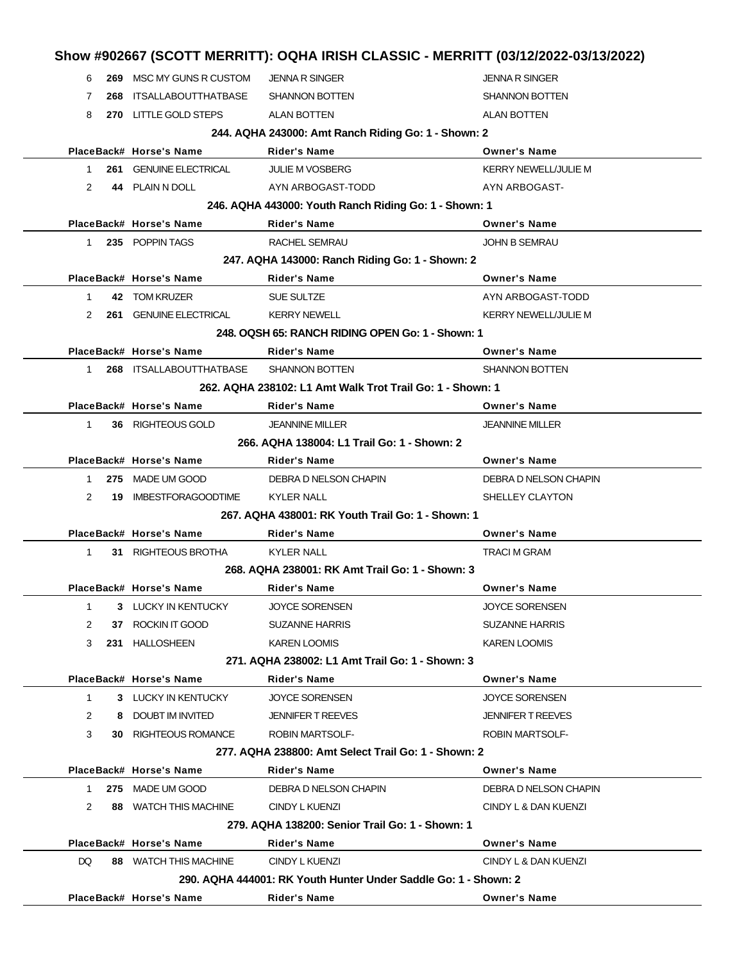| 6            |     | 269 MSC MY GUNS R CUSTOM    | <b>JENNA R SINGER</b>                                           | <b>JENNA R SINGER</b>       |
|--------------|-----|-----------------------------|-----------------------------------------------------------------|-----------------------------|
| 7            | 268 | ITSALLABOUTTHATBASE         | <b>SHANNON BOTTEN</b>                                           | <b>SHANNON BOTTEN</b>       |
| 8            |     | 270 LITTLE GOLD STEPS       | ALAN BOTTEN                                                     | <b>ALAN BOTTEN</b>          |
|              |     |                             | 244. AQHA 243000: Amt Ranch Riding Go: 1 - Shown: 2             |                             |
|              |     | PlaceBack# Horse's Name     | Rider's Name                                                    | <b>Owner's Name</b>         |
| 1            |     | 261 GENUINE ELECTRICAL      | <b>JULIE M VOSBERG</b>                                          | <b>KERRY NEWELL/JULIE M</b> |
| 2            |     | 44 PLAIN N DOLL             | AYN ARBOGAST-TODD                                               | AYN ARBOGAST-               |
|              |     |                             | 246. AQHA 443000: Youth Ranch Riding Go: 1 - Shown: 1           |                             |
|              |     | PlaceBack# Horse's Name     | Rider's Name                                                    | <b>Owner's Name</b>         |
| 1            |     | 235 POPPIN TAGS             | RACHEL SEMRAU                                                   | <b>JOHN B SEMRAU</b>        |
|              |     |                             | 247. AQHA 143000: Ranch Riding Go: 1 - Shown: 2                 |                             |
|              |     | PlaceBack# Horse's Name     | Rider's Name                                                    | <b>Owner's Name</b>         |
| -1           |     | 42 TOM KRUZER               | SUE SULTZE                                                      | AYN ARBOGAST-TODD           |
| 2            |     | 261 GENUINE ELECTRICAL      | <b>KERRY NEWELL</b>                                             | <b>KERRY NEWELL/JULIE M</b> |
|              |     |                             | 248. OQSH 65: RANCH RIDING OPEN Go: 1 - Shown: 1                |                             |
|              |     | PlaceBack# Horse's Name     | <b>Rider's Name</b>                                             | <b>Owner's Name</b>         |
| $\mathbf 1$  |     | 268 ITSALLABOUTTHATBASE     | <b>SHANNON BOTTEN</b>                                           | <b>SHANNON BOTTEN</b>       |
|              |     |                             | 262, AQHA 238102: L1 Amt Walk Trot Trail Go: 1 - Shown: 1       |                             |
|              |     | PlaceBack# Horse's Name     | Rider's Name                                                    | <b>Owner's Name</b>         |
| $\mathbf{1}$ |     | 36 RIGHTEOUS GOLD           | <b>JEANNINE MILLER</b>                                          | <b>JEANNINE MILLER</b>      |
|              |     |                             | 266. AQHA 138004: L1 Trail Go: 1 - Shown: 2                     |                             |
|              |     | PlaceBack# Horse's Name     | Rider's Name                                                    | <b>Owner's Name</b>         |
| -1           |     | 275 MADE UM GOOD            | DEBRA D NELSON CHAPIN                                           | DEBRA D NELSON CHAPIN       |
| 2            | 19  | IMBESTFORAGOODTIME          | <b>KYLER NALL</b>                                               | SHELLEY CLAYTON             |
|              |     |                             | 267. AQHA 438001: RK Youth Trail Go: 1 - Shown: 1               |                             |
|              |     | PlaceBack# Horse's Name     | Rider's Name                                                    | <b>Owner's Name</b>         |
| -1           |     | 31 RIGHTEOUS BROTHA         | <b>KYLER NALL</b>                                               | <b>TRACI M GRAM</b>         |
|              |     |                             | 268, AQHA 238001: RK Amt Trail Go: 1 - Shown: 3                 |                             |
|              |     | PlaceBack# Horse's Name     | Rider's Name                                                    | <b>Owner's Name</b>         |
| -1           |     | 3 LUCKY IN KENTUCKY         | JOYCE SORENSEN                                                  | <b>JOYCE SORENSEN</b>       |
| 2            | 37  | ROCKIN IT GOOD              | <b>SUZANNE HARRIS</b>                                           | <b>SUZANNE HARRIS</b>       |
| 3            |     | 231 HALLOSHEEN              | <b>KAREN LOOMIS</b>                                             | <b>KAREN LOOMIS</b>         |
|              |     |                             | 271. AQHA 238002: L1 Amt Trail Go: 1 - Shown: 3                 |                             |
|              |     | PlaceBack# Horse's Name     | Rider's Name                                                    | <b>Owner's Name</b>         |
| $\mathbf{1}$ |     | 3 LUCKY IN KENTUCKY         | <b>JOYCE SORENSEN</b>                                           | <b>JOYCE SORENSEN</b>       |
| 2            | 8   | DOUBT IM INVITED            | <b>JENNIFER T REEVES</b>                                        | <b>JENNIFER T REEVES</b>    |
| 3            |     | <b>30 RIGHTEOUS ROMANCE</b> | <b>ROBIN MARTSOLF-</b>                                          | <b>ROBIN MARTSOLF-</b>      |
|              |     |                             | 277. AQHA 238800: Amt Select Trail Go: 1 - Shown: 2             |                             |
|              |     | PlaceBack# Horse's Name     | Rider's Name                                                    | <b>Owner's Name</b>         |
| 1            |     | 275 MADE UM GOOD            | DEBRA D NELSON CHAPIN                                           | DEBRA D NELSON CHAPIN       |
| 2            |     | 88 WATCH THIS MACHINE       | CINDY L KUENZI                                                  | CINDY L & DAN KUENZI        |
|              |     |                             | 279. AQHA 138200: Senior Trail Go: 1 - Shown: 1                 |                             |
|              |     | PlaceBack# Horse's Name     | Rider's Name                                                    | <b>Owner's Name</b>         |
| DQ           |     | 88 WATCH THIS MACHINE       | CINDY L KUENZI                                                  | CINDY L & DAN KUENZI        |
|              |     |                             |                                                                 |                             |
|              |     |                             | 290. AQHA 444001: RK Youth Hunter Under Saddle Go: 1 - Shown: 2 |                             |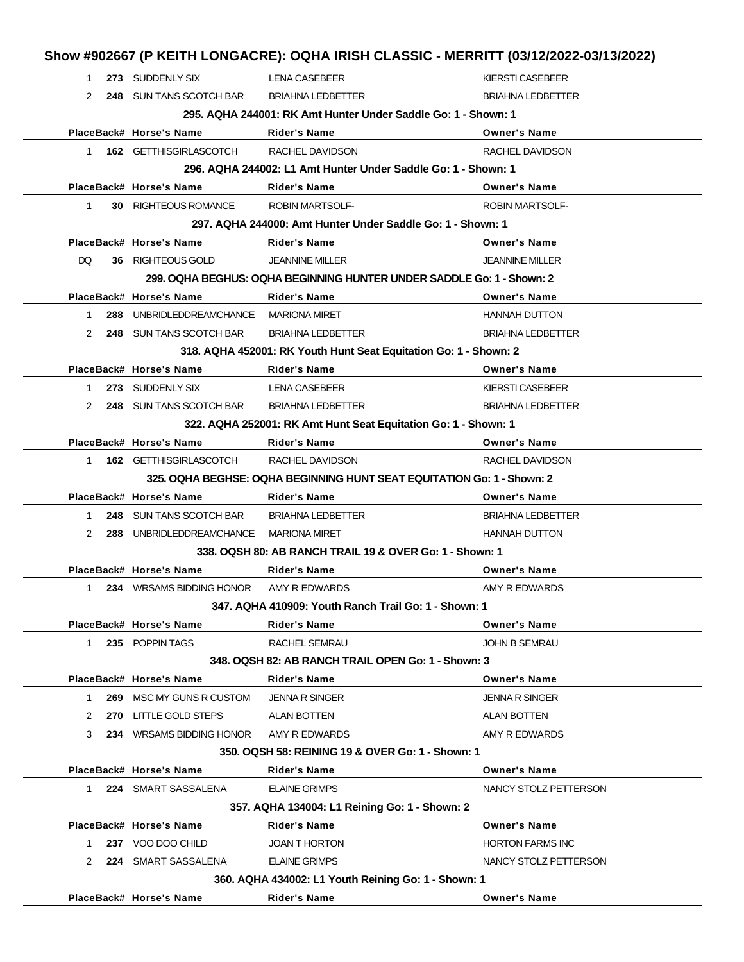| 1            | 273 SUDDENLY SIX                       | <b>LENA CASEBEER</b>                                                   | <b>KIERSTI CASEBEER</b>  |
|--------------|----------------------------------------|------------------------------------------------------------------------|--------------------------|
| 2            | 248 SUN TANS SCOTCH BAR                | <b>BRIAHNA LEDBETTER</b>                                               | <b>BRIAHNA LEDBETTER</b> |
|              |                                        | 295. AQHA 244001: RK Amt Hunter Under Saddle Go: 1 - Shown: 1          |                          |
|              | PlaceBack# Horse's Name                | <b>Rider's Name</b>                                                    | <b>Owner's Name</b>      |
| $\mathbf{1}$ | 162 GETTHISGIRLASCOTCH                 | RACHEL DAVIDSON                                                        | RACHEL DAVIDSON          |
|              |                                        | 296. AQHA 244002: L1 Amt Hunter Under Saddle Go: 1 - Shown: 1          |                          |
|              | PlaceBack# Horse's Name                | <b>Rider's Name</b>                                                    | <b>Owner's Name</b>      |
| $\mathbf{1}$ | 30 RIGHTEOUS ROMANCE                   | <b>ROBIN MARTSOLF-</b>                                                 | <b>ROBIN MARTSOLF-</b>   |
|              |                                        | 297. AQHA 244000: Amt Hunter Under Saddle Go: 1 - Shown: 1             |                          |
|              | PlaceBack# Horse's Name                | <b>Rider's Name</b>                                                    | <b>Owner's Name</b>      |
| DQ.          | 36 RIGHTEOUS GOLD                      | <b>JEANNINE MILLER</b>                                                 | <b>JEANNINE MILLER</b>   |
|              |                                        | 299. OQHA BEGHUS: OQHA BEGINNING HUNTER UNDER SADDLE Go: 1 - Shown: 2  |                          |
|              | PlaceBack# Horse's Name                | <b>Rider's Name</b>                                                    | <b>Owner's Name</b>      |
| 1            | 288 UNBRIDLEDDREAMCHANCE MARIONA MIRET |                                                                        | <b>HANNAH DUTTON</b>     |
| 2            | 248 SUN TANS SCOTCH BAR                | <b>BRIAHNA LEDBETTER</b>                                               | <b>BRIAHNA LEDBETTER</b> |
|              |                                        | 318. AQHA 452001: RK Youth Hunt Seat Equitation Go: 1 - Shown: 2       |                          |
|              | PlaceBack# Horse's Name                | <b>Rider's Name</b>                                                    | <b>Owner's Name</b>      |
| 1            | 273 SUDDENLY SIX                       | <b>LENA CASEBEER</b>                                                   | <b>KIERSTI CASEBEER</b>  |
| 2            | 248 SUN TANS SCOTCH BAR                | <b>BRIAHNA LEDBETTER</b>                                               | <b>BRIAHNA LEDBETTER</b> |
|              |                                        | 322. AQHA 252001: RK Amt Hunt Seat Equitation Go: 1 - Shown: 1         |                          |
|              | PlaceBack# Horse's Name                | <b>Rider's Name</b>                                                    | <b>Owner's Name</b>      |
| 1            | 162 GETTHISGIRLASCOTCH                 | RACHEL DAVIDSON                                                        | RACHEL DAVIDSON          |
|              |                                        | 325. OQHA BEGHSE: OQHA BEGINNING HUNT SEAT EQUITATION Go: 1 - Shown: 2 |                          |
|              | PlaceBack# Horse's Name                | <b>Rider's Name</b>                                                    | <b>Owner's Name</b>      |
| 1            | 248 SUN TANS SCOTCH BAR                | <b>BRIAHNA LEDBETTER</b>                                               | <b>BRIAHNA LEDBETTER</b> |
| 2            | 288 UNBRIDLEDDREAMCHANCE MARIONA MIRET |                                                                        | <b>HANNAH DUTTON</b>     |
|              |                                        | 338. OQSH 80: AB RANCH TRAIL 19 & OVER Go: 1 - Shown: 1                |                          |
|              | PlaceBack# Horse's Name                | <b>Rider's Name</b>                                                    | <b>Owner's Name</b>      |
| 1            | 234 WRSAMS BIDDING HONOR               | AMY R EDWARDS                                                          | AMY R EDWARDS            |
|              |                                        | 347. AQHA 410909: Youth Ranch Trail Go: 1 - Shown: 1                   |                          |
|              | PlaceBack# Horse's Name                | Rider's Name                                                           | <b>Owner's Name</b>      |
| $\mathbf{1}$ | 235 POPPIN TAGS                        | RACHEL SEMRAU                                                          | <b>JOHN B SEMRAU</b>     |
|              |                                        | 348, OQSH 82: AB RANCH TRAIL OPEN Go: 1 - Shown: 3                     |                          |
|              | PlaceBack# Horse's Name                | <b>Rider's Name</b>                                                    | <b>Owner's Name</b>      |
| 1            | <b>269 MSC MY GUNS R CUSTOM</b>        | <b>JENNA R SINGER</b>                                                  | <b>JENNA R SINGER</b>    |
| 2            | 270 LITTLE GOLD STEPS                  | <b>ALAN BOTTEN</b>                                                     | <b>ALAN BOTTEN</b>       |
|              | 234 WRSAMS BIDDING HONOR               | AMY R EDWARDS                                                          | AMY R EDWARDS            |
| 3            |                                        | 350, OQSH 58: REINING 19 & OVER Go: 1 - Shown: 1                       |                          |
|              | PlaceBack# Horse's Name                | <b>Rider's Name</b>                                                    | <b>Owner's Name</b>      |
|              |                                        |                                                                        |                          |
| $1 \quad$    | 224 SMART SASSALENA                    | <b>ELAINE GRIMPS</b>                                                   | NANCY STOLZ PETTERSON    |
|              |                                        | 357. AQHA 134004: L1 Reining Go: 1 - Shown: 2                          |                          |
|              | PlaceBack# Horse's Name                | Rider's Name                                                           | <b>Owner's Name</b>      |
| 1            | 237 VOO DOO CHILD                      | <b>JOAN T HORTON</b>                                                   | <b>HORTON FARMS INC</b>  |
| 2            | 224 SMART SASSALENA                    | <b>ELAINE GRIMPS</b>                                                   | NANCY STOLZ PETTERSON    |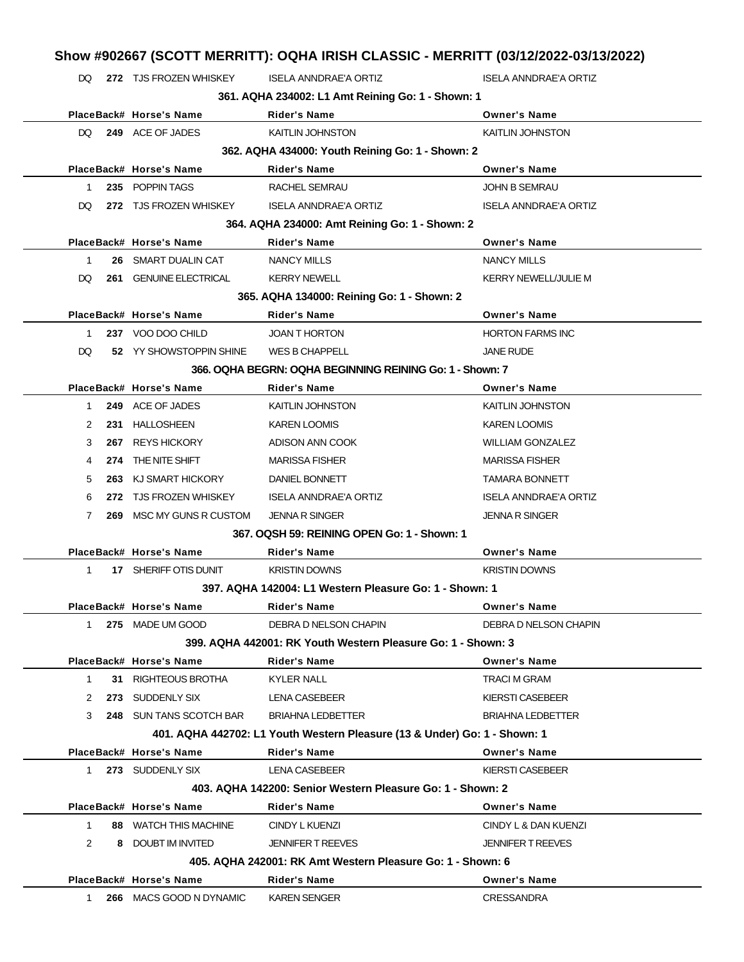| DQ.         |     | 272 TJS FROZEN WHISKEY    | <b>ISELA ANNDRAE'A ORTIZ</b>                                              | <b>ISELA ANNDRAE'A ORTIZ</b> |
|-------------|-----|---------------------------|---------------------------------------------------------------------------|------------------------------|
|             |     |                           | 361. AQHA 234002: L1 Amt Reining Go: 1 - Shown: 1                         |                              |
|             |     | PlaceBack# Horse's Name   | <b>Rider's Name</b>                                                       | <b>Owner's Name</b>          |
| DQ.         |     | 249 ACE OF JADES          | <b>KAITLIN JOHNSTON</b>                                                   | <b>KAITLIN JOHNSTON</b>      |
|             |     |                           | 362. AQHA 434000: Youth Reining Go: 1 - Shown: 2                          |                              |
|             |     | PlaceBack# Horse's Name   | <b>Rider's Name</b>                                                       | <b>Owner's Name</b>          |
| 1           |     | 235 POPPIN TAGS           | <b>RACHEL SEMRAU</b>                                                      | <b>JOHN B SEMRAU</b>         |
| DQ          |     | 272 TJS FROZEN WHISKEY    | ISELA ANNDRAE'A ORTIZ                                                     | ISELA ANNDRAE'A ORTIZ        |
|             |     |                           | 364. AQHA 234000: Amt Reining Go: 1 - Shown: 2                            |                              |
|             |     | PlaceBack# Horse's Name   | <b>Rider's Name</b>                                                       | <b>Owner's Name</b>          |
| 1           | 26  | SMART DUALIN CAT          | <b>NANCY MILLS</b>                                                        | <b>NANCY MILLS</b>           |
| DQ.         | 261 | <b>GENUINE ELECTRICAL</b> | <b>KERRY NEWELL</b>                                                       | <b>KERRY NEWELL/JULIE M</b>  |
|             |     |                           | 365. AQHA 134000: Reining Go: 1 - Shown: 2                                |                              |
|             |     | PlaceBack# Horse's Name   | <b>Rider's Name</b>                                                       | <b>Owner's Name</b>          |
| 1           |     | 237 VOO DOO CHILD         | <b>JOAN T HORTON</b>                                                      | <b>HORTON FARMS INC</b>      |
| DQ          |     | 52 YY SHOWSTOPPIN SHINE   | <b>WES B CHAPPELL</b>                                                     | <b>JANE RUDE</b>             |
|             |     |                           | 366, OQHA BEGRN: OQHA BEGINNING REINING Go: 1 - Shown: 7                  |                              |
|             |     | PlaceBack# Horse's Name   | <b>Rider's Name</b>                                                       | <b>Owner's Name</b>          |
| 1           |     | 249 ACE OF JADES          | <b>KAITLIN JOHNSTON</b>                                                   | <b>KAITLIN JOHNSTON</b>      |
| 2           | 231 | <b>HALLOSHEEN</b>         | <b>KAREN LOOMIS</b>                                                       | <b>KAREN LOOMIS</b>          |
| 3           | 267 | <b>REYS HICKORY</b>       | ADISON ANN COOK                                                           | <b>WILLIAM GONZALEZ</b>      |
| 4           | 274 | THE NITE SHIFT            | <b>MARISSA FISHER</b>                                                     | <b>MARISSA FISHER</b>        |
| 5           | 263 | KJ SMART HICKORY          | DANIEL BONNETT                                                            | <b>TAMARA BONNETT</b>        |
| 6           | 272 | <b>TJS FROZEN WHISKEY</b> | ISELA ANNDRAE'A ORTIZ                                                     | ISELA ANNDRAE'A ORTIZ        |
| 7           | 269 | MSC MY GUNS R CUSTOM      | <b>JENNA R SINGER</b>                                                     | <b>JENNA R SINGER</b>        |
|             |     |                           | 367, OQSH 59: REINING OPEN Go: 1 - Shown: 1                               |                              |
|             |     | PlaceBack# Horse's Name   | Rider's Name                                                              | <b>Owner's Name</b>          |
| 1           |     | 17 SHERIFF OTIS DUNIT     | <b>KRISTIN DOWNS</b>                                                      | <b>KRISTIN DOWNS</b>         |
|             |     |                           | 397. AQHA 142004: L1 Western Pleasure Go: 1 - Shown: 1                    |                              |
|             |     | PlaceBack# Horse's Name   | <b>Rider's Name</b>                                                       | <b>Owner's Name</b>          |
| $1 \quad$   |     | 275 MADE UM GOOD          | DEBRA D NELSON CHAPIN                                                     | DEBRA D NELSON CHAPIN        |
|             |     |                           | 399. AQHA 442001: RK Youth Western Pleasure Go: 1 - Shown: 3              |                              |
|             |     | PlaceBack# Horse's Name   | Rider's Name                                                              | <b>Owner's Name</b>          |
| 1           |     | 31 RIGHTEOUS BROTHA       | <b>KYLER NALL</b>                                                         | <b>TRACI M GRAM</b>          |
| 2           |     | 273 SUDDENLY SIX          | LENA CASEBEER                                                             | KIERSTI CASEBEER             |
| 3           |     | 248 SUN TANS SCOTCH BAR   | <b>BRIAHNA LEDBETTER</b>                                                  | <b>BRIAHNA LEDBETTER</b>     |
|             |     |                           | 401. AQHA 442702: L1 Youth Western Pleasure (13 & Under) Go: 1 - Shown: 1 |                              |
|             |     | PlaceBack# Horse's Name   | Rider's Name                                                              | <b>Owner's Name</b>          |
| 1           |     | 273 SUDDENLY SIX          | LENA CASEBEER                                                             | <b>KIERSTI CASEBEER</b>      |
|             |     |                           | 403. AQHA 142200: Senior Western Pleasure Go: 1 - Shown: 2                |                              |
|             |     | PlaceBack# Horse's Name   | Rider's Name                                                              | <b>Owner's Name</b>          |
| $\mathbf 1$ |     | 88 WATCH THIS MACHINE     | CINDY L KUENZI                                                            | CINDY L & DAN KUENZI         |
| 2           |     | 8 DOUBT IM INVITED        | <b>JENNIFER T REEVES</b>                                                  | <b>JENNIFER T REEVES</b>     |
|             |     |                           | 405. AQHA 242001: RK Amt Western Pleasure Go: 1 - Shown: 6                |                              |
|             |     | PlaceBack# Horse's Name   | Rider's Name                                                              | <b>Owner's Name</b>          |
| 1           |     | 266 MACS GOOD N DYNAMIC   | <b>KAREN SENGER</b>                                                       | <b>CRESSANDRA</b>            |
|             |     |                           |                                                                           |                              |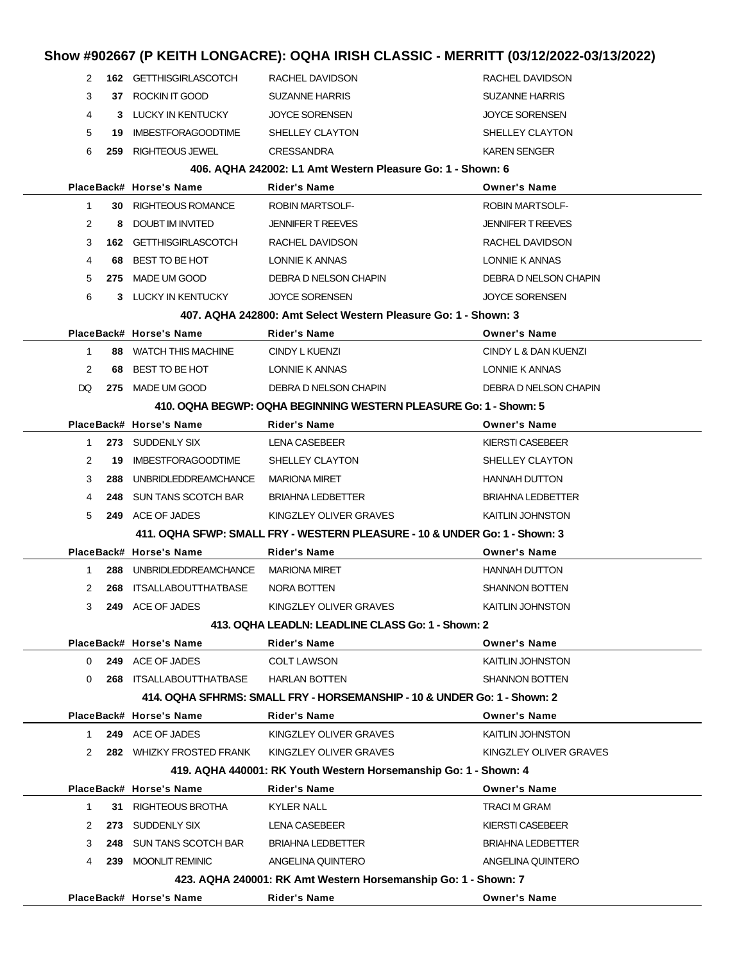# **Show #902667 (P KEITH LONGACRE): OQHA IRISH CLASSIC - MERRITT (03/12/2022-03/13/2022)**

| 2            |     | <b>162 GETTHISGIRLASCOTCH</b>          | RACHEL DAVIDSON                                                            | RACHEL DAVIDSON          |
|--------------|-----|----------------------------------------|----------------------------------------------------------------------------|--------------------------|
| 3            |     | 37 ROCKIN IT GOOD                      | <b>SUZANNE HARRIS</b>                                                      | <b>SUZANNE HARRIS</b>    |
| 4            |     | 3 LUCKY IN KENTUCKY                    | <b>JOYCE SORENSEN</b>                                                      | <b>JOYCE SORENSEN</b>    |
| 5            | 19. | <b>IMBESTFORAGOODTIME</b>              | SHELLEY CLAYTON                                                            | SHELLEY CLAYTON          |
| 6            | 259 | RIGHTEOUS JEWEL                        | <b>CRESSANDRA</b>                                                          | <b>KAREN SENGER</b>      |
|              |     |                                        | 406. AQHA 242002: L1 Amt Western Pleasure Go: 1 - Shown: 6                 |                          |
|              |     | PlaceBack# Horse's Name                | <b>Rider's Name</b>                                                        | <b>Owner's Name</b>      |
| 1            |     | <b>30 RIGHTEOUS ROMANCE</b>            | <b>ROBIN MARTSOLF-</b>                                                     | ROBIN MARTSOLF-          |
| 2            |     | 8 DOUBT IM INVITED                     | <b>JENNIFER T REEVES</b>                                                   | <b>JENNIFER T REEVES</b> |
| 3            |     | <b>162 GETTHISGIRLASCOTCH</b>          | RACHEL DAVIDSON                                                            | RACHEL DAVIDSON          |
| 4            | 68. | BEST TO BE HOT                         | LONNIE K ANNAS                                                             | LONNIE K ANNAS           |
| 5            | 275 | MADE UM GOOD                           | DEBRA D NELSON CHAPIN                                                      | DEBRA D NELSON CHAPIN    |
| 6            |     | 3 LUCKY IN KENTUCKY                    | <b>JOYCE SORENSEN</b>                                                      | <b>JOYCE SORENSEN</b>    |
|              |     |                                        | 407, AQHA 242800: Amt Select Western Pleasure Go: 1 - Shown: 3             |                          |
|              |     | PlaceBack# Horse's Name                | <b>Rider's Name</b>                                                        | <b>Owner's Name</b>      |
| $\mathbf 1$  |     | 88 WATCH THIS MACHINE                  | CINDY L KUENZI                                                             | CINDY L & DAN KUENZI     |
| 2            | 68  | BEST TO BE HOT                         | LONNIE K ANNAS                                                             | LONNIE K ANNAS           |
| DQ           | 275 | MADE UM GOOD                           | DEBRA D NELSON CHAPIN                                                      | DEBRA D NELSON CHAPIN    |
|              |     |                                        | 410. OQHA BEGWP: OQHA BEGINNING WESTERN PLEASURE Go: 1 - Shown: 5          |                          |
|              |     | PlaceBack# Horse's Name                | <b>Rider's Name</b>                                                        | <b>Owner's Name</b>      |
| 1            |     | 273 SUDDENLY SIX                       | LENA CASEBEER                                                              | KIERSTI CASEBEER         |
| 2            | 19  | <b>IMBESTFORAGOODTIME</b>              | SHELLEY CLAYTON                                                            | SHELLEY CLAYTON          |
| 3            | 288 | UNBRIDLEDDREAMCHANCE MARIONA MIRET     |                                                                            | <b>HANNAH DUTTON</b>     |
| 4            | 248 | SUN TANS SCOTCH BAR                    | BRIAHNA LEDBETTER                                                          | BRIAHNA LEDBETTER        |
| 5            |     | 249 ACE OF JADES                       | KINGZLEY OLIVER GRAVES                                                     | <b>KAITLIN JOHNSTON</b>  |
|              |     |                                        | 411. OQHA SFWP: SMALL FRY - WESTERN PLEASURE - 10 & UNDER Go: 1 - Shown: 3 |                          |
|              |     | PlaceBack# Horse's Name                | <b>Rider's Name</b>                                                        | <b>Owner's Name</b>      |
| 1            |     | 288 UNBRIDLEDDREAMCHANCE MARIONA MIRET |                                                                            | <b>HANNAH DUTTON</b>     |
| 2            |     | 268 ITSALLABOUTTHATBASE                | NORA BOTTEN                                                                | <b>SHANNON BOTTEN</b>    |
| 3            |     | 249 ACE OF JADES                       | KINGZLEY OLIVER GRAVES                                                     | KAITLIN JOHNSTON         |
|              |     |                                        | 413. OQHA LEADLN: LEADLINE CLASS Go: 1 - Shown: 2                          |                          |
|              |     | PlaceBack# Horse's Name                | <b>Rider's Name</b>                                                        | <b>Owner's Name</b>      |
| $\Omega$     |     | 249 ACE OF JADES                       | <b>COLT LAWSON</b>                                                         | <b>KAITLIN JOHNSTON</b>  |
| $\Omega$     |     | 268 ITSALLABOUTTHATBASE                | <b>HARLAN BOTTEN</b>                                                       | <b>SHANNON BOTTEN</b>    |
|              |     |                                        | 414, OQHA SFHRMS: SMALL FRY - HORSEMANSHIP - 10 & UNDER Go: 1 - Shown: 2   |                          |
|              |     | PlaceBack# Horse's Name                | <b>Rider's Name</b>                                                        | <b>Owner's Name</b>      |
| $\mathbf 1$  |     | 249 ACE OF JADES                       | KINGZLEY OLIVER GRAVES                                                     | <b>KAITLIN JOHNSTON</b>  |
| 2            |     | 282 WHIZKY FROSTED FRANK               | KINGZLEY OLIVER GRAVES                                                     | KINGZLEY OLIVER GRAVES   |
|              |     |                                        | 419. AQHA 440001: RK Youth Western Horsemanship Go: 1 - Shown: 4           |                          |
|              |     | PlaceBack# Horse's Name                | <b>Rider's Name</b>                                                        | <b>Owner's Name</b>      |
| $\mathbf{1}$ |     | 31 RIGHTEOUS BROTHA                    | <b>KYLER NALL</b>                                                          | <b>TRACI M GRAM</b>      |
| 2            |     | 273 SUDDENLY SIX                       | LENA CASEBEER                                                              | KIERSTI CASEBEER         |
| 3            |     | 248 SUN TANS SCOTCH BAR                | <b>BRIAHNA LEDBETTER</b>                                                   | <b>BRIAHNA LEDBETTER</b> |
| 4            |     | 239 MOONLIT REMINIC                    | ANGELINA QUINTERO                                                          | ANGELINA QUINTERO        |
|              |     |                                        | 423. AQHA 240001: RK Amt Western Horsemanship Go: 1 - Shown: 7             |                          |
|              |     | PlaceBack# Horse's Name                | Rider's Name                                                               | <b>Owner's Name</b>      |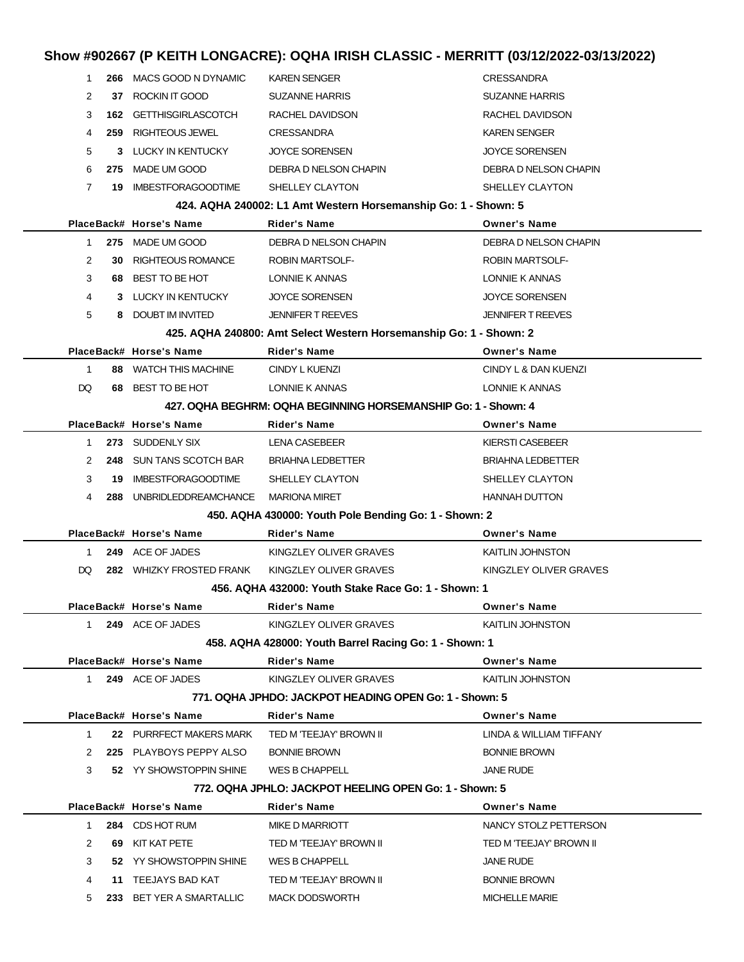### **Show #902667 (P KEITH LONGACRE): OQHA IRISH CLASSIC - MERRITT (03/12/2022-03/13/2022)**

| 1              | 266 | MACS GOOD N DYNAMIC       | <b>KAREN SENGER</b>                                                | <b>CRESSANDRA</b>        |
|----------------|-----|---------------------------|--------------------------------------------------------------------|--------------------------|
| 2              | 37  | ROCKIN IT GOOD            | SUZANNE HARRIS                                                     | <b>SUZANNE HARRIS</b>    |
| 3              | 162 | <b>GETTHISGIRLASCOTCH</b> | RACHEL DAVIDSON                                                    | RACHEL DAVIDSON          |
| 4              | 259 | RIGHTEOUS JEWEL           | <b>CRESSANDRA</b>                                                  | <b>KAREN SENGER</b>      |
| 5              |     | 3 LUCKY IN KENTUCKY       | <b>JOYCE SORENSEN</b>                                              | <b>JOYCE SORENSEN</b>    |
| 6              | 275 | MADE UM GOOD              | DEBRA D NELSON CHAPIN                                              | DEBRA D NELSON CHAPIN    |
| 7              | 19. | <b>IMBESTFORAGOODTIME</b> | SHELLEY CLAYTON                                                    | SHELLEY CLAYTON          |
|                |     |                           | 424. AQHA 240002: L1 Amt Western Horsemanship Go: 1 - Shown: 5     |                          |
|                |     | PlaceBack# Horse's Name   | Rider's Name                                                       | <b>Owner's Name</b>      |
| $\mathbf 1$    |     | 275 MADE UM GOOD          | DEBRA D NELSON CHAPIN                                              | DEBRA D NELSON CHAPIN    |
| 2              | 30  | <b>RIGHTEOUS ROMANCE</b>  | <b>ROBIN MARTSOLF-</b>                                             | <b>ROBIN MARTSOLF-</b>   |
| 3              | 68  | BEST TO BE HOT            | LONNIE K ANNAS                                                     | LONNIE K ANNAS           |
| 4              |     | 3 LUCKY IN KENTUCKY       | <b>JOYCE SORENSEN</b>                                              | <b>JOYCE SORENSEN</b>    |
| 5              |     | 8 DOUBT IM INVITED        | <b>JENNIFER T REEVES</b>                                           | <b>JENNIFER T REEVES</b> |
|                |     |                           | 425. AQHA 240800: Amt Select Western Horsemanship Go: 1 - Shown: 2 |                          |
|                |     | PlaceBack# Horse's Name   | Rider's Name                                                       | <b>Owner's Name</b>      |
| $\mathbf{1}$   |     | 88 WATCH THIS MACHINE     | CINDY L KUENZI                                                     | CINDY L & DAN KUENZI     |
| DQ             |     | 68 BEST TO BE HOT         | LONNIE K ANNAS                                                     | LONNIE K ANNAS           |
|                |     |                           | 427. OQHA BEGHRM: OQHA BEGINNING HORSEMANSHIP Go: 1 - Shown: 4     |                          |
|                |     | PlaceBack# Horse's Name   | Rider's Name                                                       | <b>Owner's Name</b>      |
| $\mathbf 1$    |     | 273 SUDDENLY SIX          | LENA CASEBEER                                                      | KIERSTI CASEBEER         |
| 2              | 248 | SUN TANS SCOTCH BAR       | <b>BRIAHNA LEDBETTER</b>                                           | <b>BRIAHNA LEDBETTER</b> |
| 3              | 19  | <b>IMBESTFORAGOODTIME</b> | SHELLEY CLAYTON                                                    | SHELLEY CLAYTON          |
| 4              | 288 | UNBRIDLEDDREAMCHANCE      | <b>MARIONA MIRET</b>                                               | <b>HANNAH DUTTON</b>     |
|                |     |                           | 450. AQHA 430000: Youth Pole Bending Go: 1 - Shown: 2              |                          |
|                |     | PlaceBack# Horse's Name   | <b>Rider's Name</b>                                                | <b>Owner's Name</b>      |
| $\mathbf 1$    |     | 249 ACE OF JADES          | KINGZLEY OLIVER GRAVES                                             | KAITLIN JOHNSTON         |
| DQ             |     | 282 WHIZKY FROSTED FRANK  | KINGZLEY OLIVER GRAVES                                             | KINGZLEY OLIVER GRAVES   |
|                |     |                           | 456. AQHA 432000: Youth Stake Race Go: 1 - Shown: 1                |                          |
|                |     | PlaceBack# Horse's Name   | Rider's Name                                                       | <b>Owner's Name</b>      |
| 1              |     | 249 ACE OF JADES          | KINGZLEY OLIVER GRAVES                                             | KAITLIN JOHNSTON         |
|                |     |                           | 458. AQHA 428000: Youth Barrel Racing Go: 1 - Shown: 1             |                          |
|                |     | PlaceBack# Horse's Name   | <b>Rider's Name</b>                                                | <b>Owner's Name</b>      |
| 1.             |     | 249 ACE OF JADES          | KINGZLEY OLIVER GRAVES                                             | KAITLIN JOHNSTON         |
|                |     |                           | 771, OQHA JPHDO: JACKPOT HEADING OPEN Go: 1 - Shown: 5             |                          |
|                |     | PlaceBack# Horse's Name   | <b>Rider's Name</b>                                                | <b>Owner's Name</b>      |
| $\mathbf{1}$   |     | 22 PURRFECT MAKERS MARK   | TED M 'TEEJAY' BROWN II                                            | LINDA & WILLIAM TIFFANY  |
| 2              |     | 225 PLAYBOYS PEPPY ALSO   | <b>BONNIE BROWN</b>                                                | <b>BONNIE BROWN</b>      |
| 3              |     | 52 YY SHOWSTOPPIN SHINE   | WES B CHAPPELL                                                     | <b>JANE RUDE</b>         |
|                |     |                           | 772. OQHA JPHLO: JACKPOT HEELING OPEN Go: 1 - Shown: 5             |                          |
|                |     | PlaceBack# Horse's Name   | <b>Rider's Name</b>                                                | <b>Owner's Name</b>      |
| 1.             |     | 284 CDS HOT RUM           | MIKE D MARRIOTT                                                    | NANCY STOLZ PETTERSON    |
| $\overline{2}$ |     | 69 KIT KAT PETE           | TED M 'TEEJAY' BROWN II                                            | TED M 'TEEJAY' BROWN II  |
| 3              |     | 52 YY SHOWSTOPPIN SHINE   | WES B CHAPPELL                                                     | <b>JANE RUDE</b>         |
| 4              |     | 11 TEEJAYS BAD KAT        | TED M 'TEEJAY' BROWN II                                            | <b>BONNIE BROWN</b>      |
| 5              |     | 233 BET YER A SMARTALLIC  | <b>MACK DODSWORTH</b>                                              | <b>MICHELLE MARIE</b>    |
|                |     |                           |                                                                    |                          |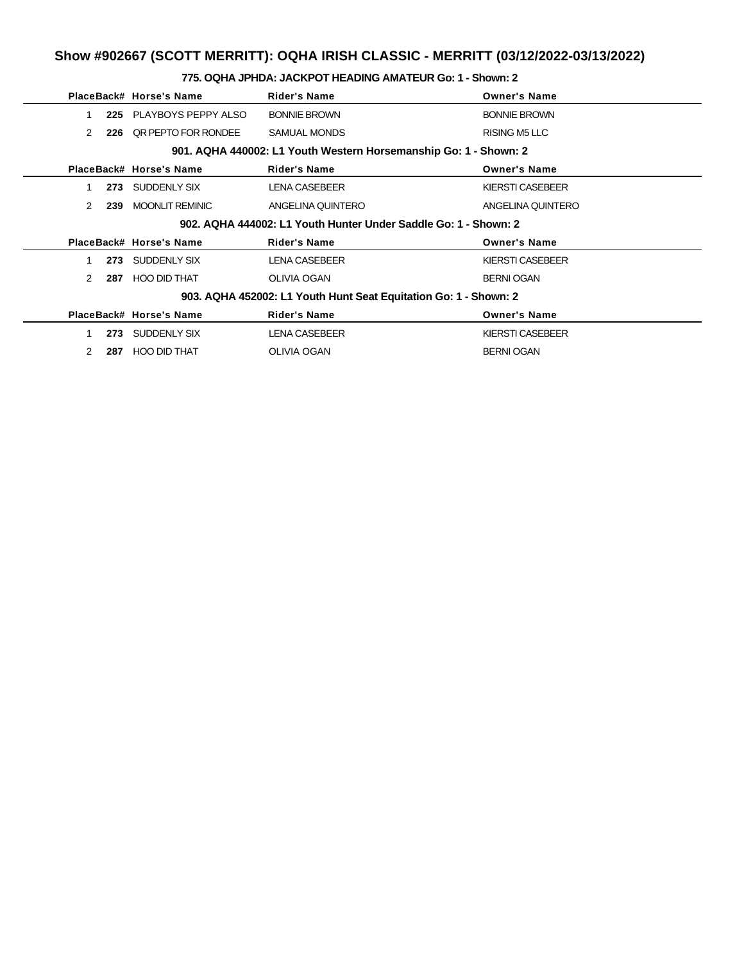|                                                                  | PlaceBack# Horse's Name | <b>Rider's Name</b>                                             | <b>Owner's Name</b>  |  |  |  |  |
|------------------------------------------------------------------|-------------------------|-----------------------------------------------------------------|----------------------|--|--|--|--|
| 225                                                              | PLAYBOYS PEPPY ALSO     | <b>BONNIE BROWN</b>                                             | <b>BONNIE BROWN</b>  |  |  |  |  |
| 2<br>226                                                         | QR PEPTO FOR RONDEE     | <b>SAMUAL MONDS</b>                                             | <b>RISING M5 LLC</b> |  |  |  |  |
| 901. AQHA 440002: L1 Youth Western Horsemanship Go: 1 - Shown: 2 |                         |                                                                 |                      |  |  |  |  |
|                                                                  | PlaceBack# Horse's Name | <b>Rider's Name</b>                                             | <b>Owner's Name</b>  |  |  |  |  |
| 273                                                              | SUDDENLY SIX            | <b>LENA CASEBEER</b>                                            | KIERSTI CASEBEER     |  |  |  |  |
| 2<br>239                                                         | <b>MOONLIT REMINIC</b>  | ANGELINA QUINTERO                                               | ANGELINA QUINTERO    |  |  |  |  |
|                                                                  |                         | 902. AQHA 444002: L1 Youth Hunter Under Saddle Go: 1 - Shown: 2 |                      |  |  |  |  |
|                                                                  | PlaceBack# Horse's Name | <b>Rider's Name</b>                                             | <b>Owner's Name</b>  |  |  |  |  |
| 273                                                              | SUDDENLY SIX            | <b>LENA CASEBEER</b>                                            | KIERSTI CASEBEER     |  |  |  |  |
| 2<br>287                                                         | <b>HOO DID THAT</b>     | <b>OLIVIA OGAN</b>                                              | <b>BERNI OGAN</b>    |  |  |  |  |
| 903. AQHA 452002: L1 Youth Hunt Seat Equitation Go: 1 - Shown: 2 |                         |                                                                 |                      |  |  |  |  |
|                                                                  | PlaceBack# Horse's Name | <b>Rider's Name</b>                                             | <b>Owner's Name</b>  |  |  |  |  |
| 273                                                              | SUDDENLY SIX            | <b>LENA CASEBEER</b>                                            | KIERSTI CASEBEER     |  |  |  |  |
| 2<br>287                                                         | HOO DID THAT            | <b>OLIVIA OGAN</b>                                              | <b>BERNI OGAN</b>    |  |  |  |  |

#### **775. OQHA JPHDA: JACKPOT HEADING AMATEUR Go: 1 - Shown: 2**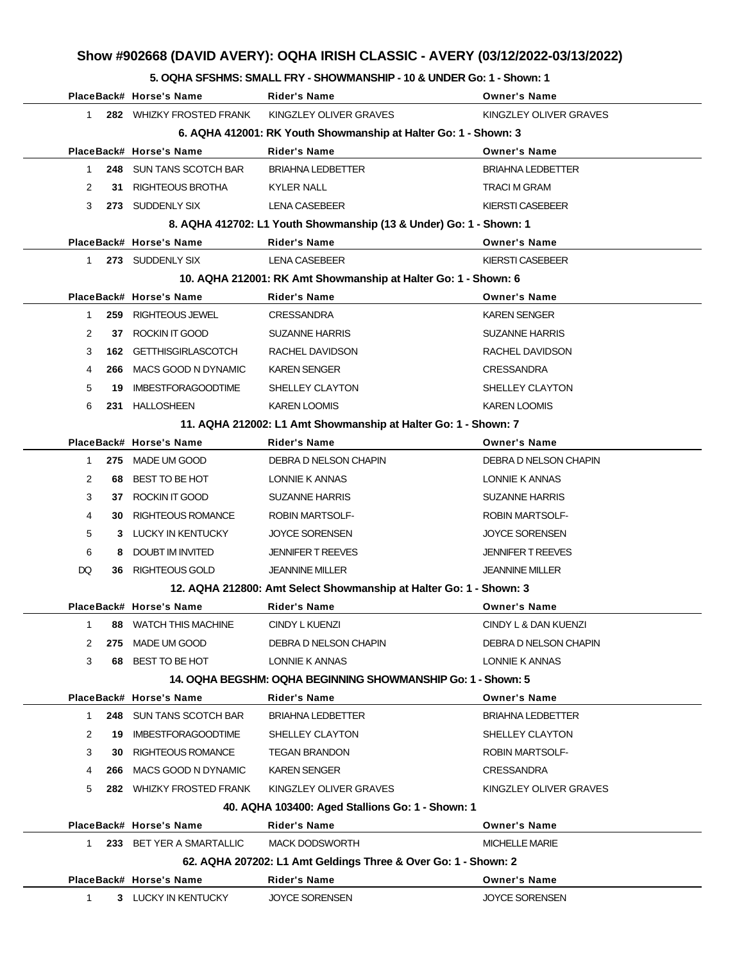### **Show #902668 (DAVID AVERY): OQHA IRISH CLASSIC - AVERY (03/12/2022-03/13/2022)**

#### **5. OQHA SFSHMS: SMALL FRY - SHOWMANSHIP - 10 & UNDER Go: 1 - Shown: 1**

|                                                                 |     | PlaceBack# Horse's Name       | Rider's Name                                                       | <b>Owner's Name</b>      |  |  |  |
|-----------------------------------------------------------------|-----|-------------------------------|--------------------------------------------------------------------|--------------------------|--|--|--|
| $\mathbf{1}$                                                    |     | 282 WHIZKY FROSTED FRANK      | KINGZLEY OLIVER GRAVES                                             | KINGZLEY OLIVER GRAVES   |  |  |  |
| 6. AQHA 412001: RK Youth Showmanship at Halter Go: 1 - Shown: 3 |     |                               |                                                                    |                          |  |  |  |
|                                                                 |     | PlaceBack# Horse's Name       | <b>Rider's Name</b>                                                | <b>Owner's Name</b>      |  |  |  |
| $\mathbf{1}$                                                    |     | 248 SUN TANS SCOTCH BAR       | <b>BRIAHNA LEDBETTER</b>                                           | <b>BRIAHNA LEDBETTER</b> |  |  |  |
| 2                                                               | 31  | RIGHTEOUS BROTHA              | <b>KYLER NALL</b>                                                  | <b>TRACI M GRAM</b>      |  |  |  |
| 3                                                               |     | 273 SUDDENLY SIX              | LENA CASEBEER                                                      | KIERSTI CASEBEER         |  |  |  |
|                                                                 |     |                               | 8. AQHA 412702: L1 Youth Showmanship (13 & Under) Go: 1 - Shown: 1 |                          |  |  |  |
|                                                                 |     | PlaceBack# Horse's Name       | <b>Rider's Name</b>                                                | <b>Owner's Name</b>      |  |  |  |
| $\mathbf{1}$                                                    |     | 273 SUDDENLY SIX              | <b>LENA CASEBEER</b>                                               | <b>KIERSTI CASEBEER</b>  |  |  |  |
|                                                                 |     |                               | 10. AQHA 212001: RK Amt Showmanship at Halter Go: 1 - Shown: 6     |                          |  |  |  |
|                                                                 |     | PlaceBack# Horse's Name       | <b>Rider's Name</b>                                                | <b>Owner's Name</b>      |  |  |  |
| $\mathbf{1}$                                                    |     | 259 RIGHTEOUS JEWEL           | <b>CRESSANDRA</b>                                                  | <b>KAREN SENGER</b>      |  |  |  |
| 2                                                               |     | 37 ROCKIN IT GOOD             | <b>SUZANNE HARRIS</b>                                              | <b>SUZANNE HARRIS</b>    |  |  |  |
| 3                                                               |     | <b>162 GETTHISGIRLASCOTCH</b> | RACHEL DAVIDSON                                                    | RACHEL DAVIDSON          |  |  |  |
| 4                                                               | 266 | MACS GOOD N DYNAMIC           | <b>KAREN SENGER</b>                                                | <b>CRESSANDRA</b>        |  |  |  |
| 5                                                               | 19  | <b>IMBESTFORAGOODTIME</b>     | SHELLEY CLAYTON                                                    | SHELLEY CLAYTON          |  |  |  |
| 6                                                               |     | 231 HALLOSHEEN                | <b>KAREN LOOMIS</b>                                                | <b>KAREN LOOMIS</b>      |  |  |  |
|                                                                 |     |                               | 11. AQHA 212002: L1 Amt Showmanship at Halter Go: 1 - Shown: 7     |                          |  |  |  |
|                                                                 |     | PlaceBack# Horse's Name       | <b>Rider's Name</b>                                                | <b>Owner's Name</b>      |  |  |  |
| $\mathbf{1}$                                                    |     | 275 MADE UM GOOD              | DEBRA D NELSON CHAPIN                                              | DEBRA D NELSON CHAPIN    |  |  |  |
| 2                                                               |     | 68 BEST TO BE HOT             | LONNIE K ANNAS                                                     | LONNIE K ANNAS           |  |  |  |
| 3                                                               |     | 37 ROCKIN IT GOOD             | <b>SUZANNE HARRIS</b>                                              | <b>SUZANNE HARRIS</b>    |  |  |  |
| 4                                                               |     | <b>30 RIGHTEOUS ROMANCE</b>   | <b>ROBIN MARTSOLF-</b>                                             | <b>ROBIN MARTSOLF-</b>   |  |  |  |
| 5                                                               |     | 3 LUCKY IN KENTUCKY           | <b>JOYCE SORENSEN</b>                                              | <b>JOYCE SORENSEN</b>    |  |  |  |
| 6                                                               | 8   | DOUBT IM INVITED              | <b>JENNIFER T REEVES</b>                                           | <b>JENNIFER T REEVES</b> |  |  |  |
| DQ                                                              |     | 36 RIGHTEOUS GOLD             | <b>JEANNINE MILLER</b>                                             | <b>JEANNINE MILLER</b>   |  |  |  |
|                                                                 |     |                               | 12. AQHA 212800: Amt Select Showmanship at Halter Go: 1 - Shown: 3 |                          |  |  |  |
|                                                                 |     | PlaceBack# Horse's Name       | <b>Rider's Name</b>                                                | <b>Owner's Name</b>      |  |  |  |
| $\mathbf{1}$                                                    |     | 88 WATCH THIS MACHINE         | CINDY L KUENZI                                                     | CINDY L & DAN KUENZI     |  |  |  |
| 2                                                               |     | 275 MADE UM GOOD              | DEBRA D NELSON CHAPIN                                              | DEBRA D NELSON CHAPIN    |  |  |  |
| 3                                                               |     | 68 BEST TO BE HOT             | LONNIE K ANNAS                                                     | LONNIE K ANNAS           |  |  |  |
|                                                                 |     |                               | 14. OQHA BEGSHM: OQHA BEGINNING SHOWMANSHIP Go: 1 - Shown: 5       |                          |  |  |  |
|                                                                 |     | PlaceBack# Horse's Name       | <b>Rider's Name</b>                                                | <b>Owner's Name</b>      |  |  |  |
| $\mathbf{1}$                                                    |     | 248 SUN TANS SCOTCH BAR       | <b>BRIAHNA LEDBETTER</b>                                           | <b>BRIAHNA LEDBETTER</b> |  |  |  |
| 2                                                               |     | 19 IMBESTFORAGOODTIME         | SHELLEY CLAYTON                                                    | SHELLEY CLAYTON          |  |  |  |
| 3                                                               |     | <b>30 RIGHTEOUS ROMANCE</b>   | <b>TEGAN BRANDON</b>                                               | <b>ROBIN MARTSOLF-</b>   |  |  |  |
| 4                                                               |     | 266 MACS GOOD N DYNAMIC       | <b>KAREN SENGER</b>                                                | <b>CRESSANDRA</b>        |  |  |  |
| 5                                                               |     | 282 WHIZKY FROSTED FRANK      | KINGZLEY OLIVER GRAVES                                             | KINGZLEY OLIVER GRAVES   |  |  |  |
|                                                                 |     |                               | 40. AQHA 103400: Aged Stallions Go: 1 - Shown: 1                   |                          |  |  |  |
|                                                                 |     | PlaceBack# Horse's Name       | <b>Rider's Name</b>                                                | <b>Owner's Name</b>      |  |  |  |
| $1 \quad$                                                       |     | 233 BET YER A SMARTALLIC      | <b>MACK DODSWORTH</b>                                              | <b>MICHELLE MARIE</b>    |  |  |  |
|                                                                 |     |                               | 62. AQHA 207202: L1 Amt Geldings Three & Over Go: 1 - Shown: 2     |                          |  |  |  |
|                                                                 |     | PlaceBack# Horse's Name       | <b>Rider's Name</b>                                                | <b>Owner's Name</b>      |  |  |  |
| $\mathbf 1$                                                     |     | 3 LUCKY IN KENTUCKY           | <b>JOYCE SORENSEN</b>                                              | <b>JOYCE SORENSEN</b>    |  |  |  |
|                                                                 |     |                               |                                                                    |                          |  |  |  |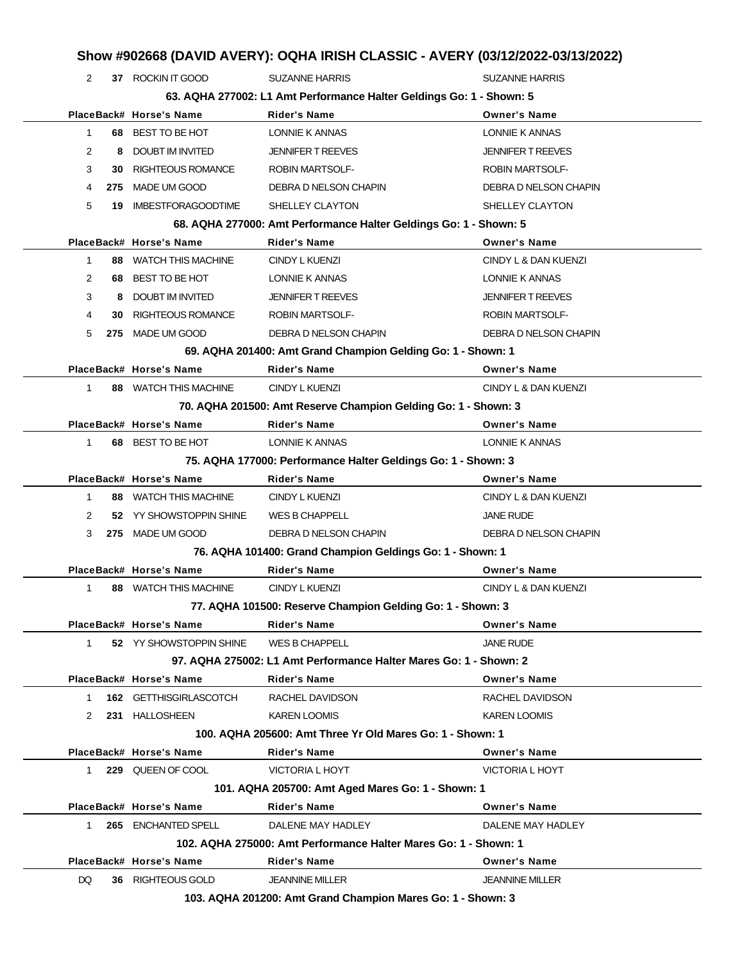| 2              |    | 37 ROCKIN IT GOOD         | <b>SUZANNE HARRIS</b>                                                | <b>SUZANNE HARRIS</b>    |
|----------------|----|---------------------------|----------------------------------------------------------------------|--------------------------|
|                |    |                           | 63. AQHA 277002: L1 Amt Performance Halter Geldings Go: 1 - Shown: 5 |                          |
|                |    | PlaceBack# Horse's Name   | <b>Rider's Name</b>                                                  | <b>Owner's Name</b>      |
| 1              |    | 68 BEST TO BE HOT         | LONNIE K ANNAS                                                       | LONNIE K ANNAS           |
| $\overline{2}$ | 8  | DOUBT IM INVITED          | <b>JENNIFER T REEVES</b>                                             | <b>JENNIFER T REEVES</b> |
| 3              | 30 | <b>RIGHTEOUS ROMANCE</b>  | <b>ROBIN MARTSOLF-</b>                                               | <b>ROBIN MARTSOLF-</b>   |
| 4              |    | 275 MADE UM GOOD          | DEBRA D NELSON CHAPIN                                                | DEBRA D NELSON CHAPIN    |
| 5              | 19 | <b>IMBESTFORAGOODTIME</b> | SHELLEY CLAYTON                                                      | SHELLEY CLAYTON          |
|                |    |                           | 68. AQHA 277000: Amt Performance Halter Geldings Go: 1 - Shown: 5    |                          |
|                |    | PlaceBack# Horse's Name   | <b>Rider's Name</b>                                                  | <b>Owner's Name</b>      |
| 1              |    | 88 WATCH THIS MACHINE     | CINDY L KUENZI                                                       | CINDY L & DAN KUENZI     |
| 2              |    | 68 BEST TO BE HOT         | LONNIE K ANNAS                                                       | LONNIE K ANNAS           |
| 3              | 8  | DOUBT IM INVITED          | <b>JENNIFER T REEVES</b>                                             | <b>JENNIFER T REEVES</b> |
| 4              | 30 | <b>RIGHTEOUS ROMANCE</b>  | <b>ROBIN MARTSOLF-</b>                                               | <b>ROBIN MARTSOLF-</b>   |
| 5              |    | 275 MADE UM GOOD          | DEBRA D NELSON CHAPIN                                                | DEBRA D NELSON CHAPIN    |
|                |    |                           | 69. AQHA 201400: Amt Grand Champion Gelding Go: 1 - Shown: 1         |                          |
|                |    | PlaceBack# Horse's Name   | <b>Rider's Name</b>                                                  | <b>Owner's Name</b>      |
| 1              |    | 88 WATCH THIS MACHINE     | CINDY L KUENZI                                                       | CINDY L & DAN KUENZI     |
|                |    |                           | 70. AQHA 201500: Amt Reserve Champion Gelding Go: 1 - Shown: 3       |                          |
|                |    | PlaceBack# Horse's Name   | <b>Rider's Name</b>                                                  | <b>Owner's Name</b>      |
| $\mathbf{1}$   |    | 68 BEST TO BE HOT         | LONNIE K ANNAS                                                       | LONNIE K ANNAS           |
|                |    |                           | 75. AQHA 177000: Performance Halter Geldings Go: 1 - Shown: 3        |                          |
|                |    | PlaceBack# Horse's Name   | <b>Rider's Name</b>                                                  | <b>Owner's Name</b>      |
| 1              |    | 88 WATCH THIS MACHINE     | CINDY L KUENZI                                                       | CINDY L & DAN KUENZI     |
| 2              |    | 52 YY SHOWSTOPPIN SHINE   | WES B CHAPPELL                                                       | <b>JANE RUDE</b>         |
| 3              |    | 275 MADE UM GOOD          | DEBRA D NELSON CHAPIN                                                | DEBRA D NELSON CHAPIN    |
|                |    |                           | 76. AQHA 101400: Grand Champion Geldings Go: 1 - Shown: 1            |                          |
|                |    | PlaceBack# Horse's Name   | Rider's Name                                                         | <b>Owner's Name</b>      |
| $\mathbf{1}$   |    | 88 WATCH THIS MACHINE     | CINDY L KUENZI                                                       | CINDY L & DAN KUENZI     |
|                |    |                           | 77. AQHA 101500: Reserve Champion Gelding Go: 1 - Shown: 3           |                          |
|                |    | PlaceBack# Horse's Name   | <b>Rider's Name</b>                                                  | <b>Owner's Name</b>      |
|                |    | 52 YY SHOWSTOPPIN SHINE   | <b>WES B CHAPPELL</b>                                                | <b>JANE RUDE</b>         |
| $\mathbf{1}$   |    |                           | 97. AQHA 275002: L1 Amt Performance Halter Mares Go: 1 - Shown: 2    |                          |
|                |    | PlaceBack# Horse's Name   | Rider's Name                                                         | <b>Owner's Name</b>      |
|                |    |                           |                                                                      |                          |
| $\mathbf{1}$   |    | 162 GETTHISGIRLASCOTCH    | RACHEL DAVIDSON                                                      | RACHEL DAVIDSON          |
| 2              |    | 231 HALLOSHEEN            | <b>KAREN LOOMIS</b>                                                  | <b>KAREN LOOMIS</b>      |
|                |    |                           | 100. AQHA 205600: Amt Three Yr Old Mares Go: 1 - Shown: 1            |                          |
|                |    | PlaceBack# Horse's Name   | Rider's Name                                                         | <b>Owner's Name</b>      |
| 1.             |    | 229 QUEEN OF COOL         | VICTORIA L HOYT                                                      | VICTORIA L HOYT          |
|                |    |                           | 101. AQHA 205700: Amt Aged Mares Go: 1 - Shown: 1                    |                          |
|                |    | PlaceBack# Horse's Name   | <b>Rider's Name</b>                                                  | <b>Owner's Name</b>      |
| $1 \quad$      |    | 265 ENCHANTED SPELL       | DALENE MAY HADLEY                                                    | DALENE MAY HADLEY        |
|                |    |                           | 102. AQHA 275000: Amt Performance Halter Mares Go: 1 - Shown: 1      |                          |
|                |    | PlaceBack# Horse's Name   | <b>Rider's Name</b>                                                  | <b>Owner's Name</b>      |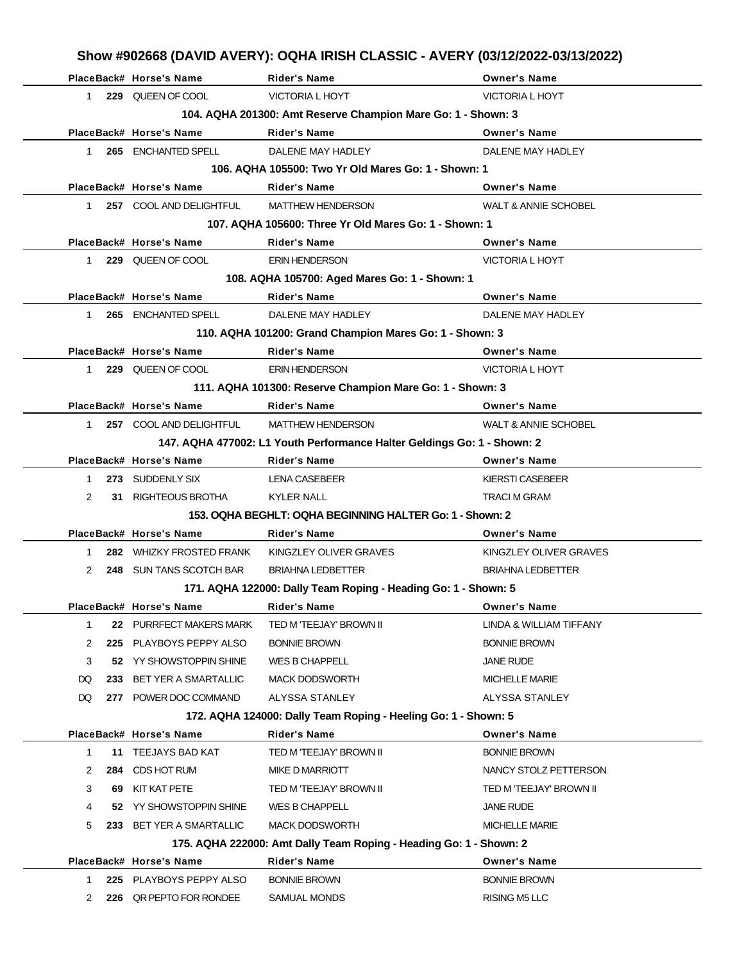|              |     | PlaceBack# Horse's Name     | <b>Rider's Name</b>                                                     | <b>Owner's Name</b>             |
|--------------|-----|-----------------------------|-------------------------------------------------------------------------|---------------------------------|
| $1 \quad$    |     | 229 QUEEN OF COOL           | <b>VICTORIA L HOYT</b>                                                  | <b>VICTORIA L HOYT</b>          |
|              |     |                             | 104. AQHA 201300: Amt Reserve Champion Mare Go: 1 - Shown: 3            |                                 |
|              |     | PlaceBack# Horse's Name     | <b>Rider's Name</b>                                                     | <b>Owner's Name</b>             |
| $1 \quad$    |     | 265 ENCHANTED SPELL         | DALENE MAY HADLEY                                                       | DALENE MAY HADLEY               |
|              |     |                             | 106. AQHA 105500: Two Yr Old Mares Go: 1 - Shown: 1                     |                                 |
|              |     | PlaceBack# Horse's Name     | <b>Rider's Name</b>                                                     | <b>Owner's Name</b>             |
| $1 \quad$    |     | 257 COOL AND DELIGHTFUL     | <b>MATTHEW HENDERSON</b>                                                | <b>WALT &amp; ANNIE SCHOBEL</b> |
|              |     |                             | 107. AQHA 105600: Three Yr Old Mares Go: 1 - Shown: 1                   |                                 |
|              |     | PlaceBack# Horse's Name     | <b>Rider's Name</b>                                                     | <b>Owner's Name</b>             |
| $1 \quad$    |     | 229 QUEEN OF COOL           | <b>ERIN HENDERSON</b>                                                   | <b>VICTORIA L HOYT</b>          |
|              |     |                             | 108. AQHA 105700: Aged Mares Go: 1 - Shown: 1                           |                                 |
|              |     | PlaceBack# Horse's Name     | <b>Rider's Name</b>                                                     | <b>Owner's Name</b>             |
| $1 \quad$    |     | 265 ENCHANTED SPELL         | DALENE MAY HADLEY                                                       | DALENE MAY HADLEY               |
|              |     |                             | 110. AQHA 101200: Grand Champion Mares Go: 1 - Shown: 3                 |                                 |
|              |     | PlaceBack# Horse's Name     | <b>Rider's Name</b>                                                     | <b>Owner's Name</b>             |
| $1 \quad$    |     | 229 QUEEN OF COOL           | <b>ERIN HENDERSON</b>                                                   | <b>VICTORIA L HOYT</b>          |
|              |     |                             | 111. AQHA 101300: Reserve Champion Mare Go: 1 - Shown: 3                |                                 |
|              |     | PlaceBack# Horse's Name     | <b>Rider's Name</b>                                                     | <b>Owner's Name</b>             |
| $1 \quad$    |     | 257 COOL AND DELIGHTFUL     | <b>MATTHEW HENDERSON</b>                                                | <b>WALT &amp; ANNIE SCHOBEL</b> |
|              |     |                             | 147. AQHA 477002: L1 Youth Performance Halter Geldings Go: 1 - Shown: 2 |                                 |
|              |     | PlaceBack# Horse's Name     | <b>Rider's Name</b>                                                     | <b>Owner's Name</b>             |
| $1 \quad$    |     | 273 SUDDENLY SIX            | LENA CASEBEER                                                           | <b>KIERSTI CASEBEER</b>         |
| 2            |     | 31 RIGHTEOUS BROTHA         | <b>KYLER NALL</b>                                                       | <b>TRACI M GRAM</b>             |
|              |     |                             | 153, OQHA BEGHLT: OQHA BEGINNING HALTER Go: 1 - Shown: 2                |                                 |
|              |     | PlaceBack# Horse's Name     | <b>Rider's Name</b>                                                     | <b>Owner's Name</b>             |
| $1 \quad$    |     | 282 WHIZKY FROSTED FRANK    | KINGZLEY OLIVER GRAVES                                                  | KINGZLEY OLIVER GRAVES          |
| 2            |     | 248 SUN TANS SCOTCH BAR     | <b>BRIAHNA LEDBETTER</b>                                                | <b>BRIAHNA LEDBETTER</b>        |
|              |     |                             | 171. AQHA 122000: Dally Team Roping - Heading Go: 1 - Shown: 5          |                                 |
|              |     | PlaceBack# Horse's Name     | Rider's Name <b>Example 20</b>                                          | Owner's Name                    |
| 1            |     | 22 PURRFECT MAKERS MARK     | TED M 'TEEJAY' BROWN II                                                 | LINDA & WILLIAM TIFFANY         |
| 2            |     | 225 PLAYBOYS PEPPY ALSO     | <b>BONNIE BROWN</b>                                                     | <b>BONNIE BROWN</b>             |
| 3            |     | 52 YY SHOWSTOPPIN SHINE     | WES B CHAPPELL                                                          | JANE RUDE                       |
| DQ           | 233 | <b>BET YER A SMARTALLIC</b> | <b>MACK DODSWORTH</b>                                                   | <b>MICHELLE MARIE</b>           |
| DQ           |     | 277 POWER DOC COMMAND       | ALYSSA STANLEY                                                          | <b>ALYSSA STANLEY</b>           |
|              |     |                             | 172. AQHA 124000: Dally Team Roping - Heeling Go: 1 - Shown: 5          |                                 |
|              |     | PlaceBack# Horse's Name     | <b>Rider's Name</b>                                                     | <b>Owner's Name</b>             |
| $\mathbf{1}$ |     | 11 TEEJAYS BAD KAT          | TED M 'TEEJAY' BROWN II                                                 | <b>BONNIE BROWN</b>             |
| 2            |     | 284 CDS HOT RUM             | <b>MIKE D MARRIOTT</b>                                                  | NANCY STOLZ PETTERSON           |
| 3            |     | 69 KIT KAT PETE             | TED M 'TEEJAY' BROWN II                                                 | TED M 'TEEJAY' BROWN II         |
| 4            |     | 52 YY SHOWSTOPPIN SHINE     | WES B CHAPPELL                                                          | <b>JANE RUDE</b>                |
| 5            |     | 233 BET YER A SMARTALLIC    | <b>MACK DODSWORTH</b>                                                   | <b>MICHELLE MARIE</b>           |
|              |     |                             | 175. AQHA 222000: Amt Dally Team Roping - Heading Go: 1 - Shown: 2      |                                 |
|              |     | PlaceBack# Horse's Name     | <b>Rider's Name</b>                                                     | <b>Owner's Name</b>             |
| 1            |     | 225 PLAYBOYS PEPPY ALSO     | <b>BONNIE BROWN</b>                                                     | <b>BONNIE BROWN</b>             |
| 2            |     | 226 QR PEPTO FOR RONDEE     | SAMUAL MONDS                                                            | RISING M5 LLC                   |
|              |     |                             |                                                                         |                                 |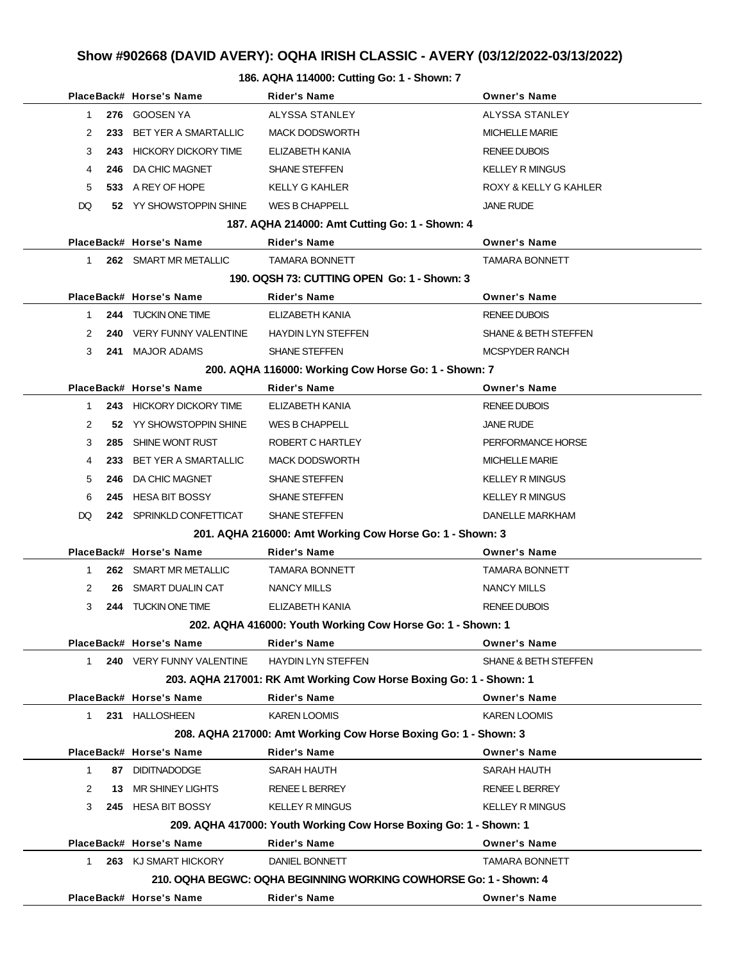### **Show #902668 (DAVID AVERY): OQHA IRISH CLASSIC - AVERY (03/12/2022-03/13/2022)**

#### **186. AQHA 114000: Cutting Go: 1 - Shown: 7**

|    |                    | PlaceBack# Horse's Name     | <b>Rider's Name</b>                                                | <b>Owner's Name</b>             |
|----|--------------------|-----------------------------|--------------------------------------------------------------------|---------------------------------|
|    | $\mathbf 1$        | 276 GOOSEN YA               | ALYSSA STANLEY                                                     | ALYSSA STANLEY                  |
|    | 2<br>233           | <b>BET YER A SMARTALLIC</b> | <b>MACK DODSWORTH</b>                                              | <b>MICHELLE MARIE</b>           |
|    | 3                  | 243 HICKORY DICKORY TIME    | ELIZABETH KANIA                                                    | <b>RENEE DUBOIS</b>             |
|    | 4<br>246           | DA CHIC MAGNET              | <b>SHANE STEFFEN</b>                                               | <b>KELLEY R MINGUS</b>          |
|    | 5                  | 533 A REY OF HOPE           | <b>KELLY G KAHLER</b>                                              | ROXY & KELLY G KAHLER           |
| DQ |                    | 52 YY SHOWSTOPPIN SHINE     | <b>WES B CHAPPELL</b>                                              | <b>JANE RUDE</b>                |
|    |                    |                             | 187. AQHA 214000: Amt Cutting Go: 1 - Shown: 4                     |                                 |
|    |                    | PlaceBack# Horse's Name     | <b>Rider's Name</b>                                                | <b>Owner's Name</b>             |
|    | $\mathbf 1$        | 262 SMART MR METALLIC       | <b>TAMARA BONNETT</b>                                              | TAMARA BONNETT                  |
|    |                    |                             | 190, OQSH 73: CUTTING OPEN Go: 1 - Shown: 3                        |                                 |
|    |                    | PlaceBack# Horse's Name     | Rider's Name                                                       | <b>Owner's Name</b>             |
|    | 1                  | 244 TUCKIN ONE TIME         | ELIZABETH KANIA                                                    | <b>RENEE DUBOIS</b>             |
|    | 2<br>240           | VERY FUNNY VALENTINE        | <b>HAYDIN LYN STEFFEN</b>                                          | <b>SHANE &amp; BETH STEFFEN</b> |
|    | 3<br>241           | <b>MAJOR ADAMS</b>          | <b>SHANE STEFFEN</b>                                               | <b>MCSPYDER RANCH</b>           |
|    |                    |                             | 200. AQHA 116000: Working Cow Horse Go: 1 - Shown: 7               |                                 |
|    |                    | PlaceBack# Horse's Name     | <b>Rider's Name</b>                                                | <b>Owner's Name</b>             |
|    | $\mathbf 1$        | 243 HICKORY DICKORY TIME    | ELIZABETH KANIA                                                    | <b>RENEE DUBOIS</b>             |
|    | 2                  | 52 YY SHOWSTOPPIN SHINE     | <b>WES B CHAPPELL</b>                                              | <b>JANE RUDE</b>                |
|    | 285<br>3           | SHINE WONT RUST             | ROBERT C HARTLEY                                                   | PERFORMANCE HORSE               |
|    | 4<br>233           | BET YER A SMARTALLIC        | <b>MACK DODSWORTH</b>                                              | <b>MICHELLE MARIE</b>           |
|    | 5<br>246           | DA CHIC MAGNET              | <b>SHANE STEFFEN</b>                                               | <b>KELLEY R MINGUS</b>          |
|    | 6<br>245           | HESA BIT BOSSY              | <b>SHANE STEFFEN</b>                                               | <b>KELLEY R MINGUS</b>          |
|    | DQ                 | 242 SPRINKLD CONFETTICAT    | <b>SHANE STEFFEN</b>                                               | DANELLE MARKHAM                 |
|    |                    |                             | 201. AQHA 216000: Amt Working Cow Horse Go: 1 - Shown: 3           |                                 |
|    |                    | PlaceBack# Horse's Name     | <b>Rider's Name</b>                                                | <b>Owner's Name</b>             |
|    | $\mathbf 1$<br>262 | SMART MR METALLIC           | <b>TAMARA BONNETT</b>                                              | <b>TAMARA BONNETT</b>           |
|    | 2<br>26            | SMART DUALIN CAT            | NANCY MILLS                                                        | NANCY MILLS                     |
|    | 3                  | 244 TUCKIN ONE TIME         | ELIZABETH KANIA                                                    | <b>RENEE DUBOIS</b>             |
|    |                    |                             | 202. AQHA 416000: Youth Working Cow Horse Go: 1 - Shown: 1         |                                 |
|    |                    | PlaceBack# Horse's Name     | <b>Rider's Name</b>                                                | <b>Owner's Name</b>             |
|    | 1                  | 240 VERY FUNNY VALENTINE    | <b>HAYDIN LYN STEFFEN</b>                                          | <b>SHANE &amp; BETH STEFFEN</b> |
|    |                    |                             | 203. AQHA 217001: RK Amt Working Cow Horse Boxing Go: 1 - Shown: 1 |                                 |
|    |                    | PlaceBack# Horse's Name     | <b>Rider's Name</b>                                                | <b>Owner's Name</b>             |
|    | $\mathbf{1}$       | 231 HALLOSHEEN              | <b>KAREN LOOMIS</b>                                                | <b>KAREN LOOMIS</b>             |
|    |                    |                             | 208. AQHA 217000: Amt Working Cow Horse Boxing Go: 1 - Shown: 3    |                                 |
|    |                    | PlaceBack# Horse's Name     | <b>Rider's Name</b>                                                | <b>Owner's Name</b>             |
|    | $\mathbf 1$        | 87 DIDITNADODGE             | SARAH HAUTH                                                        | <b>SARAH HAUTH</b>              |
|    | 2<br>13            | MR SHINEY LIGHTS            | RENEE L BERREY                                                     | <b>RENEE L BERREY</b>           |
|    | 3                  | 245 HESA BIT BOSSY          | <b>KELLEY R MINGUS</b>                                             | <b>KELLEY R MINGUS</b>          |
|    |                    |                             | 209. AQHA 417000: Youth Working Cow Horse Boxing Go: 1 - Shown: 1  |                                 |
|    |                    | PlaceBack# Horse's Name     | <b>Rider's Name</b>                                                | <b>Owner's Name</b>             |
|    | $\mathbf{1}$       | 263 KJ SMART HICKORY        | DANIEL BONNETT                                                     | <b>TAMARA BONNETT</b>           |
|    |                    |                             | 210. OQHA BEGWC: OQHA BEGINNING WORKING COWHORSE Go: 1 - Shown: 4  |                                 |
|    |                    | PlaceBack# Horse's Name     | <b>Rider's Name</b>                                                | <b>Owner's Name</b>             |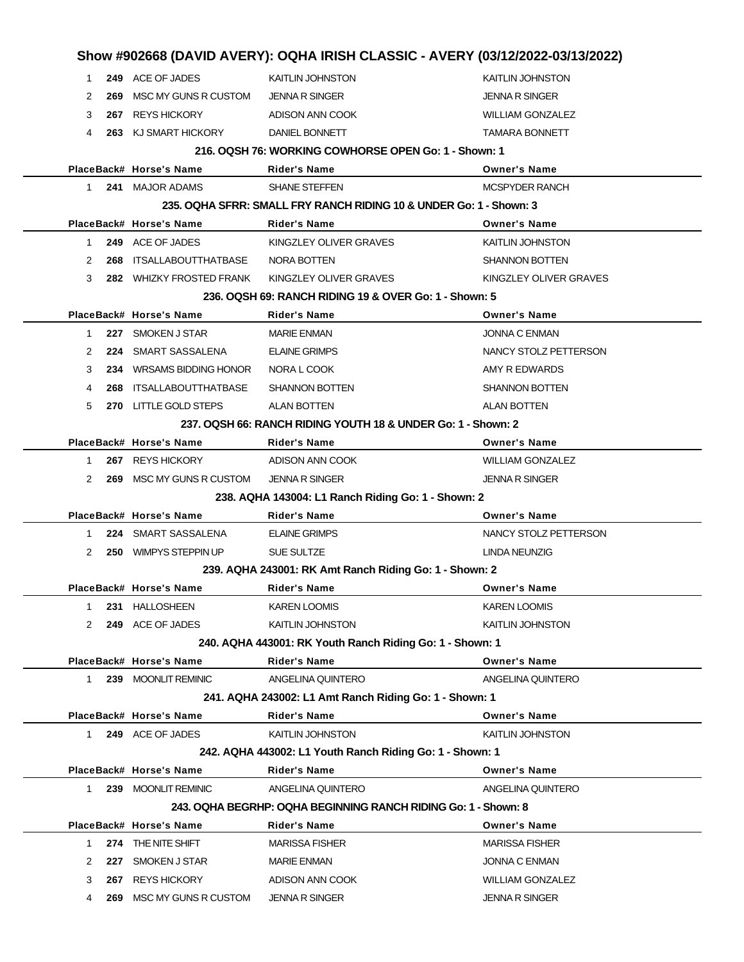|             |     |                          | Show #902668 (DAVID AVERY): OQHA IRISH CLASSIC - AVERY (03/12/2022-03/13/2022) |                         |
|-------------|-----|--------------------------|--------------------------------------------------------------------------------|-------------------------|
| 1           |     | 249 ACE OF JADES         | KAITLIN JOHNSTON                                                               | <b>KAITLIN JOHNSTON</b> |
| 2           | 269 | MSC MY GUNS R CUSTOM     | <b>JENNA R SINGER</b>                                                          | <b>JENNA R SINGER</b>   |
| 3           |     | 267 REYS HICKORY         | ADISON ANN COOK                                                                | <b>WILLIAM GONZALEZ</b> |
| 4           |     | 263 KJ SMART HICKORY     | DANIEL BONNETT                                                                 | <b>TAMARA BONNETT</b>   |
|             |     |                          | 216. OQSH 76: WORKING COWHORSE OPEN Go: 1 - Shown: 1                           |                         |
|             |     | PlaceBack# Horse's Name  | Rider's Name                                                                   | <b>Owner's Name</b>     |
| 1.          |     | 241 MAJOR ADAMS          | <b>SHANE STEFFEN</b>                                                           | <b>MCSPYDER RANCH</b>   |
|             |     |                          | 235, OQHA SFRR: SMALL FRY RANCH RIDING 10 & UNDER Go: 1 - Shown: 3             |                         |
|             |     | PlaceBack# Horse's Name  | Rider's Name                                                                   | <b>Owner's Name</b>     |
| 1           |     | 249 ACE OF JADES         | KINGZLEY OLIVER GRAVES                                                         | <b>KAITLIN JOHNSTON</b> |
| 2           | 268 | ITSALLABOUTTHATBASE      | NORA BOTTEN                                                                    | <b>SHANNON BOTTEN</b>   |
| 3           |     | 282 WHIZKY FROSTED FRANK | KINGZLEY OLIVER GRAVES                                                         | KINGZLEY OLIVER GRAVES  |
|             |     |                          | 236, OQSH 69: RANCH RIDING 19 & OVER Go: 1 - Shown: 5                          |                         |
|             |     | PlaceBack# Horse's Name  | Rider's Name                                                                   | <b>Owner's Name</b>     |
| 1           |     | 227 SMOKEN J STAR        | <b>MARIE ENMAN</b>                                                             | <b>JONNA C ENMAN</b>    |
| 2           |     | 224 SMART SASSALENA      | ELAINE GRIMPS                                                                  | NANCY STOLZ PETTERSON   |
| 3           |     | 234 WRSAMS BIDDING HONOR | NORA L COOK                                                                    | AMY R EDWARDS           |
| 4           | 268 | ITSALLABOUTTHATBASE      | <b>SHANNON BOTTEN</b>                                                          | <b>SHANNON BOTTEN</b>   |
| 5           |     | 270 LITTLE GOLD STEPS    | ALAN BOTTEN                                                                    | <b>ALAN BOTTEN</b>      |
|             |     |                          | 237, OQSH 66: RANCH RIDING YOUTH 18 & UNDER Go: 1 - Shown: 2                   |                         |
|             |     | PlaceBack# Horse's Name  | Rider's Name                                                                   | <b>Owner's Name</b>     |
| 1           |     | 267 REYS HICKORY         | ADISON ANN COOK                                                                | <b>WILLIAM GONZALEZ</b> |
| 2           |     | 269 MSC MY GUNS R CUSTOM | JENNA R SINGER                                                                 | <b>JENNA R SINGER</b>   |
|             |     |                          | 238. AQHA 143004: L1 Ranch Riding Go: 1 - Shown: 2                             |                         |
|             |     | PlaceBack# Horse's Name  | Rider's Name                                                                   | <b>Owner's Name</b>     |
| 1           |     | 224 SMART SASSALENA      | ELAINE GRIMPS                                                                  | NANCY STOLZ PETTERSON   |
| 2           |     | 250 WIMPYS STEPPIN UP    | SUE SULTZE                                                                     | LINDA NEUNZIG           |
|             |     |                          | 239. AQHA 243001: RK Amt Ranch Riding Go: 1 - Shown: 2                         |                         |
|             |     | PlaceBack# Horse's Name  | Rider's Name                                                                   | <b>Owner's Name</b>     |
| 1           | 231 | HALLOSHEEN               | KAREN LOOMIS                                                                   | KAREN LOOMIS            |
| 2           |     | 249 ACE OF JADES         | KAITLIN JOHNSTON                                                               | KAITLIN JOHNSTON        |
|             |     |                          | 240. AQHA 443001: RK Youth Ranch Riding Go: 1 - Shown: 1                       |                         |
|             |     | PlaceBack# Horse's Name  | <b>Rider's Name</b>                                                            | <b>Owner's Name</b>     |
| 1.          |     | 239 MOONLIT REMINIC      | ANGELINA QUINTERO                                                              | ANGELINA QUINTERO       |
|             |     |                          | 241. AQHA 243002: L1 Amt Ranch Riding Go: 1 - Shown: 1                         |                         |
|             |     | PlaceBack# Horse's Name  | <b>Rider's Name</b>                                                            | <b>Owner's Name</b>     |
| $\mathbf 1$ |     | 249 ACE OF JADES         | KAITLIN JOHNSTON                                                               | KAITLIN JOHNSTON        |
|             |     |                          | 242. AQHA 443002: L1 Youth Ranch Riding Go: 1 - Shown: 1                       |                         |
|             |     | PlaceBack# Horse's Name  | Rider's Name                                                                   | <b>Owner's Name</b>     |
| $\mathbf 1$ |     | 239 MOONLIT REMINIC      | ANGELINA QUINTERO                                                              | ANGELINA QUINTERO       |
|             |     |                          | 243. OQHA BEGRHP: OQHA BEGINNING RANCH RIDING Go: 1 - Shown: 8                 |                         |
|             |     | PlaceBack# Horse's Name  | Rider's Name                                                                   | <b>Owner's Name</b>     |
| 1           |     | 274 THE NITE SHIFT       | <b>MARISSA FISHER</b>                                                          | <b>MARISSA FISHER</b>   |
| 2           | 227 | SMOKEN J STAR            | <b>MARIE ENMAN</b>                                                             | JONNA C ENMAN           |
| 3           |     | 267 REYS HICKORY         | ADISON ANN COOK                                                                | <b>WILLIAM GONZALEZ</b> |
| 4           |     | 269 MSC MY GUNS R CUSTOM | <b>JENNA R SINGER</b>                                                          | JENNA R SINGER          |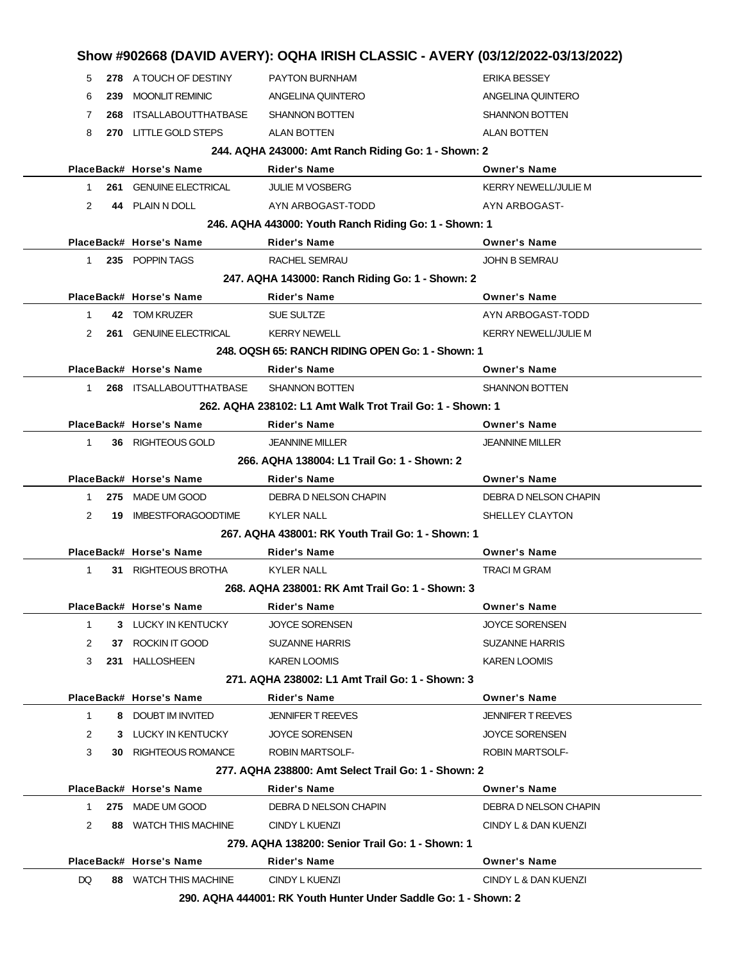|              |     |                               |                                                           | Show #902668 (DAVID AVERY): OQHA IRISH CLASSIC - AVERY (03/12/2022-03/13/2022) |
|--------------|-----|-------------------------------|-----------------------------------------------------------|--------------------------------------------------------------------------------|
| 5            |     | 278 A TOUCH OF DESTINY        | PAYTON BURNHAM                                            | <b>ERIKA BESSEY</b>                                                            |
| 6            | 239 | <b>MOONLIT REMINIC</b>        | ANGELINA QUINTERO                                         | ANGELINA QUINTERO                                                              |
| 7            |     | 268 ITSALLABOUTTHATBASE       | <b>SHANNON BOTTEN</b>                                     | <b>SHANNON BOTTEN</b>                                                          |
| 8            |     | 270 LITTLE GOLD STEPS         | <b>ALAN BOTTEN</b>                                        | <b>ALAN BOTTEN</b>                                                             |
|              |     |                               | 244. AQHA 243000: Amt Ranch Riding Go: 1 - Shown: 2       |                                                                                |
|              |     | PlaceBack# Horse's Name       | <b>Rider's Name</b>                                       | <b>Owner's Name</b>                                                            |
| 1            |     | <b>261 GENUINE ELECTRICAL</b> | <b>JULIE M VOSBERG</b>                                    | <b>KERRY NEWELL/JULIE M</b>                                                    |
| 2            |     | 44 PLAIN N DOLL               | AYN ARBOGAST-TODD                                         | AYN ARBOGAST-                                                                  |
|              |     |                               | 246. AQHA 443000: Youth Ranch Riding Go: 1 - Shown: 1     |                                                                                |
|              |     | PlaceBack# Horse's Name       | <b>Rider's Name</b>                                       | <b>Owner's Name</b>                                                            |
| 1            |     | 235 POPPIN TAGS               | RACHEL SEMRAU                                             | <b>JOHN B SEMRAU</b>                                                           |
|              |     |                               | 247. AQHA 143000: Ranch Riding Go: 1 - Shown: 2           |                                                                                |
|              |     | PlaceBack# Horse's Name       | <b>Rider's Name</b>                                       | <b>Owner's Name</b>                                                            |
| $\mathbf{1}$ |     | 42 TOM KRUZER                 | SUE SULTZE                                                | AYN ARBOGAST-TODD                                                              |
| 2            |     | <b>261 GENUINE ELECTRICAL</b> | <b>KERRY NEWELL</b>                                       | <b>KERRY NEWELL/JULIE M</b>                                                    |
|              |     |                               | 248, OQSH 65: RANCH RIDING OPEN Go: 1 - Shown: 1          |                                                                                |
|              |     | PlaceBack# Horse's Name       | Rider's Name                                              | <b>Owner's Name</b>                                                            |
| $\mathbf{1}$ |     | 268 ITSALLABOUTTHATBASE       | <b>SHANNON BOTTEN</b>                                     | <b>SHANNON BOTTEN</b>                                                          |
|              |     |                               | 262. AQHA 238102: L1 Amt Walk Trot Trail Go: 1 - Shown: 1 |                                                                                |
|              |     | PlaceBack# Horse's Name       | Rider's Name                                              | <b>Owner's Name</b>                                                            |
| 1            |     | 36 RIGHTEOUS GOLD             | <b>JEANNINE MILLER</b>                                    | <b>JEANNINE MILLER</b>                                                         |
|              |     |                               | 266, AQHA 138004: L1 Trail Go: 1 - Shown: 2               |                                                                                |
|              |     | PlaceBack# Horse's Name       | <b>Rider's Name</b>                                       | <b>Owner's Name</b>                                                            |
| 1            |     | 275 MADE UM GOOD              | DEBRA D NELSON CHAPIN                                     | DEBRA D NELSON CHAPIN                                                          |
| 2            | 19  | <b>IMBESTFORAGOODTIME</b>     | <b>KYLER NALL</b>                                         | SHELLEY CLAYTON                                                                |
|              |     |                               | 267, AQHA 438001: RK Youth Trail Go: 1 - Shown: 1         |                                                                                |
|              |     |                               |                                                           |                                                                                |
|              |     |                               |                                                           |                                                                                |
|              |     | PlaceBack# Horse's Name       | <b>Rider's Name</b>                                       | <b>Owner's Name</b>                                                            |
| 1            | 31  | RIGHTEOUS BROTHA              | <b>KYLER NALL</b>                                         | <b>TRACI M GRAM</b>                                                            |
|              |     |                               | 268. AQHA 238001: RK Amt Trail Go: 1 - Shown: 3           |                                                                                |
|              |     | PlaceBack# Horse's Name       | <b>Rider's Name</b>                                       | <b>Owner's Name</b>                                                            |
| $\mathbf 1$  |     | 3 LUCKY IN KENTUCKY           | <b>JOYCE SORENSEN</b>                                     | JOYCE SORENSEN                                                                 |
| 2            |     | 37 ROCKIN IT GOOD             | <b>SUZANNE HARRIS</b>                                     | SUZANNE HARRIS                                                                 |
| 3            |     | 231 HALLOSHEEN                | <b>KAREN LOOMIS</b>                                       | KAREN LOOMIS                                                                   |
|              |     |                               | 271, AQHA 238002: L1 Amt Trail Go: 1 - Shown: 3           |                                                                                |
|              |     | PlaceBack# Horse's Name       | Rider's Name                                              | <b>Owner's Name</b>                                                            |
| $\mathbf{1}$ |     | 8 DOUBT IM INVITED            | <b>JENNIFER T REEVES</b>                                  | JENNIFER T REEVES                                                              |
| 2            |     | 3 LUCKY IN KENTUCKY           | <b>JOYCE SORENSEN</b>                                     | JOYCE SORENSEN                                                                 |
| 3            |     | <b>30 RIGHTEOUS ROMANCE</b>   | <b>ROBIN MARTSOLF-</b>                                    | ROBIN MARTSOLF-                                                                |
|              |     |                               | 277. AQHA 238800: Amt Select Trail Go: 1 - Shown: 2       |                                                                                |
|              |     | PlaceBack# Horse's Name       | Rider's Name                                              | <b>Owner's Name</b>                                                            |
| 1            |     | 275 MADE UM GOOD              | DEBRA D NELSON CHAPIN                                     | DEBRA D NELSON CHAPIN                                                          |
| 2            |     | 88 WATCH THIS MACHINE         | CINDY L KUENZI                                            | CINDY L & DAN KUENZI                                                           |
|              |     |                               | 279. AQHA 138200: Senior Trail Go: 1 - Shown: 1           |                                                                                |
|              |     | PlaceBack# Horse's Name       | Rider's Name                                              | <b>Owner's Name</b>                                                            |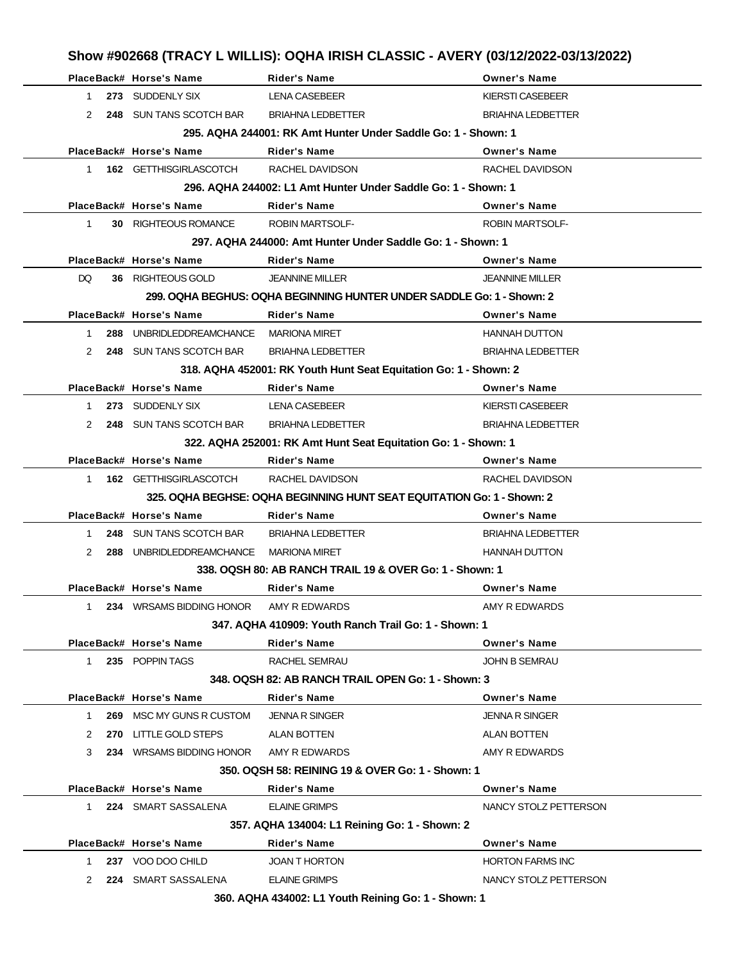|                |                                        |                                                                        | Show #902668 (TRACY L WILLIS): OQHA IRISH CLASSIC - AVERY (03/12/2022-03/13/2022) |
|----------------|----------------------------------------|------------------------------------------------------------------------|-----------------------------------------------------------------------------------|
|                | PlaceBack# Horse's Name                | <b>Rider's Name</b>                                                    | <b>Owner's Name</b>                                                               |
| 1              | 273 SUDDENLY SIX                       | <b>LENA CASEBEER</b>                                                   | <b>KIERSTI CASEBEER</b>                                                           |
| 2              | 248 SUN TANS SCOTCH BAR                | <b>BRIAHNA LEDBETTER</b>                                               | <b>BRIAHNA LEDBETTER</b>                                                          |
|                |                                        | 295. AQHA 244001: RK Amt Hunter Under Saddle Go: 1 - Shown: 1          |                                                                                   |
|                | PlaceBack# Horse's Name                | <b>Rider's Name</b>                                                    | <b>Owner's Name</b>                                                               |
| 1              | <b>162 GETTHISGIRLASCOTCH</b>          | RACHEL DAVIDSON                                                        | RACHEL DAVIDSON                                                                   |
|                |                                        | 296. AQHA 244002: L1 Amt Hunter Under Saddle Go: 1 - Shown: 1          |                                                                                   |
|                | PlaceBack# Horse's Name                | <b>Rider's Name</b>                                                    | <b>Owner's Name</b>                                                               |
| $\mathbf 1$    | <b>30 RIGHTEOUS ROMANCE</b>            | <b>ROBIN MARTSOLF-</b>                                                 | <b>ROBIN MARTSOLF-</b>                                                            |
|                |                                        | 297. AQHA 244000: Amt Hunter Under Saddle Go: 1 - Shown: 1             |                                                                                   |
|                | PlaceBack# Horse's Name                | <b>Rider's Name</b>                                                    | <b>Owner's Name</b>                                                               |
| DQ.            | 36 RIGHTEOUS GOLD                      | <b>JEANNINE MILLER</b>                                                 | <b>JEANNINE MILLER</b>                                                            |
|                |                                        | 299. OQHA BEGHUS: OQHA BEGINNING HUNTER UNDER SADDLE Go: 1 - Shown: 2  |                                                                                   |
|                | PlaceBack# Horse's Name                | <b>Rider's Name</b>                                                    | <b>Owner's Name</b>                                                               |
| $\mathbf{1}$   | 288 UNBRIDLEDDREAMCHANCE MARIONA MIRET |                                                                        | <b>HANNAH DUTTON</b>                                                              |
| 2              | 248 SUN TANS SCOTCH BAR                | <b>BRIAHNA LEDBETTER</b>                                               | <b>BRIAHNA LEDBETTER</b>                                                          |
|                |                                        | 318. AQHA 452001: RK Youth Hunt Seat Equitation Go: 1 - Shown: 2       |                                                                                   |
|                | PlaceBack# Horse's Name                | <b>Rider's Name</b>                                                    | <b>Owner's Name</b>                                                               |
| 1.             | 273 SUDDENLY SIX                       | <b>LENA CASEBEER</b>                                                   | KIERSTI CASEBEER                                                                  |
| 2              | 248 SUN TANS SCOTCH BAR                | <b>BRIAHNA LEDBETTER</b>                                               | <b>BRIAHNA LEDBETTER</b>                                                          |
|                |                                        | 322. AQHA 252001: RK Amt Hunt Seat Equitation Go: 1 - Shown: 1         |                                                                                   |
|                | PlaceBack# Horse's Name                | <b>Rider's Name</b>                                                    | <b>Owner's Name</b>                                                               |
| $1 \quad$      | 162 GETTHISGIRLASCOTCH                 | RACHEL DAVIDSON                                                        | RACHEL DAVIDSON                                                                   |
|                |                                        | 325. OQHA BEGHSE: OQHA BEGINNING HUNT SEAT EQUITATION Go: 1 - Shown: 2 |                                                                                   |
|                | PlaceBack# Horse's Name                | <b>Rider's Name</b>                                                    | <b>Owner's Name</b>                                                               |
| $\mathbf 1$    | 248 SUN TANS SCOTCH BAR                | <b>BRIAHNA LEDBETTER</b>                                               | <b>BRIAHNA LEDBETTER</b>                                                          |
| $\overline{2}$ | 288 UNBRIDLEDDREAMCHANCE               | <b>MARIONA MIRET</b>                                                   | <b>HANNAH DUTTON</b>                                                              |
|                |                                        | 338, OQSH 80: AB RANCH TRAIL 19 & OVER Go: 1 - Shown: 1                |                                                                                   |
|                | PlaceBack# Horse's Name                | <b>Rider's Name</b>                                                    | <b>Owner's Name</b>                                                               |
| $\mathbf 1$    | 234 WRSAMS BIDDING HONOR               | AMY R EDWARDS                                                          | AMY R EDWARDS                                                                     |
|                |                                        | 347, AQHA 410909: Youth Ranch Trail Go: 1 - Shown: 1                   |                                                                                   |
|                | PlaceBack# Horse's Name                | <b>Rider's Name</b>                                                    | <b>Owner's Name</b>                                                               |
| 1.             | 235 POPPIN TAGS                        | RACHEL SEMRAU                                                          | JOHN B SEMRAU                                                                     |
|                |                                        | 348. OQSH 82: AB RANCH TRAIL OPEN Go: 1 - Shown: 3                     |                                                                                   |
|                | PlaceBack# Horse's Name                | <b>Rider's Name</b>                                                    | <b>Owner's Name</b>                                                               |
| 1              | 269 MSC MY GUNS R CUSTOM               | <b>JENNA R SINGER</b>                                                  | <b>JENNA R SINGER</b>                                                             |
| 2              | 270 LITTLE GOLD STEPS                  | ALAN BOTTEN                                                            | <b>ALAN BOTTEN</b>                                                                |
| 3              | 234 WRSAMS BIDDING HONOR               | AMY R EDWARDS                                                          | AMY R EDWARDS                                                                     |
|                |                                        | 350, OQSH 58: REINING 19 & OVER Go: 1 - Shown: 1                       |                                                                                   |
|                | PlaceBack# Horse's Name                | <b>Rider's Name</b>                                                    | <b>Owner's Name</b>                                                               |
| 1.             | 224 SMART SASSALENA                    | <b>ELAINE GRIMPS</b>                                                   | NANCY STOLZ PETTERSON                                                             |
|                |                                        | 357. AQHA 134004: L1 Reining Go: 1 - Shown: 2                          |                                                                                   |
|                | PlaceBack# Horse's Name                | <b>Rider's Name</b>                                                    | <b>Owner's Name</b>                                                               |
|                | 237 VOO DOO CHILD                      | <b>JOAN T HORTON</b>                                                   | <b>HORTON FARMS INC</b>                                                           |
| 1              |                                        |                                                                        |                                                                                   |
| 2              | 224 SMART SASSALENA                    | <b>ELAINE GRIMPS</b>                                                   | NANCY STOLZ PETTERSON                                                             |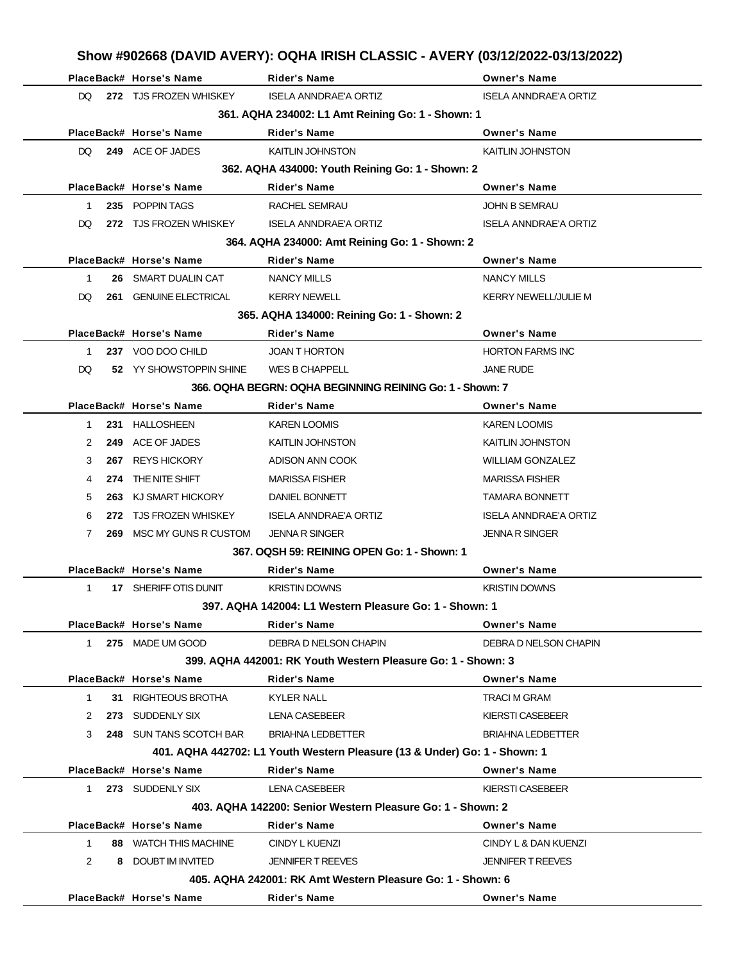|              |     | PlaceBack# Horse's Name  | <b>Rider's Name</b>                                                       | <b>Owner's Name</b>          |
|--------------|-----|--------------------------|---------------------------------------------------------------------------|------------------------------|
| DQ.          |     | 272 TJS FROZEN WHISKEY   | <b>ISELA ANNDRAE'A ORTIZ</b>                                              | <b>ISELA ANNDRAE'A ORTIZ</b> |
|              |     |                          | 361. AQHA 234002: L1 Amt Reining Go: 1 - Shown: 1                         |                              |
|              |     | PlaceBack# Horse's Name  | <b>Rider's Name</b>                                                       | <b>Owner's Name</b>          |
| DQ.          |     | 249 ACE OF JADES         | <b>KAITLIN JOHNSTON</b>                                                   | <b>KAITLIN JOHNSTON</b>      |
|              |     |                          | 362. AQHA 434000: Youth Reining Go: 1 - Shown: 2                          |                              |
|              |     | PlaceBack# Horse's Name  | <b>Rider's Name</b>                                                       | <b>Owner's Name</b>          |
| 1            |     | 235 POPPIN TAGS          | RACHEL SEMRAU                                                             | <b>JOHN B SEMRAU</b>         |
| DQ.          |     | 272 TJS FROZEN WHISKEY   | <b>ISELA ANNDRAE'A ORTIZ</b>                                              | <b>ISELA ANNDRAE'A ORTIZ</b> |
|              |     |                          | 364. AQHA 234000: Amt Reining Go: 1 - Shown: 2                            |                              |
|              |     | PlaceBack# Horse's Name  | <b>Rider's Name</b>                                                       | <b>Owner's Name</b>          |
| 1            |     | 26 SMART DUALIN CAT      | <b>NANCY MILLS</b>                                                        | <b>NANCY MILLS</b>           |
| DQ.          |     | 261 GENUINE ELECTRICAL   | <b>KERRY NEWELL</b>                                                       | <b>KERRY NEWELL/JULIE M</b>  |
|              |     |                          | 365. AQHA 134000: Reining Go: 1 - Shown: 2                                |                              |
|              |     | PlaceBack# Horse's Name  | <b>Rider's Name</b>                                                       | <b>Owner's Name</b>          |
| 1            |     | 237 VOO DOO CHILD        | <b>JOAN T HORTON</b>                                                      | <b>HORTON FARMS INC</b>      |
| DQ.          |     | 52 YY SHOWSTOPPIN SHINE  | WES B CHAPPELL                                                            | <b>JANE RUDE</b>             |
|              |     |                          | 366, OQHA BEGRN: OQHA BEGINNING REINING Go: 1 - Shown: 7                  |                              |
|              |     | PlaceBack# Horse's Name  | <b>Rider's Name</b>                                                       | <b>Owner's Name</b>          |
| 1            |     | 231 HALLOSHEEN           | <b>KAREN LOOMIS</b>                                                       | <b>KAREN LOOMIS</b>          |
| 2            |     | 249 ACE OF JADES         | KAITLIN JOHNSTON                                                          | KAITLIN JOHNSTON             |
| 3            | 267 | <b>REYS HICKORY</b>      | ADISON ANN COOK                                                           | <b>WILLIAM GONZALEZ</b>      |
| 4            | 274 | THE NITE SHIFT           | <b>MARISSA FISHER</b>                                                     | <b>MARISSA FISHER</b>        |
| 5            |     | 263 KJ SMART HICKORY     | DANIEL BONNETT                                                            | <b>TAMARA BONNETT</b>        |
| 6            |     | 272 TJS FROZEN WHISKEY   | <b>ISELA ANNDRAE'A ORTIZ</b>                                              | <b>ISELA ANNDRAE'A ORTIZ</b> |
| 7            |     | 269 MSC MY GUNS R CUSTOM | <b>JENNA R SINGER</b>                                                     | <b>JENNA R SINGER</b>        |
|              |     |                          | 367, OQSH 59: REINING OPEN Go: 1 - Shown: 1                               |                              |
|              |     | PlaceBack# Horse's Name  | <b>Rider's Name</b>                                                       | <b>Owner's Name</b>          |
| $\mathbf{1}$ |     | 17 SHERIFF OTIS DUNIT    | <b>KRISTIN DOWNS</b>                                                      | <b>KRISTIN DOWNS</b>         |
|              |     |                          | 397, AQHA 142004: L1 Western Pleasure Go: 1 - Shown: 1                    |                              |
|              |     | PlaceBack# Horse's Name  | <b>Rider's Name</b>                                                       | <b>Owner's Name</b>          |
| $1 \quad$    |     | 275 MADE UM GOOD         | DEBRA D NELSON CHAPIN                                                     | DEBRA D NELSON CHAPIN        |
|              |     |                          | 399. AQHA 442001: RK Youth Western Pleasure Go: 1 - Shown: 3              |                              |
|              |     | PlaceBack# Horse's Name  | <b>Rider's Name</b>                                                       | <b>Owner's Name</b>          |
| $\mathbf{1}$ |     | 31 RIGHTEOUS BROTHA      | <b>KYLER NALL</b>                                                         | <b>TRACI M GRAM</b>          |
| 2            |     | 273 SUDDENLY SIX         | <b>LENA CASEBEER</b>                                                      | <b>KIERSTI CASEBEER</b>      |
| 3            |     | 248 SUN TANS SCOTCH BAR  | <b>BRIAHNA LEDBETTER</b>                                                  | <b>BRIAHNA LEDBETTER</b>     |
|              |     |                          | 401. AQHA 442702: L1 Youth Western Pleasure (13 & Under) Go: 1 - Shown: 1 |                              |
|              |     | PlaceBack# Horse's Name  | <b>Rider's Name</b>                                                       | <b>Owner's Name</b>          |
| $1 \quad$    |     | 273 SUDDENLY SIX         | <b>LENA CASEBEER</b>                                                      | <b>KIERSTI CASEBEER</b>      |
|              |     |                          | 403. AQHA 142200: Senior Western Pleasure Go: 1 - Shown: 2                |                              |
|              |     | PlaceBack# Horse's Name  | Rider's Name                                                              | <b>Owner's Name</b>          |
| $\mathbf 1$  |     | 88 WATCH THIS MACHINE    | CINDY L KUENZI                                                            | CINDY L & DAN KUENZI         |
| 2            |     | 8 DOUBT IM INVITED       | <b>JENNIFER T REEVES</b>                                                  | <b>JENNIFER T REEVES</b>     |
|              |     |                          | 405. AQHA 242001: RK Amt Western Pleasure Go: 1 - Shown: 6                |                              |
|              |     | PlaceBack# Horse's Name  | Rider's Name                                                              | <b>Owner's Name</b>          |
|              |     |                          |                                                                           |                              |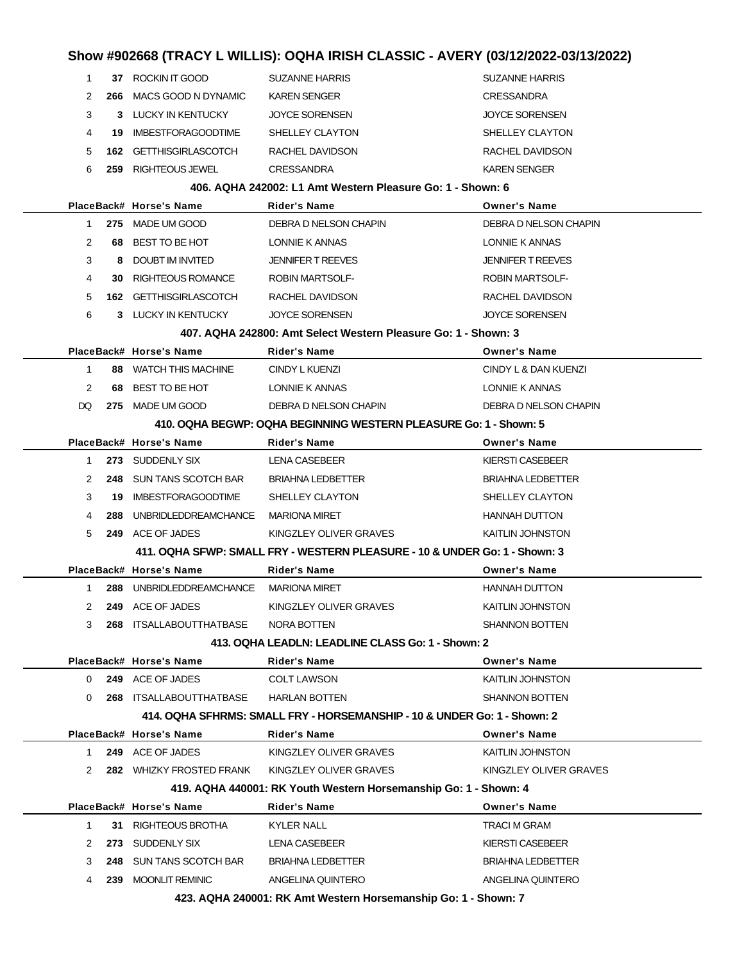### **Show #902668 (TRACY L WILLIS): OQHA IRISH CLASSIC - AVERY (03/12/2022-03/13/2022)** 1 **37** ROCKIN IT GOOD SUZANNE HARRIS SUZANNE HARRIS 2 **266** MACS GOOD N DYNAMIC KAREN SENGER CRESSANDRA 3 **3** LUCKY IN KENTUCKY JOYCE SORENSEN JOYCE SORENSEN 4 **19** IMBESTFORAGOODTIME SHELLEY CLAYTON SHELLEY CLAYTON 5 **162** GETTHISGIRLASCOTCH RACHEL DAVIDSON RACHEL DAVIDSON 6 **259** RIGHTEOUS JEWEL CRESSANDRA KAREN SENGER **406. AQHA 242002: L1 Amt Western Pleasure Go: 1 - Shown: 6 PlaceBack# Horse's Name Rider's Name Owner's Name** 1 **275** MADE UM GOOD DEBRA D NELSON CHAPIN DEBRA D NELSON CHAPIN 2 68 BEST TO BE HOT LONNIE K ANNAS LONNIE K ANNAS 3 **8** DOUBT IM INVITED JENNIFER T REEVES JENNIFER T REEVES 4 **30** RIGHTEOUS ROMANCE ROBIN MARTSOLF- ROBIN MARTSOLF-5 **162** GETTHISGIRLASCOTCH RACHEL DAVIDSON RACHEL DAVIDSON 6 **3** LUCKY IN KENTUCKY JOYCE SORENSEN JOYCE SORENSEN **407. AQHA 242800: Amt Select Western Pleasure Go: 1 - Shown: 3 PlaceBack# Horse's Name Rider's Name Owner's Name** 1 **88** WATCH THIS MACHINE CINDY L KUENZI CINDY L & DAN KUENZI 2 68 BEST TO BE HOT LONNIE K ANNAS LONNIE K ANNAS DQ 275 MADE UM GOOD DEBRA D NELSON CHAPIN DEBRA D NELSON CHAPIN **410. OQHA BEGWP: OQHA BEGINNING WESTERN PLEASURE Go: 1 - Shown: 5 PlaceBack# Horse's Name Rider's Name Owner's Name** 1 **273** SUDDENLY SIX LENA CASEBEER KIERSTI CASEBEER 2 **248** SUN TANS SCOTCH BAR BRIAHNA LEDBETTER BRIAHNA LEDBETTER 3 **19** IMBESTFORAGOODTIME SHELLEY CLAYTON SHELLEY CLAYTON 4 **288** UNBRIDLEDDREAMCHANCE MARIONA MIRET **HANNAH DUTTON** 5 **249** ACE OF JADES **KINGZLEY OLIVER GRAVES** KAITLIN JOHNSTON **411. OQHA SFWP: SMALL FRY - WESTERN PLEASURE - 10 & UNDER Go: 1 - Shown: 3 PlaceBack# Horse's Name Rider's Name Owner's Name** 1 **288** UNBRIDLEDDREAMCHANCE MARIONA MIRET **HANNAH DUTTON** 2 **249** ACE OF JADES KINGZLEY OLIVER GRAVES KAITLIN JOHNSTON 3 **268** ITSALLABOUTTHATBASE NORA BOTTEN SHANNON BOTTEN **413. OQHA LEADLN: LEADLINE CLASS Go: 1 - Shown: 2 PlaceBack# Horse's Name Rider's Name Owner's Name** 0 **249** ACE OF JADES COLT LAWSON COLT CONTINUES COLT LAWSON 0 **268** ITSALLABOUTTHATBASE HARLAN BOTTEN SHANNON BOTTEN **414. OQHA SFHRMS: SMALL FRY - HORSEMANSHIP - 10 & UNDER Go: 1 - Shown: 2 PlaceBack# Horse's Name Rider's Name Owner's Name** 1 **249** ACE OF JADES KINGZLEY OLIVER GRAVES KAITLIN JOHNSTON 2 **282** WHIZKY FROSTED FRANK KINGZLEY OLIVER GRAVES KINGZLEY OLIVER GRAVES **419. AQHA 440001: RK Youth Western Horsemanship Go: 1 - Shown: 4 PlaceBack# Horse's Name Rider's Name Owner's Name** 1 **31** RIGHTEOUS BROTHA KYLER NALL TRACI M GRAM 2 273 SUDDENLY SIX LENA CASEBEER KIERSTI CASEBEER 3 **248** SUN TANS SCOTCH BAR BRIAHNA LEDBETTER BRIAHNA LEDBETTER 4 **239** MOONLIT REMINIC ANGELINA QUINTERO ANGELINA QUINTERO

**423. AQHA 240001: RK Amt Western Horsemanship Go: 1 - Shown: 7**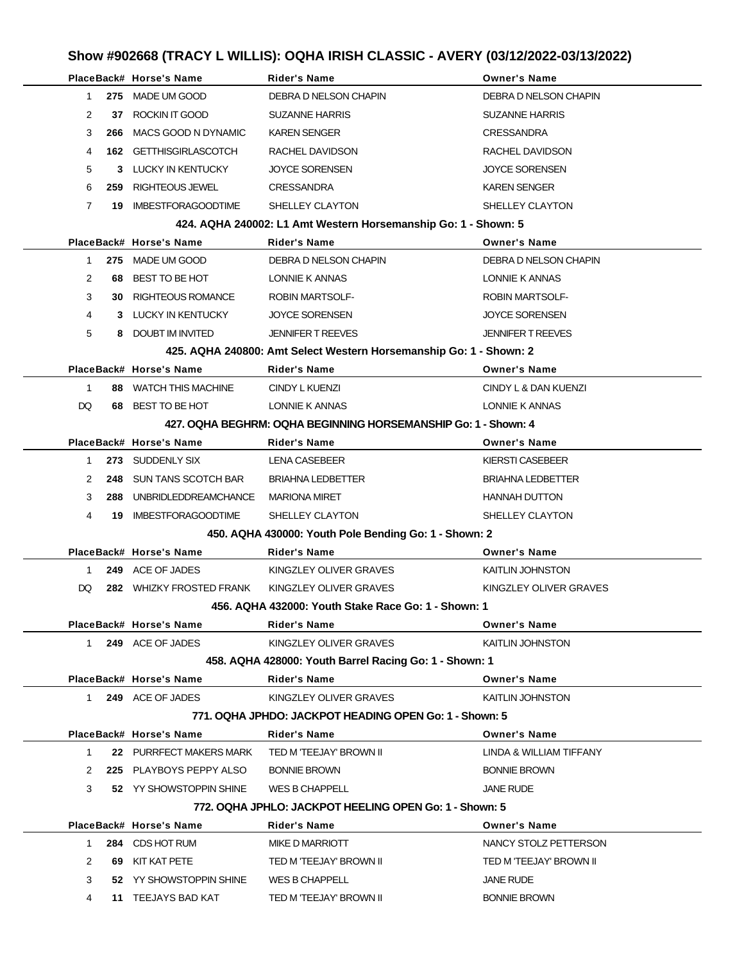# **Show #902668 (TRACY L WILLIS): OQHA IRISH CLASSIC - AVERY (03/12/2022-03/13/2022)**

|                |     | PlaceBack# Horse's Name                         | Rider's Name                                                       | <b>Owner's Name</b>      |
|----------------|-----|-------------------------------------------------|--------------------------------------------------------------------|--------------------------|
| $\mathbf{1}$   |     | 275 MADE UM GOOD                                | DEBRA D NELSON CHAPIN                                              | DEBRA D NELSON CHAPIN    |
| $\overline{2}$ |     | 37 ROCKIN IT GOOD                               | <b>SUZANNE HARRIS</b>                                              | <b>SUZANNE HARRIS</b>    |
| 3              | 266 | MACS GOOD N DYNAMIC                             | <b>KAREN SENGER</b>                                                | <b>CRESSANDRA</b>        |
| 4              |     | <b>162 GETTHISGIRLASCOTCH</b>                   | RACHEL DAVIDSON                                                    | RACHEL DAVIDSON          |
| 5              |     | 3 LUCKY IN KENTUCKY                             | <b>JOYCE SORENSEN</b>                                              | <b>JOYCE SORENSEN</b>    |
| 6              | 259 | RIGHTEOUS JEWEL                                 | <b>CRESSANDRA</b>                                                  | <b>KAREN SENGER</b>      |
| $\overline{7}$ |     | <b>19 IMBESTFORAGOODTIME</b>                    | SHELLEY CLAYTON                                                    | SHELLEY CLAYTON          |
|                |     |                                                 | 424. AQHA 240002: L1 Amt Western Horsemanship Go: 1 - Shown: 5     |                          |
|                |     | PlaceBack# Horse's Name                         | Rider's Name                                                       | <b>Owner's Name</b>      |
| 1              |     | 275 MADE UM GOOD                                | DEBRA D NELSON CHAPIN                                              | DEBRA D NELSON CHAPIN    |
| 2              |     | 68 BEST TO BE HOT                               | LONNIE K ANNAS                                                     | LONNIE K ANNAS           |
| 3              | 30. | RIGHTEOUS ROMANCE                               | <b>ROBIN MARTSOLF-</b>                                             | <b>ROBIN MARTSOLF-</b>   |
| 4              |     | 3 LUCKY IN KENTUCKY                             | <b>JOYCE SORENSEN</b>                                              | <b>JOYCE SORENSEN</b>    |
| 5              |     | 8 DOUBT IM INVITED                              | <b>JENNIFER T REEVES</b>                                           | <b>JENNIFER T REEVES</b> |
|                |     |                                                 | 425. AQHA 240800: Amt Select Western Horsemanship Go: 1 - Shown: 2 |                          |
|                |     | PlaceBack# Horse's Name                         | Rider's Name                                                       | <b>Owner's Name</b>      |
| $\mathbf{1}$   |     | 88 WATCH THIS MACHINE                           | CINDY L KUENZI                                                     | CINDY L & DAN KUENZI     |
| DQ.            |     | 68 BEST TO BE HOT                               | LONNIE K ANNAS                                                     | LONNIE K ANNAS           |
|                |     |                                                 | 427. OQHA BEGHRM: OQHA BEGINNING HORSEMANSHIP Go: 1 - Shown: 4     |                          |
|                |     | PlaceBack# Horse's Name                         | Rider's Name                                                       | <b>Owner's Name</b>      |
| 1              |     | 273 SUDDENLY SIX                                | LENA CASEBEER                                                      | KIERSTI CASEBEER         |
| 2              |     | 248 SUN TANS SCOTCH BAR                         | <b>BRIAHNA LEDBETTER</b>                                           | <b>BRIAHNA LEDBETTER</b> |
| 3              | 288 | UNBRIDLEDDREAMCHANCE                            | <b>MARIONA MIRET</b>                                               | <b>HANNAH DUTTON</b>     |
| 4              | 19. | IMBESTFORAGOODTIME                              | SHELLEY CLAYTON                                                    | SHELLEY CLAYTON          |
|                |     |                                                 | 450. AQHA 430000: Youth Pole Bending Go: 1 - Shown: 2              |                          |
|                |     | PlaceBack# Horse's Name                         | Rider's Name                                                       | <b>Owner's Name</b>      |
| 1              |     | 249 ACE OF JADES                                | KINGZLEY OLIVER GRAVES                                             | KAITLIN JOHNSTON         |
| DQ             |     | 282 WHIZKY FROSTED FRANK KINGZLEY OLIVER GRAVES |                                                                    | KINGZLEY OLIVER GRAVES   |
|                |     |                                                 | 456. AQHA 432000: Youth Stake Race Go: 1 - Shown: 1                |                          |
|                |     | PlaceBack# Horse's Name                         | Rider's Name                                                       | <b>Owner's Name</b>      |
| $1 \quad$      |     | 249 ACE OF JADES                                | KINGZLEY OLIVER GRAVES                                             | KAITLIN JOHNSTON         |
|                |     |                                                 | 458. AQHA 428000: Youth Barrel Racing Go: 1 - Shown: 1             |                          |
|                |     | PlaceBack# Horse's Name                         | <b>Rider's Name</b>                                                | <b>Owner's Name</b>      |
|                |     | 1 249 ACE OF JADES                              | KINGZLEY OLIVER GRAVES                                             | <b>KAITLIN JOHNSTON</b>  |
|                |     |                                                 | 771, OQHA JPHDO: JACKPOT HEADING OPEN Go: 1 - Shown: 5             |                          |
|                |     | PlaceBack# Horse's Name                         | Rider's Name                                                       | <b>Owner's Name</b>      |
| 1              |     | 22 PURRFECT MAKERS MARK                         | TED M 'TEEJAY' BROWN II                                            | LINDA & WILLIAM TIFFANY  |
| 2              |     | 225 PLAYBOYS PEPPY ALSO                         | <b>BONNIE BROWN</b>                                                | <b>BONNIE BROWN</b>      |
| 3              |     | 52 YY SHOWSTOPPIN SHINE                         | WES B CHAPPELL                                                     | <b>JANE RUDE</b>         |
|                |     |                                                 | 772. OQHA JPHLO: JACKPOT HEELING OPEN Go: 1 - Shown: 5             |                          |
|                |     | PlaceBack# Horse's Name                         | Rider's Name                                                       | <b>Owner's Name</b>      |
| 1              |     | 284 CDS HOT RUM                                 | MIKE D MARRIOTT                                                    | NANCY STOLZ PETTERSON    |
| 2              |     | 69 KIT KAT PETE                                 | TED M 'TEEJAY' BROWN II                                            | TED M 'TEEJAY' BROWN II  |
| 3              |     | 52 YY SHOWSTOPPIN SHINE                         | WES B CHAPPELL                                                     | <b>JANE RUDE</b>         |
| 4              |     | 11 TEEJAYS BAD KAT                              | TED M 'TEEJAY' BROWN II                                            | <b>BONNIE BROWN</b>      |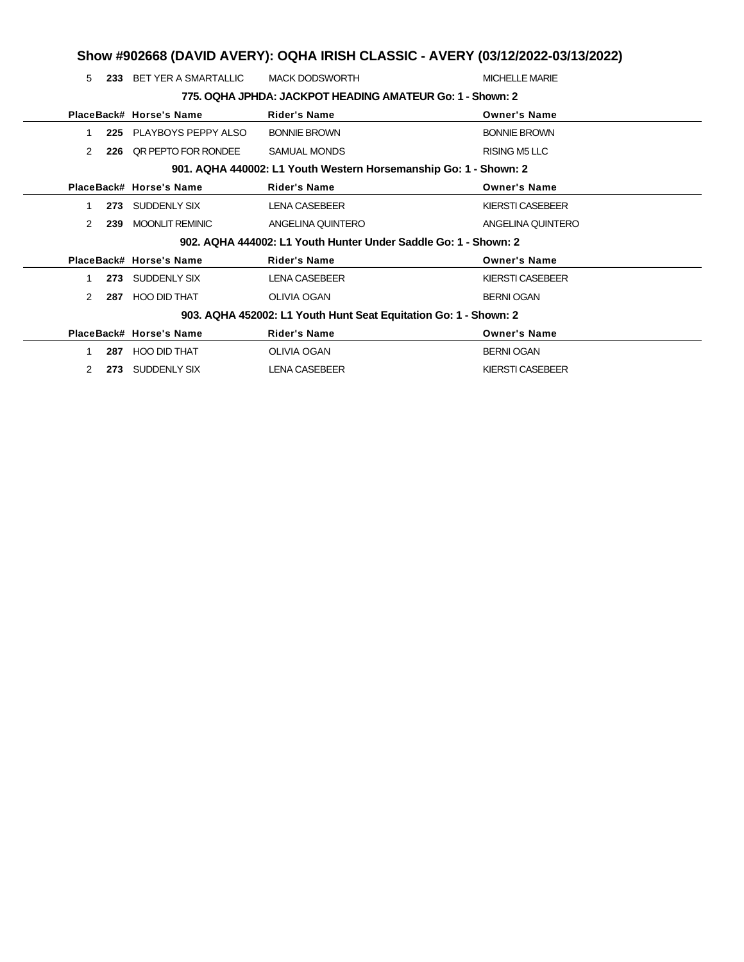# **Show #902668 (DAVID AVERY): OQHA IRISH CLASSIC - AVERY (03/12/2022-03/13/2022)**

| 5             | 233 | BET YER A SMARTALLIC    | <b>MACK DODSWORTH</b>                                            | <b>MICHELLE MARIE</b>   |
|---------------|-----|-------------------------|------------------------------------------------------------------|-------------------------|
|               |     |                         | 775, OQHA JPHDA: JACKPOT HEADING AMATEUR Go: 1 - Shown: 2        |                         |
|               |     | PlaceBack# Horse's Name | <b>Rider's Name</b>                                              | <b>Owner's Name</b>     |
|               | 225 | PLAYBOYS PEPPY ALSO     | <b>BONNIE BROWN</b>                                              | <b>BONNIE BROWN</b>     |
| $\mathcal{P}$ | 226 | OR PEPTO FOR RONDEE     | <b>SAMUAL MONDS</b>                                              | <b>RISING M5 LLC</b>    |
|               |     |                         | 901. AQHA 440002: L1 Youth Western Horsemanship Go: 1 - Shown: 2 |                         |
|               |     | PlaceBack# Horse's Name | <b>Rider's Name</b>                                              | <b>Owner's Name</b>     |
|               | 273 | SUDDENLY SIX            | <b>LENA CASEBEER</b>                                             | <b>KIERSTI CASEBEER</b> |
| 2             | 239 | <b>MOONLIT REMINIC</b>  | ANGELINA QUINTERO                                                | ANGELINA QUINTERO       |
|               |     |                         | 902. AQHA 444002: L1 Youth Hunter Under Saddle Go: 1 - Shown: 2  |                         |
|               |     | PlaceBack# Horse's Name | <b>Rider's Name</b>                                              | <b>Owner's Name</b>     |
|               | 273 | SUDDENLY SIX            | <b>LENA CASEBEER</b>                                             | KIERSTI CASEBEER        |
| 2             | 287 | <b>HOO DID THAT</b>     | <b>OLIVIA OGAN</b>                                               | <b>BERNI OGAN</b>       |
|               |     |                         | 903. AQHA 452002: L1 Youth Hunt Seat Equitation Go: 1 - Shown: 2 |                         |
|               |     | PlaceBack# Horse's Name | <b>Rider's Name</b>                                              | <b>Owner's Name</b>     |
|               | 287 | <b>HOO DID THAT</b>     | OLIVIA OGAN                                                      | <b>BERNI OGAN</b>       |
| 2             | 273 | SUDDENLY SIX            | <b>LENA CASEBEER</b>                                             | KIERSTI CASEBEER        |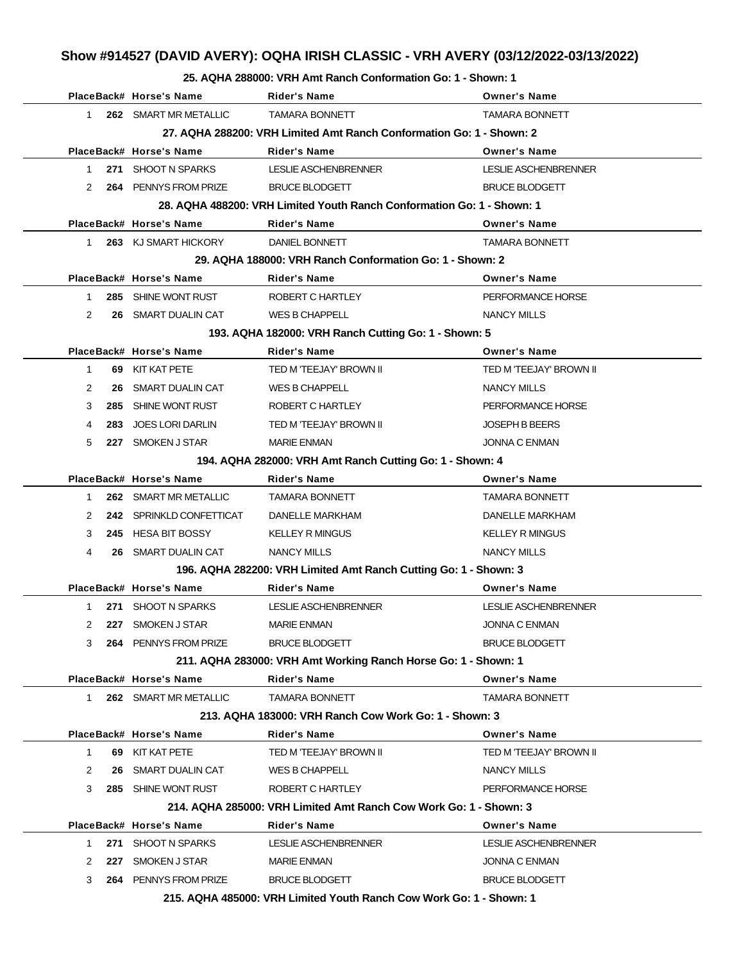### **Show #914527 (DAVID AVERY): OQHA IRISH CLASSIC - VRH AVERY (03/12/2022-03/13/2022)**

#### **25. AQHA 288000: VRH Amt Ranch Conformation Go: 1 - Shown: 1**

|               | PlaceBack# Horse's Name  | <b>Rider's Name</b>                                                    | <b>Owner's Name</b>         |
|---------------|--------------------------|------------------------------------------------------------------------|-----------------------------|
| $\mathbf{1}$  | 262 SMART MR METALLIC    | <b>TAMARA BONNETT</b>                                                  | <b>TAMARA BONNETT</b>       |
|               |                          | 27. AQHA 288200: VRH Limited Amt Ranch Conformation Go: 1 - Shown: 2   |                             |
|               | PlaceBack# Horse's Name  | <b>Rider's Name</b>                                                    | <b>Owner's Name</b>         |
| 1             | 271 SHOOT N SPARKS       | LESLIE ASCHENBRENNER                                                   | <b>LESLIE ASCHENBRENNER</b> |
| 2             | 264 PENNYS FROM PRIZE    | <b>BRUCE BLODGETT</b>                                                  | <b>BRUCE BLODGETT</b>       |
|               |                          | 28. AQHA 488200: VRH Limited Youth Ranch Conformation Go: 1 - Shown: 1 |                             |
|               | PlaceBack# Horse's Name  | <b>Rider's Name</b>                                                    | <b>Owner's Name</b>         |
| $\mathbf 1$   | 263 KJ SMART HICKORY     | DANIEL BONNETT                                                         | <b>TAMARA BONNETT</b>       |
|               |                          | 29. AQHA 188000: VRH Ranch Conformation Go: 1 - Shown: 2               |                             |
|               | PlaceBack# Horse's Name  | <b>Rider's Name</b>                                                    | <b>Owner's Name</b>         |
| 1             | 285 SHINE WONT RUST      | ROBERT C HARTLEY                                                       | PERFORMANCE HORSE           |
| 2             | 26 SMART DUALIN CAT      | WES B CHAPPELL                                                         | <b>NANCY MILLS</b>          |
|               |                          | 193. AQHA 182000: VRH Ranch Cutting Go: 1 - Shown: 5                   |                             |
|               | PlaceBack# Horse's Name  | <b>Rider's Name</b>                                                    | <b>Owner's Name</b>         |
| $\mathbf{1}$  | 69 KIT KAT PETE          | TED M 'TEEJAY' BROWN II                                                | TED M 'TEEJAY' BROWN II     |
| 2<br>26       | SMART DUALIN CAT         | WES B CHAPPELL                                                         | NANCY MILLS                 |
| 3<br>285      | SHINE WONT RUST          | ROBERT C HARTLEY                                                       | PERFORMANCE HORSE           |
| 283<br>4      | <b>JOES LORI DARLIN</b>  | TED M 'TEEJAY' BROWN II                                                | <b>JOSEPH B BEERS</b>       |
| 5             | 227 SMOKEN J STAR        | <b>MARIE ENMAN</b>                                                     | <b>JONNA C ENMAN</b>        |
|               |                          | 194. AQHA 282000: VRH Amt Ranch Cutting Go: 1 - Shown: 4               |                             |
|               | PlaceBack# Horse's Name  | <b>Rider's Name</b>                                                    | <b>Owner's Name</b>         |
| 1             | 262 SMART MR METALLIC    | <b>TAMARA BONNETT</b>                                                  | <b>TAMARA BONNETT</b>       |
| 2             | 242 SPRINKLD CONFETTICAT | DANELLE MARKHAM                                                        | <b>DANELLE MARKHAM</b>      |
| 3             | 245 HESA BIT BOSSY       | <b>KELLEY R MINGUS</b>                                                 | <b>KELLEY R MINGUS</b>      |
| 4             | 26 SMART DUALIN CAT      | <b>NANCY MILLS</b>                                                     | <b>NANCY MILLS</b>          |
|               |                          | 196. AQHA 282200: VRH Limited Amt Ranch Cutting Go: 1 - Shown: 3       |                             |
|               | PlaceBack# Horse's Name  | <b>Rider's Name</b>                                                    | <b>Owner's Name</b>         |
| 1.            | 271 SHOOT N SPARKS       | LESLIE ASCHENBRENNER                                                   | <b>LESLIE ASCHENBRENNER</b> |
| $\mathcal{P}$ | 227 SMOKEN J STAR        | MARIE ENMAN                                                            | JONNA C ENMAN               |
| 3             | 264 PENNYS FROM PRIZE    | <b>BRUCE BLODGETT</b>                                                  | <b>BRUCE BLODGETT</b>       |
|               |                          | 211. AQHA 283000: VRH Amt Working Ranch Horse Go: 1 - Shown: 1         |                             |
|               | PlaceBack# Horse's Name  | <b>Rider's Name</b>                                                    | <b>Owner's Name</b>         |
| 1.            | 262 SMART MR METALLIC    | <b>TAMARA BONNETT</b>                                                  | <b>TAMARA BONNETT</b>       |
|               |                          | 213. AQHA 183000: VRH Ranch Cow Work Go: 1 - Shown: 3                  |                             |
|               | PlaceBack# Horse's Name  | <b>Rider's Name</b>                                                    | <b>Owner's Name</b>         |
| 1             | 69 KIT KAT PETE          | TED M 'TEEJAY' BROWN II                                                | TED M 'TEEJAY' BROWN II     |
| 2             | 26 SMART DUALIN CAT      | WES B CHAPPELL                                                         | NANCY MILLS                 |
| 3             | 285 SHINE WONT RUST      | ROBERT C HARTLEY                                                       | PERFORMANCE HORSE           |
|               |                          | 214, AQHA 285000: VRH Limited Amt Ranch Cow Work Go: 1 - Shown: 3      |                             |
|               | PlaceBack# Horse's Name  | Rider's Name                                                           | <b>Owner's Name</b>         |
| 1             | 271 SHOOT N SPARKS       | LESLIE ASCHENBRENNER                                                   | LESLIE ASCHENBRENNER        |
| 2             | 227 SMOKEN J STAR        | <b>MARIE ENMAN</b>                                                     | <b>JONNA C ENMAN</b>        |
| 3             | 264 PENNYS FROM PRIZE    | <b>BRUCE BLODGETT</b>                                                  | <b>BRUCE BLODGETT</b>       |
|               |                          | 215. AQHA 485000: VRH Limited Youth Ranch Cow Work Go: 1 - Shown: 1    |                             |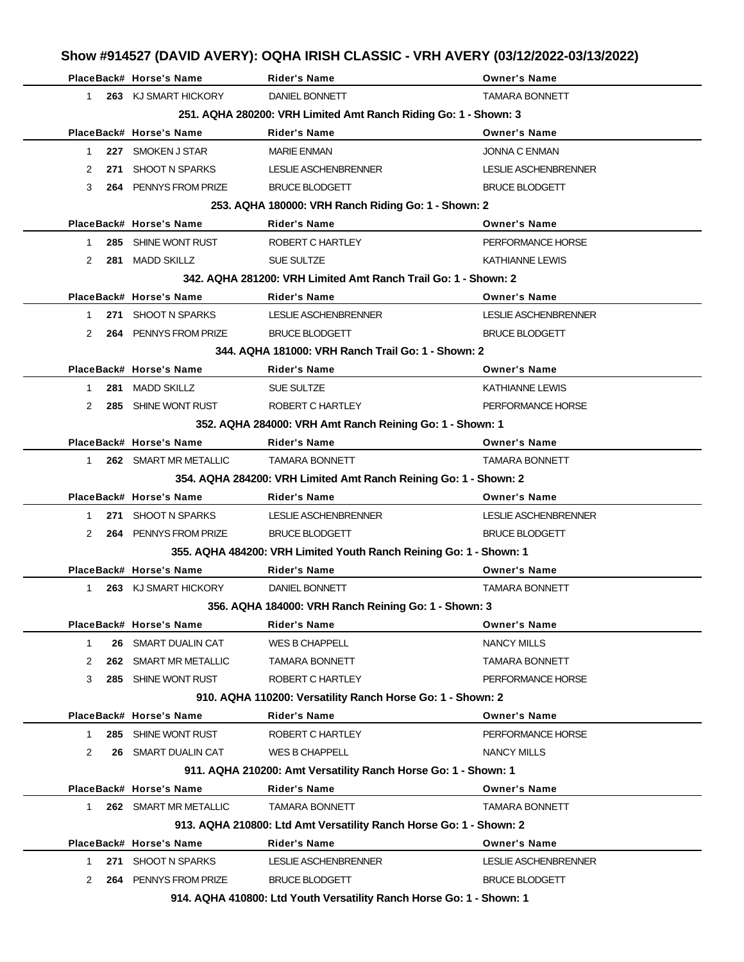# **Show #914527 (DAVID AVERY): OQHA IRISH CLASSIC - VRH AVERY (03/12/2022-03/13/2022)**

|              | PlaceBack# Horse's Name | <b>Rider's Name</b>                                                  | <b>Owner's Name</b>         |
|--------------|-------------------------|----------------------------------------------------------------------|-----------------------------|
| 1            | 263 KJ SMART HICKORY    | DANIEL BONNETT                                                       | <b>TAMARA BONNETT</b>       |
|              |                         | 251. AQHA 280200: VRH Limited Amt Ranch Riding Go: 1 - Shown: 3      |                             |
|              | PlaceBack# Horse's Name | <b>Rider's Name</b>                                                  | <b>Owner's Name</b>         |
| $\mathbf{1}$ | 227 SMOKEN J STAR       | <b>MARIE ENMAN</b>                                                   | JONNA C ENMAN               |
| 2            | 271 SHOOT N SPARKS      | LESLIE ASCHENBRENNER                                                 | LESLIE ASCHENBRENNER        |
| 3            | 264 PENNYS FROM PRIZE   | <b>BRUCE BLODGETT</b>                                                | <b>BRUCE BLODGETT</b>       |
|              |                         | 253. AQHA 180000: VRH Ranch Riding Go: 1 - Shown: 2                  |                             |
|              | PlaceBack# Horse's Name | <b>Rider's Name</b>                                                  | <b>Owner's Name</b>         |
| 1            | 285 SHINE WONT RUST     | ROBERT C HARTLEY                                                     | PERFORMANCE HORSE           |
| 2            | 281 MADD SKILLZ         | SUE SULTZE                                                           | <b>KATHIANNE LEWIS</b>      |
|              |                         | 342, AQHA 281200: VRH Limited Amt Ranch Trail Go: 1 - Shown: 2       |                             |
|              | PlaceBack# Horse's Name | <b>Rider's Name</b>                                                  | <b>Owner's Name</b>         |
| 1            | 271 SHOOT N SPARKS      | <b>LESLIE ASCHENBRENNER</b>                                          | LESLIE ASCHENBRENNER        |
| 2            | 264 PENNYS FROM PRIZE   | <b>BRUCE BLODGETT</b>                                                | <b>BRUCE BLODGETT</b>       |
|              |                         | 344, AQHA 181000: VRH Ranch Trail Go: 1 - Shown: 2                   |                             |
|              | PlaceBack# Horse's Name | <b>Rider's Name</b>                                                  | <b>Owner's Name</b>         |
| 1            | 281 MADD SKILLZ         | <b>SUE SULTZE</b>                                                    | <b>KATHIANNE LEWIS</b>      |
| 2            | 285 SHINE WONT RUST     | ROBERT C HARTLEY                                                     | PERFORMANCE HORSE           |
|              |                         | 352. AQHA 284000: VRH Amt Ranch Reining Go: 1 - Shown: 1             |                             |
|              | PlaceBack# Horse's Name | <b>Rider's Name</b>                                                  | <b>Owner's Name</b>         |
| 1            | 262 SMART MR METALLIC   | <b>TAMARA BONNETT</b>                                                | <b>TAMARA BONNETT</b>       |
|              |                         | 354. AQHA 284200: VRH Limited Amt Ranch Reining Go: 1 - Shown: 2     |                             |
|              | PlaceBack# Horse's Name | <b>Rider's Name</b>                                                  | <b>Owner's Name</b>         |
| 1            | 271 SHOOT N SPARKS      | LESLIE ASCHENBRENNER                                                 | LESLIE ASCHENBRENNER        |
| 2            | 264 PENNYS FROM PRIZE   | <b>BRUCE BLODGETT</b>                                                | <b>BRUCE BLODGETT</b>       |
|              |                         | 355. AQHA 484200: VRH Limited Youth Ranch Reining Go: 1 - Shown: 1   |                             |
|              | PlaceBack# Horse's Name | Rider's Name                                                         | <b>Owner's Name</b>         |
| 1            | 263 KJ SMART HICKORY    | DANIEL BONNETT                                                       | <b>TAMARA BONNETT</b>       |
|              |                         | 356. AQHA 184000: VRH Ranch Reining Go: 1 - Shown: 3                 |                             |
|              | PlaceBack# Horse's Name | <b>Rider's Name</b>                                                  | <b>Owner's Name</b>         |
| 1            | 26 SMART DUALIN CAT     | WES B CHAPPELL                                                       | <b>NANCY MILLS</b>          |
| 2            | 262 SMART MR METALLIC   | <b>TAMARA BONNETT</b>                                                | <b>TAMARA BONNETT</b>       |
| 3            | 285 SHINE WONT RUST     | ROBERT C HARTLEY                                                     | PERFORMANCE HORSE           |
|              |                         | 910. AQHA 110200: Versatility Ranch Horse Go: 1 - Shown: 2           |                             |
|              | PlaceBack# Horse's Name | <b>Rider's Name</b>                                                  | <b>Owner's Name</b>         |
| 1            | 285 SHINE WONT RUST     | ROBERT C HARTLEY                                                     | PERFORMANCE HORSE           |
| 2            | 26 SMART DUALIN CAT     | <b>WES B CHAPPELL</b>                                                | NANCY MILLS                 |
|              |                         | 911. AQHA 210200: Amt Versatility Ranch Horse Go: 1 - Shown: 1       |                             |
|              | PlaceBack# Horse's Name | <b>Rider's Name</b>                                                  | <b>Owner's Name</b>         |
| $\mathbf{1}$ | 262 SMART MR METALLIC   | <b>TAMARA BONNETT</b>                                                | <b>TAMARA BONNETT</b>       |
|              |                         | 913. AQHA 210800: Ltd Amt Versatility Ranch Horse Go: 1 - Shown: 2   |                             |
|              | PlaceBack# Horse's Name | <b>Rider's Name</b>                                                  | <b>Owner's Name</b>         |
| 1.           | SHOOT N SPARKS<br>271   | <b>LESLIE ASCHENBRENNER</b>                                          | <b>LESLIE ASCHENBRENNER</b> |
| 2            | 264 PENNYS FROM PRIZE   | <b>BRUCE BLODGETT</b>                                                | <b>BRUCE BLODGETT</b>       |
|              |                         | 914. AQHA 410800: Ltd Youth Versatility Ranch Horse Go: 1 - Shown: 1 |                             |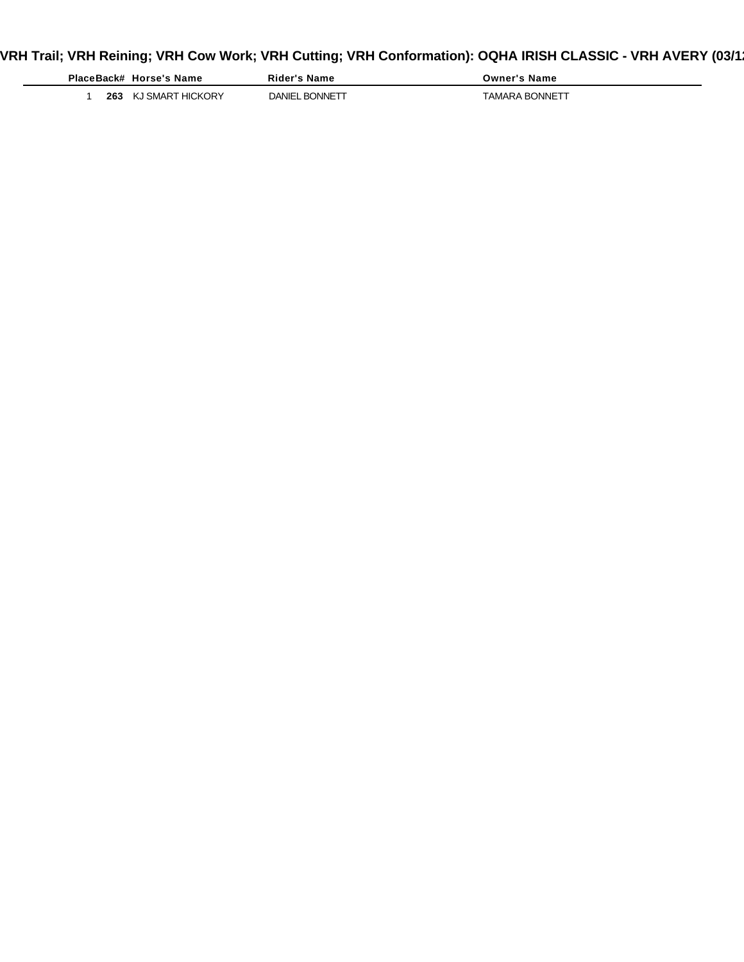# VRH Trail; VRH Reining; VRH Cow Work; VRH Cutting; VRH Conformation): OQHA IRISH CLASSIC - VRH AVERY (03/1**:**

|     | PlaceBack# Horse's Name | Rider's Name   | <b>Owner's Name</b> |
|-----|-------------------------|----------------|---------------------|
| 263 | KJ SMART HICKORY        | DANIEL BONNETT | TAMARA BONNETT      |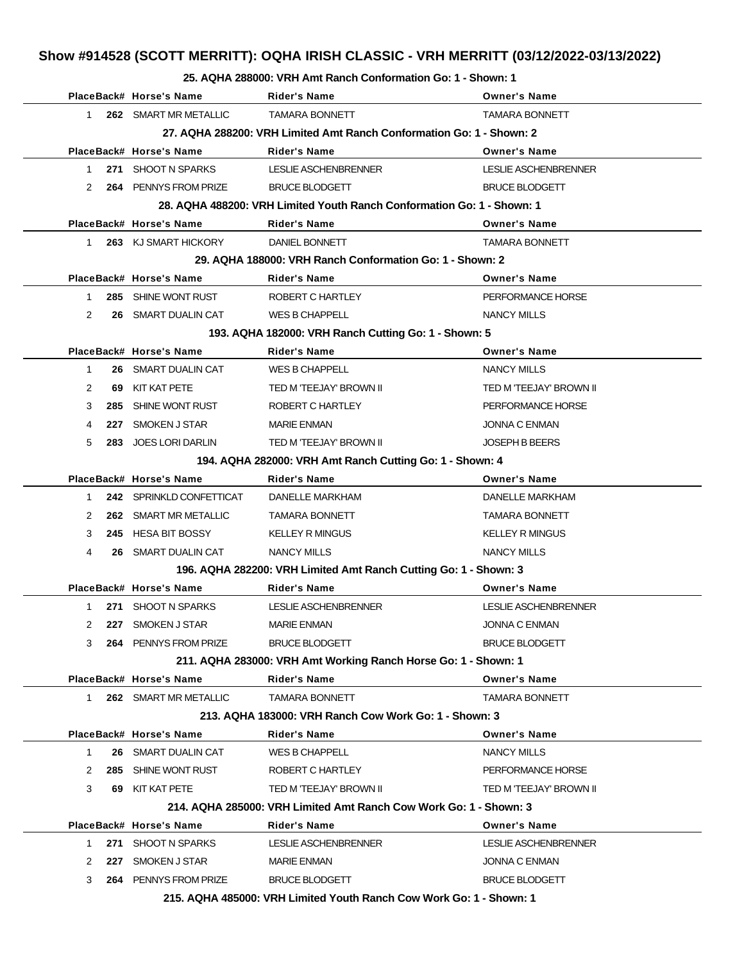#### **25. AQHA 288000: VRH Amt Ranch Conformation Go: 1 - Shown: 1**

|                                                                     |     | PlaceBack# Horse's Name    | Rider's Name                                                           | <b>Owner's Name</b>     |  |
|---------------------------------------------------------------------|-----|----------------------------|------------------------------------------------------------------------|-------------------------|--|
| 1                                                                   |     | 262 SMART MR METALLIC      | <b>TAMARA BONNETT</b>                                                  | <b>TAMARA BONNETT</b>   |  |
|                                                                     |     |                            | 27. AQHA 288200: VRH Limited Amt Ranch Conformation Go: 1 - Shown: 2   |                         |  |
|                                                                     |     | PlaceBack# Horse's Name    | <b>Rider's Name</b>                                                    | <b>Owner's Name</b>     |  |
| 1                                                                   |     | 271 SHOOT N SPARKS         | LESLIE ASCHENBRENNER                                                   | LESLIE ASCHENBRENNER    |  |
| 2                                                                   |     | 264 PENNYS FROM PRIZE      | <b>BRUCE BLODGETT</b>                                                  | <b>BRUCE BLODGETT</b>   |  |
|                                                                     |     |                            | 28. AQHA 488200: VRH Limited Youth Ranch Conformation Go: 1 - Shown: 1 |                         |  |
|                                                                     |     | PlaceBack# Horse's Name    | <b>Rider's Name</b>                                                    | <b>Owner's Name</b>     |  |
| 1                                                                   |     | 263 KJ SMART HICKORY       | DANIEL BONNETT                                                         | <b>TAMARA BONNETT</b>   |  |
|                                                                     |     |                            | 29. AQHA 188000: VRH Ranch Conformation Go: 1 - Shown: 2               |                         |  |
|                                                                     |     | PlaceBack# Horse's Name    | Rider's Name                                                           | <b>Owner's Name</b>     |  |
| $\mathbf{1}$                                                        |     | 285 SHINE WONT RUST        | ROBERT C HARTLEY                                                       | PERFORMANCE HORSE       |  |
| 2                                                                   |     | <b>26 SMART DUALIN CAT</b> | WES B CHAPPELL                                                         | <b>NANCY MILLS</b>      |  |
|                                                                     |     |                            | 193. AQHA 182000: VRH Ranch Cutting Go: 1 - Shown: 5                   |                         |  |
|                                                                     |     | PlaceBack# Horse's Name    | <b>Rider's Name</b>                                                    | <b>Owner's Name</b>     |  |
| $\mathbf 1$                                                         |     | 26 SMART DUALIN CAT        | <b>WES B CHAPPELL</b>                                                  | <b>NANCY MILLS</b>      |  |
| 2                                                                   | 69. | KIT KAT PETE               | TED M 'TEEJAY' BROWN II                                                | TED M 'TEEJAY' BROWN II |  |
| 3                                                                   | 285 | SHINE WONT RUST            | ROBERT C HARTLEY                                                       | PERFORMANCE HORSE       |  |
| 4                                                                   |     | 227 SMOKEN J STAR          | <b>MARIE ENMAN</b>                                                     | <b>JONNA C ENMAN</b>    |  |
| 5                                                                   | 283 | <b>JOES LORI DARLIN</b>    | TED M 'TEEJAY' BROWN II                                                | <b>JOSEPH B BEERS</b>   |  |
|                                                                     |     |                            | 194. AQHA 282000: VRH Amt Ranch Cutting Go: 1 - Shown: 4               |                         |  |
|                                                                     |     | PlaceBack# Horse's Name    | <b>Rider's Name</b>                                                    | <b>Owner's Name</b>     |  |
| 1.                                                                  |     | 242 SPRINKLD CONFETTICAT   | DANELLE MARKHAM                                                        | DANELLE MARKHAM         |  |
| 2                                                                   |     | 262 SMART MR METALLIC      | <b>TAMARA BONNETT</b>                                                  | <b>TAMARA BONNETT</b>   |  |
| 3                                                                   |     | 245 HESA BIT BOSSY         | <b>KELLEY R MINGUS</b>                                                 | <b>KELLEY R MINGUS</b>  |  |
| 4                                                                   |     | 26 SMART DUALIN CAT        | <b>NANCY MILLS</b>                                                     | <b>NANCY MILLS</b>      |  |
|                                                                     |     |                            | 196. AQHA 282200: VRH Limited Amt Ranch Cutting Go: 1 - Shown: 3       |                         |  |
|                                                                     |     | PlaceBack# Horse's Name    | <b>Rider's Name</b>                                                    | <b>Owner's Name</b>     |  |
| $\mathbf 1$                                                         |     | 271 SHOOT N SPARKS         | <b>LESLIE ASCHENBRENNER</b>                                            | LESLIE ASCHENBRENNER    |  |
| $\mathcal{P}$                                                       |     | 227 SMOKEN J STAR          | MARIE ENMAN                                                            | JONNA C ENMAN           |  |
| 3                                                                   |     | 264 PENNYS FROM PRIZE      | <b>BRUCE BLODGETT</b>                                                  | <b>BRUCE BLODGETT</b>   |  |
|                                                                     |     |                            | 211. AQHA 283000: VRH Amt Working Ranch Horse Go: 1 - Shown: 1         |                         |  |
|                                                                     |     | PlaceBack# Horse's Name    | <b>Rider's Name</b>                                                    | <b>Owner's Name</b>     |  |
| 1.                                                                  |     | 262 SMART MR METALLIC      | <b>TAMARA BONNETT</b>                                                  | <b>TAMARA BONNETT</b>   |  |
| 213. AQHA 183000: VRH Ranch Cow Work Go: 1 - Shown: 3               |     |                            |                                                                        |                         |  |
|                                                                     |     | PlaceBack# Horse's Name    | <b>Rider's Name</b>                                                    | <b>Owner's Name</b>     |  |
| 1                                                                   |     | <b>26 SMART DUALIN CAT</b> | <b>WES B CHAPPELL</b>                                                  | NANCY MILLS             |  |
| 2                                                                   |     | 285 SHINE WONT RUST        | ROBERT C HARTLEY                                                       | PERFORMANCE HORSE       |  |
| 3                                                                   |     | 69 KIT KAT PETE            | TED M 'TEEJAY' BROWN II                                                | TED M 'TEEJAY' BROWN II |  |
|                                                                     |     |                            | 214, AQHA 285000: VRH Limited Amt Ranch Cow Work Go: 1 - Shown: 3      |                         |  |
|                                                                     |     | PlaceBack# Horse's Name    | Rider's Name                                                           | <b>Owner's Name</b>     |  |
| 1                                                                   |     | 271 SHOOT N SPARKS         | LESLIE ASCHENBRENNER                                                   | LESLIE ASCHENBRENNER    |  |
| 2                                                                   |     | 227 SMOKEN J STAR          | <b>MARIE ENMAN</b>                                                     | <b>JONNA C ENMAN</b>    |  |
| 3                                                                   |     | 264 PENNYS FROM PRIZE      | <b>BRUCE BLODGETT</b>                                                  | <b>BRUCE BLODGETT</b>   |  |
| 215. AQHA 485000: VRH Limited Youth Ranch Cow Work Go: 1 - Shown: 1 |     |                            |                                                                        |                         |  |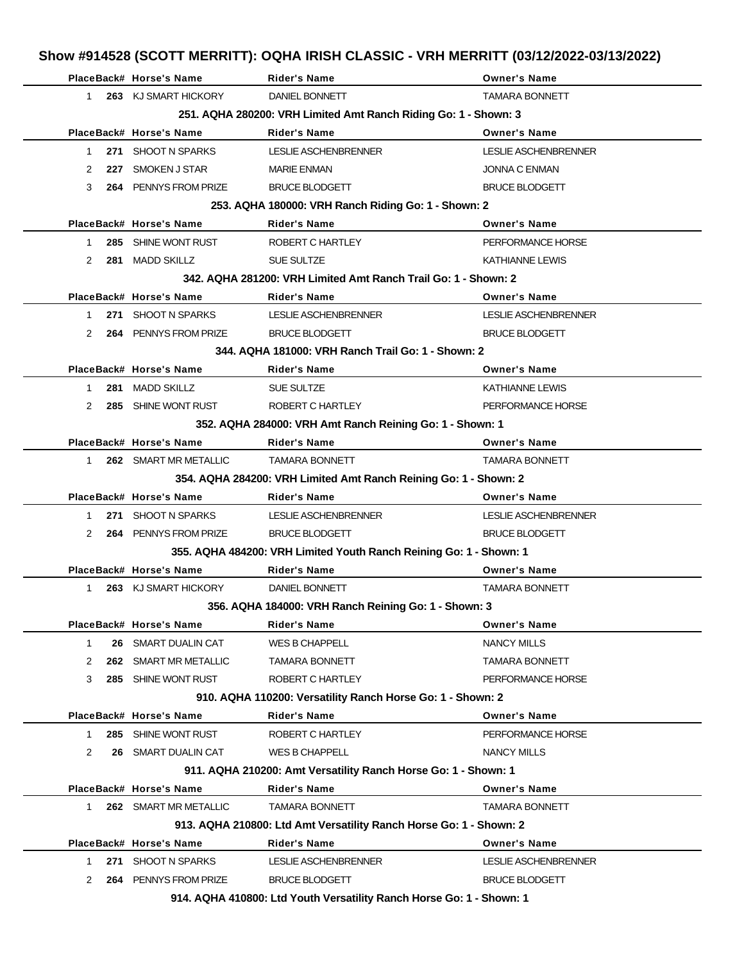|                     | PlaceBack# Horse's Name                                              | <b>Rider's Name</b>                                                | <b>Owner's Name</b>         |  |  |  |  |
|---------------------|----------------------------------------------------------------------|--------------------------------------------------------------------|-----------------------------|--|--|--|--|
| $\mathbf{1}$        | 263 KJ SMART HICKORY                                                 | DANIEL BONNETT                                                     | <b>TAMARA BONNETT</b>       |  |  |  |  |
|                     | 251. AQHA 280200: VRH Limited Amt Ranch Riding Go: 1 - Shown: 3      |                                                                    |                             |  |  |  |  |
|                     | PlaceBack# Horse's Name                                              | <b>Rider's Name</b>                                                | <b>Owner's Name</b>         |  |  |  |  |
| 1.                  | 271 SHOOT N SPARKS                                                   | LESLIE ASCHENBRENNER                                               | <b>LESLIE ASCHENBRENNER</b> |  |  |  |  |
| 2                   | 227 SMOKEN J STAR                                                    | <b>MARIE ENMAN</b>                                                 | JONNA C ENMAN               |  |  |  |  |
| 3                   | 264 PENNYS FROM PRIZE                                                | <b>BRUCE BLODGETT</b>                                              | <b>BRUCE BLODGETT</b>       |  |  |  |  |
|                     |                                                                      | 253. AQHA 180000: VRH Ranch Riding Go: 1 - Shown: 2                |                             |  |  |  |  |
|                     | PlaceBack# Horse's Name                                              | <b>Rider's Name</b>                                                | <b>Owner's Name</b>         |  |  |  |  |
| 285<br>$\mathbf{1}$ | SHINE WONT RUST                                                      | ROBERT C HARTLEY                                                   | PERFORMANCE HORSE           |  |  |  |  |
| 2                   | 281 MADD SKILLZ                                                      | <b>SUE SULTZE</b>                                                  | <b>KATHIANNE LEWIS</b>      |  |  |  |  |
|                     |                                                                      | 342, AQHA 281200: VRH Limited Amt Ranch Trail Go: 1 - Shown: 2     |                             |  |  |  |  |
|                     | PlaceBack# Horse's Name                                              | <b>Rider's Name</b>                                                | <b>Owner's Name</b>         |  |  |  |  |
| $\mathbf{1}$        | 271 SHOOT N SPARKS                                                   | LESLIE ASCHENBRENNER                                               | LESLIE ASCHENBRENNER        |  |  |  |  |
| 2                   | 264 PENNYS FROM PRIZE                                                | <b>BRUCE BLODGETT</b>                                              | <b>BRUCE BLODGETT</b>       |  |  |  |  |
|                     |                                                                      | 344, AQHA 181000: VRH Ranch Trail Go: 1 - Shown: 2                 |                             |  |  |  |  |
|                     | PlaceBack# Horse's Name                                              | <b>Rider's Name</b>                                                | <b>Owner's Name</b>         |  |  |  |  |
| $\mathbf{1}$<br>281 | MADD SKILLZ                                                          | SUE SULTZE                                                         | <b>KATHIANNE LEWIS</b>      |  |  |  |  |
| 2                   | 285 SHINE WONT RUST                                                  | ROBERT C HARTLEY                                                   | PERFORMANCE HORSE           |  |  |  |  |
|                     | 352. AQHA 284000: VRH Amt Ranch Reining Go: 1 - Shown: 1             |                                                                    |                             |  |  |  |  |
|                     | PlaceBack# Horse's Name                                              | <b>Rider's Name</b>                                                | <b>Owner's Name</b>         |  |  |  |  |
| $\mathbf{1}$        | 262 SMART MR METALLIC                                                | <b>TAMARA BONNETT</b>                                              | <b>TAMARA BONNETT</b>       |  |  |  |  |
|                     |                                                                      | 354. AQHA 284200: VRH Limited Amt Ranch Reining Go: 1 - Shown: 2   |                             |  |  |  |  |
|                     | PlaceBack# Horse's Name                                              | <b>Rider's Name</b>                                                | <b>Owner's Name</b>         |  |  |  |  |
| $\mathbf{1}$        | 271 SHOOT N SPARKS                                                   | LESLIE ASCHENBRENNER                                               | LESLIE ASCHENBRENNER        |  |  |  |  |
| 2                   | 264 PENNYS FROM PRIZE                                                | <b>BRUCE BLODGETT</b>                                              | <b>BRUCE BLODGETT</b>       |  |  |  |  |
|                     |                                                                      | 355. AQHA 484200: VRH Limited Youth Ranch Reining Go: 1 - Shown: 1 |                             |  |  |  |  |
|                     | PlaceBack# Horse's Name                                              | <b>Rider's Name</b>                                                | <b>Owner's Name</b>         |  |  |  |  |
| 1                   | 263 KJ SMART HICKORY                                                 | DANIEL BONNETT                                                     | <b>TAMARA BONNETT</b>       |  |  |  |  |
|                     |                                                                      | 356. AQHA 184000: VRH Ranch Reining Go: 1 - Shown: 3               |                             |  |  |  |  |
|                     | PlaceBack# Horse's Name                                              | Rider's Name                                                       | <b>Owner's Name</b>         |  |  |  |  |
| 1                   | 26 SMART DUALIN CAT                                                  | <b>WES B CHAPPELL</b>                                              | <b>NANCY MILLS</b>          |  |  |  |  |
| 2                   | 262 SMART MR METALLIC                                                | <b>TAMARA BONNETT</b>                                              | <b>TAMARA BONNETT</b>       |  |  |  |  |
| 3                   | 285 SHINE WONT RUST                                                  | ROBERT C HARTLEY                                                   | PERFORMANCE HORSE           |  |  |  |  |
|                     |                                                                      | 910. AQHA 110200: Versatility Ranch Horse Go: 1 - Shown: 2         |                             |  |  |  |  |
|                     | PlaceBack# Horse's Name                                              | <b>Rider's Name</b>                                                | <b>Owner's Name</b>         |  |  |  |  |
| 1.                  | 285 SHINE WONT RUST                                                  | ROBERT C HARTLEY                                                   | PERFORMANCE HORSE           |  |  |  |  |
| 2                   | 26 SMART DUALIN CAT                                                  | <b>WES B CHAPPELL</b>                                              | NANCY MILLS                 |  |  |  |  |
|                     |                                                                      | 911. AQHA 210200: Amt Versatility Ranch Horse Go: 1 - Shown: 1     |                             |  |  |  |  |
|                     | PlaceBack# Horse's Name                                              | <b>Rider's Name</b>                                                | <b>Owner's Name</b>         |  |  |  |  |
| 1.                  | 262 SMART MR METALLIC                                                | <b>TAMARA BONNETT</b>                                              | <b>TAMARA BONNETT</b>       |  |  |  |  |
|                     |                                                                      | 913. AQHA 210800: Ltd Amt Versatility Ranch Horse Go: 1 - Shown: 2 |                             |  |  |  |  |
|                     | PlaceBack# Horse's Name                                              | <b>Rider's Name</b>                                                | <b>Owner's Name</b>         |  |  |  |  |
| 1.                  | 271 SHOOT N SPARKS                                                   | LESLIE ASCHENBRENNER                                               | LESLIE ASCHENBRENNER        |  |  |  |  |
| 2                   | 264 PENNYS FROM PRIZE                                                | <b>BRUCE BLODGETT</b>                                              | <b>BRUCE BLODGETT</b>       |  |  |  |  |
|                     | 914. AQHA 410800: Ltd Youth Versatility Ranch Horse Go: 1 - Shown: 1 |                                                                    |                             |  |  |  |  |